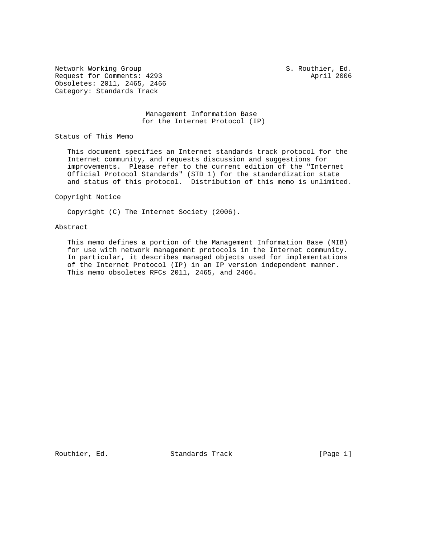Network Working Group S. Routhier, Ed. Request for Comments: 4293 April 2006 Obsoletes: 2011, 2465, 2466 Category: Standards Track

## Management Information Base for the Internet Protocol (IP)

Status of This Memo

 This document specifies an Internet standards track protocol for the Internet community, and requests discussion and suggestions for improvements. Please refer to the current edition of the "Internet Official Protocol Standards" (STD 1) for the standardization state and status of this protocol. Distribution of this memo is unlimited.

Copyright Notice

Copyright (C) The Internet Society (2006).

## Abstract

 This memo defines a portion of the Management Information Base (MIB) for use with network management protocols in the Internet community. In particular, it describes managed objects used for implementations of the Internet Protocol (IP) in an IP version independent manner. This memo obsoletes RFCs 2011, 2465, and 2466.

Routhier, Ed. Standards Track [Page 1]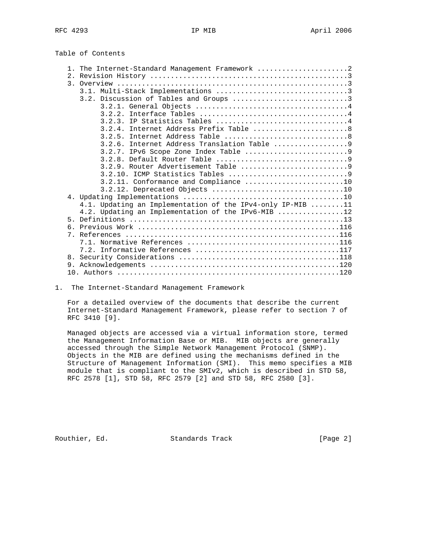| Table of Contents |  |  |  |  |
|-------------------|--|--|--|--|
|-------------------|--|--|--|--|

| 1. The Internet-Standard Management Framework 2            |  |
|------------------------------------------------------------|--|
|                                                            |  |
|                                                            |  |
|                                                            |  |
|                                                            |  |
|                                                            |  |
|                                                            |  |
| 3.2.3. IP Statistics Tables 4                              |  |
| 3.2.4. Internet Address Prefix Table  8                    |  |
|                                                            |  |
|                                                            |  |
| 3.2.6. Internet Address Translation Table 9                |  |
|                                                            |  |
|                                                            |  |
|                                                            |  |
|                                                            |  |
| $3.2.11.$ Conformance and Compliance 10                    |  |
|                                                            |  |
|                                                            |  |
| 4.1. Updating an Implementation of the IPv4-only IP-MIB 11 |  |
| 4.2. Updating an Implementation of the IPv6-MIB 12         |  |
| $5 -$                                                      |  |
| რ —                                                        |  |
|                                                            |  |
|                                                            |  |
|                                                            |  |
| 8.                                                         |  |
|                                                            |  |
|                                                            |  |
|                                                            |  |

1. The Internet-Standard Management Framework

 For a detailed overview of the documents that describe the current Internet-Standard Management Framework, please refer to section 7 of RFC 3410 [9].

 Managed objects are accessed via a virtual information store, termed the Management Information Base or MIB. MIB objects are generally accessed through the Simple Network Management Protocol (SNMP). Objects in the MIB are defined using the mechanisms defined in the Structure of Management Information (SMI). This memo specifies a MIB module that is compliant to the SMIv2, which is described in STD 58, RFC 2578 [1], STD 58, RFC 2579 [2] and STD 58, RFC 2580 [3].

Routhier, Ed. Standards Track [Page 2]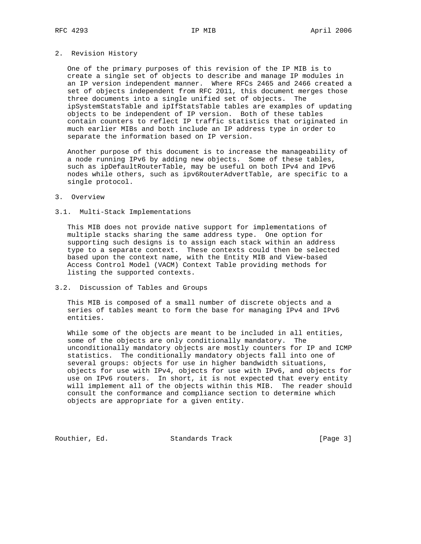## 2. Revision History

 One of the primary purposes of this revision of the IP MIB is to create a single set of objects to describe and manage IP modules in an IP version independent manner. Where RFCs 2465 and 2466 created a set of objects independent from RFC 2011, this document merges those three documents into a single unified set of objects. The ipSystemStatsTable and ipIfStatsTable tables are examples of updating objects to be independent of IP version. Both of these tables contain counters to reflect IP traffic statistics that originated in much earlier MIBs and both include an IP address type in order to separate the information based on IP version.

 Another purpose of this document is to increase the manageability of a node running IPv6 by adding new objects. Some of these tables, such as ipDefaultRouterTable, may be useful on both IPv4 and IPv6 nodes while others, such as ipv6RouterAdvertTable, are specific to a single protocol.

## 3. Overview

## 3.1. Multi-Stack Implementations

 This MIB does not provide native support for implementations of multiple stacks sharing the same address type. One option for supporting such designs is to assign each stack within an address type to a separate context. These contexts could then be selected based upon the context name, with the Entity MIB and View-based Access Control Model (VACM) Context Table providing methods for listing the supported contexts.

## 3.2. Discussion of Tables and Groups

 This MIB is composed of a small number of discrete objects and a series of tables meant to form the base for managing IPv4 and IPv6 entities.

 While some of the objects are meant to be included in all entities, some of the objects are only conditionally mandatory. The unconditionally mandatory objects are mostly counters for IP and ICMP statistics. The conditionally mandatory objects fall into one of several groups: objects for use in higher bandwidth situations, objects for use with IPv4, objects for use with IPv6, and objects for use on IPv6 routers. In short, it is not expected that every entity will implement all of the objects within this MIB. The reader should consult the conformance and compliance section to determine which objects are appropriate for a given entity.

Routhier, Ed. Standards Track [Page 3]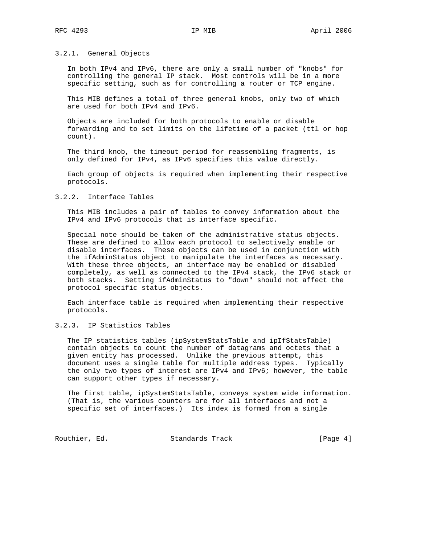## 3.2.1. General Objects

 In both IPv4 and IPv6, there are only a small number of "knobs" for controlling the general IP stack. Most controls will be in a more specific setting, such as for controlling a router or TCP engine.

 This MIB defines a total of three general knobs, only two of which are used for both IPv4 and IPv6.

 Objects are included for both protocols to enable or disable forwarding and to set limits on the lifetime of a packet (ttl or hop count).

 The third knob, the timeout period for reassembling fragments, is only defined for IPv4, as IPv6 specifies this value directly.

 Each group of objects is required when implementing their respective protocols.

## 3.2.2. Interface Tables

 This MIB includes a pair of tables to convey information about the IPv4 and IPv6 protocols that is interface specific.

 Special note should be taken of the administrative status objects. These are defined to allow each protocol to selectively enable or disable interfaces. These objects can be used in conjunction with the ifAdminStatus object to manipulate the interfaces as necessary. With these three objects, an interface may be enabled or disabled completely, as well as connected to the IPv4 stack, the IPv6 stack or both stacks. Setting ifAdminStatus to "down" should not affect the protocol specific status objects.

 Each interface table is required when implementing their respective protocols.

# 3.2.3. IP Statistics Tables

 The IP statistics tables (ipSystemStatsTable and ipIfStatsTable) contain objects to count the number of datagrams and octets that a given entity has processed. Unlike the previous attempt, this document uses a single table for multiple address types. Typically the only two types of interest are IPv4 and IPv6; however, the table can support other types if necessary.

 The first table, ipSystemStatsTable, conveys system wide information. (That is, the various counters are for all interfaces and not a specific set of interfaces.) Its index is formed from a single

Routhier, Ed. Standards Track [Page 4]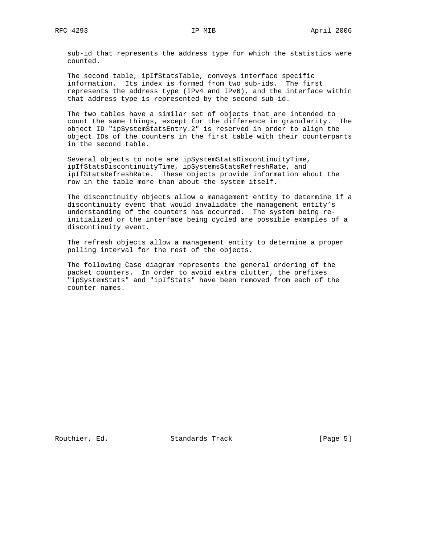sub-id that represents the address type for which the statistics were counted.

 The second table, ipIfStatsTable, conveys interface specific information. Its index is formed from two sub-ids. The first represents the address type (IPv4 and IPv6), and the interface within that address type is represented by the second sub-id.

 The two tables have a similar set of objects that are intended to count the same things, except for the difference in granularity. The object ID "ipSystemStatsEntry.2" is reserved in order to align the object IDs of the counters in the first table with their counterparts in the second table.

 Several objects to note are ipSystemStatsDiscontinuityTime, ipIfStatsDiscontinuityTime, ipSystemsStatsRefreshRate, and ipIfStatsRefreshRate. These objects provide information about the row in the table more than about the system itself.

 The discontinuity objects allow a management entity to determine if a discontinuity event that would invalidate the management entity's understanding of the counters has occurred. The system being re initialized or the interface being cycled are possible examples of a discontinuity event.

 The refresh objects allow a management entity to determine a proper polling interval for the rest of the objects.

 The following Case diagram represents the general ordering of the packet counters. In order to avoid extra clutter, the prefixes "ipSystemStats" and "ipIfStats" have been removed from each of the counter names.

Routhier, Ed. Standards Track [Page 5]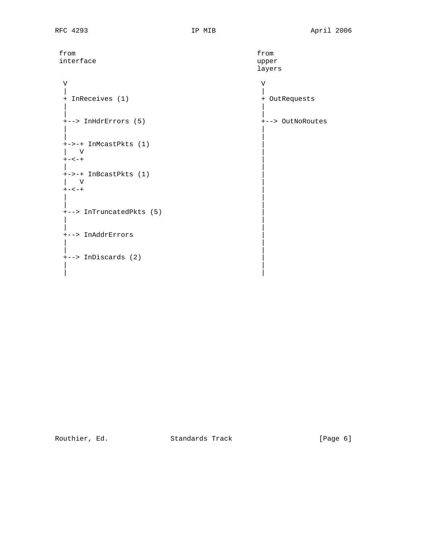| from                     | from             |
|--------------------------|------------------|
| interface                | upper            |
|                          | layers           |
|                          |                  |
| V                        | V                |
|                          |                  |
| + InReceives (1)         | + OutRequests    |
|                          |                  |
|                          |                  |
| +--> InHdrErrors (5)     | +--> OutNoRoutes |
|                          |                  |
|                          |                  |
| +->-+ InMcastPkts (1)    |                  |
| V                        |                  |
| $+ - < - +$              |                  |
|                          |                  |
| +->-+ InBcastPkts (1)    |                  |
| V                        |                  |
| $+ - < - +$              |                  |
|                          |                  |
|                          |                  |
| +--> InTruncatedPkts (5) |                  |
|                          |                  |
|                          |                  |
| +--> InAddrErrors        |                  |
|                          |                  |
|                          |                  |
| +--> InDiscards (2)      |                  |
|                          |                  |

| |

Routhier, Ed. Standards Track [Page 6]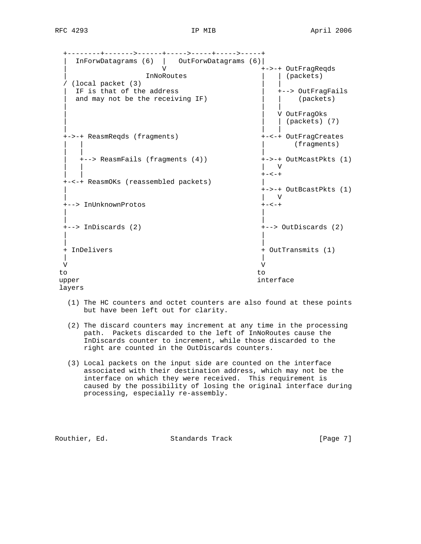+--------+------->------+----->-----+----->-----+ | InForwDatagrams (6) | OutForwDatagrams (6)| | V +->-+ OutFragReqds | InNoRoutes | (packets) | (packets) | (packets) | (packets) | (packets) | (packets) | (packets) | (packets) | ( / (local packet (3)  $|$  | IF is that of the address | +--> OutFragFails and may not be the receiving IF)  $|$  (packets) | | | | | V OutFragOks  $|$  (packets)  $(7)$  | | | +->-+ ReasmReqds (fragments) +-<-+ OutFragCreates (fragments) | | | | +--> ReasmFails (fragments (4)) +->-+ OutMcastPkts (1) | | | V | | +-<-+ +-<-+ ReasmOKs (reassembled packets) | | +->-+ OutBcastPkts (1) | | V +--> InUnknownProtos +-<-+ | | | | +--> InDiscards (2) +--> OutDiscards (2) | | | | + InDelivers + OutTransmits (1) | | V V to to upper interface interface layers

- (1) The HC counters and octet counters are also found at these points but have been left out for clarity.
- (2) The discard counters may increment at any time in the processing path. Packets discarded to the left of InNoRoutes cause the InDiscards counter to increment, while those discarded to the right are counted in the OutDiscards counters.
- (3) Local packets on the input side are counted on the interface associated with their destination address, which may not be the interface on which they were received. This requirement is caused by the possibility of losing the original interface during processing, especially re-assembly.

Routhier, Ed. Standards Track [Page 7]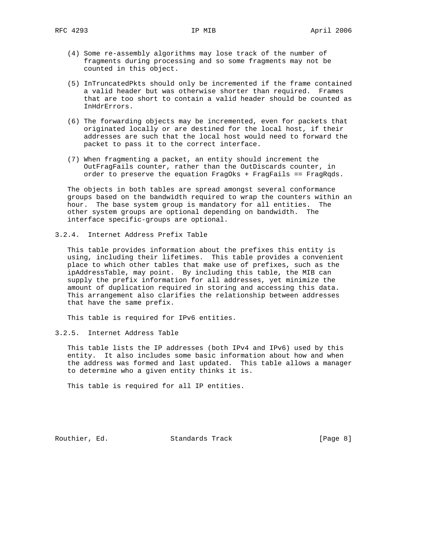- (4) Some re-assembly algorithms may lose track of the number of fragments during processing and so some fragments may not be counted in this object.
- (5) InTruncatedPkts should only be incremented if the frame contained a valid header but was otherwise shorter than required. Frames that are too short to contain a valid header should be counted as InHdrErrors.
- (6) The forwarding objects may be incremented, even for packets that originated locally or are destined for the local host, if their addresses are such that the local host would need to forward the packet to pass it to the correct interface.
- (7) When fragmenting a packet, an entity should increment the OutFragFails counter, rather than the OutDiscards counter, in order to preserve the equation FragOks + FragFails == FragRqds.

 The objects in both tables are spread amongst several conformance groups based on the bandwidth required to wrap the counters within an hour. The base system group is mandatory for all entities. The other system groups are optional depending on bandwidth. The interface specific-groups are optional.

3.2.4. Internet Address Prefix Table

 This table provides information about the prefixes this entity is using, including their lifetimes. This table provides a convenient place to which other tables that make use of prefixes, such as the ipAddressTable, may point. By including this table, the MIB can supply the prefix information for all addresses, yet minimize the amount of duplication required in storing and accessing this data. This arrangement also clarifies the relationship between addresses that have the same prefix.

This table is required for IPv6 entities.

3.2.5. Internet Address Table

 This table lists the IP addresses (both IPv4 and IPv6) used by this entity. It also includes some basic information about how and when the address was formed and last updated. This table allows a manager to determine who a given entity thinks it is.

This table is required for all IP entities.

Routhier, Ed. Standards Track [Page 8]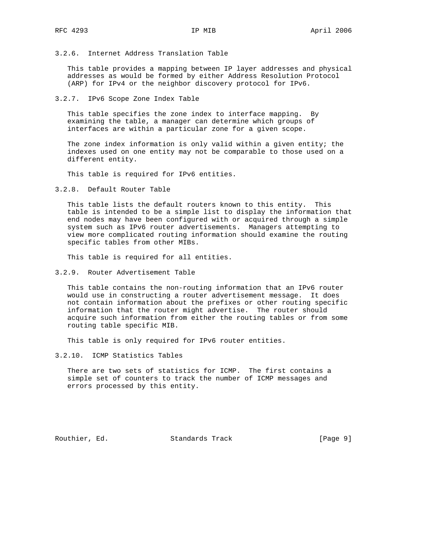3.2.6. Internet Address Translation Table

 This table provides a mapping between IP layer addresses and physical addresses as would be formed by either Address Resolution Protocol (ARP) for IPv4 or the neighbor discovery protocol for IPv6.

3.2.7. IPv6 Scope Zone Index Table

 This table specifies the zone index to interface mapping. By examining the table, a manager can determine which groups of interfaces are within a particular zone for a given scope.

 The zone index information is only valid within a given entity; the indexes used on one entity may not be comparable to those used on a different entity.

This table is required for IPv6 entities.

3.2.8. Default Router Table

 This table lists the default routers known to this entity. This table is intended to be a simple list to display the information that end nodes may have been configured with or acquired through a simple system such as IPv6 router advertisements. Managers attempting to view more complicated routing information should examine the routing specific tables from other MIBs.

This table is required for all entities.

3.2.9. Router Advertisement Table

 This table contains the non-routing information that an IPv6 router would use in constructing a router advertisement message. It does not contain information about the prefixes or other routing specific information that the router might advertise. The router should acquire such information from either the routing tables or from some routing table specific MIB.

This table is only required for IPv6 router entities.

3.2.10. ICMP Statistics Tables

 There are two sets of statistics for ICMP. The first contains a simple set of counters to track the number of ICMP messages and errors processed by this entity.

Routhier, Ed. Standards Track [Page 9]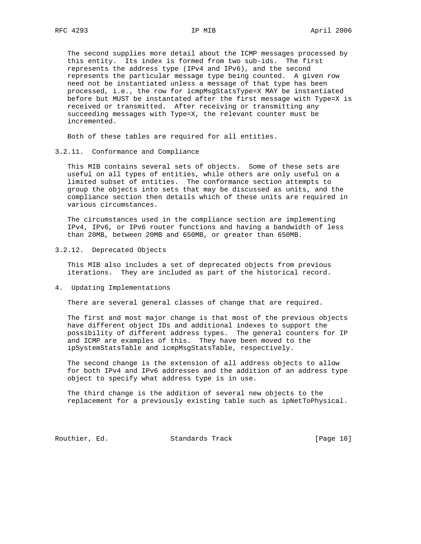The second supplies more detail about the ICMP messages processed by this entity. Its index is formed from two sub-ids. The first represents the address type (IPv4 and IPv6), and the second represents the particular message type being counted. A given row need not be instantiated unless a message of that type has been processed, i.e., the row for icmpMsgStatsType=X MAY be instantiated before but MUST be instantated after the first message with Type=X is received or transmitted. After receiving or transmitting any succeeding messages with Type=X, the relevant counter must be incremented.

Both of these tables are required for all entities.

3.2.11. Conformance and Compliance

 This MIB contains several sets of objects. Some of these sets are useful on all types of entities, while others are only useful on a limited subset of entities. The conformance section attempts to group the objects into sets that may be discussed as units, and the compliance section then details which of these units are required in various circumstances.

 The circumstances used in the compliance section are implementing IPv4, IPv6, or IPv6 router functions and having a bandwidth of less than 20MB, between 20MB and 650MB, or greater than 650MB.

3.2.12. Deprecated Objects

 This MIB also includes a set of deprecated objects from previous iterations. They are included as part of the historical record.

4. Updating Implementations

There are several general classes of change that are required.

 The first and most major change is that most of the previous objects have different object IDs and additional indexes to support the possibility of different address types. The general counters for IP and ICMP are examples of this. They have been moved to the ipSystemStatsTable and icmpMsgStatsTable, respectively.

 The second change is the extension of all address objects to allow for both IPv4 and IPv6 addresses and the addition of an address type object to specify what address type is in use.

 The third change is the addition of several new objects to the replacement for a previously existing table such as ipNetToPhysical.

Routhier, Ed. Standards Track [Page 10]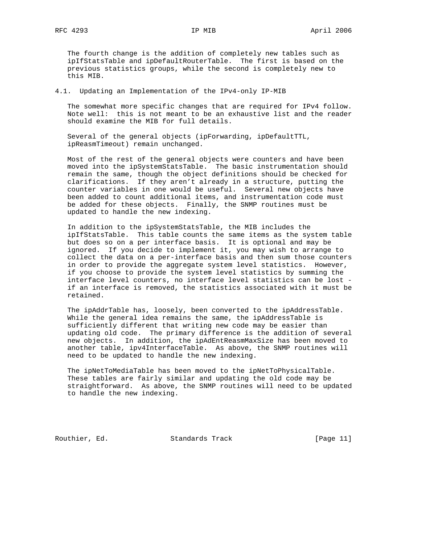The fourth change is the addition of completely new tables such as ipIfStatsTable and ipDefaultRouterTable. The first is based on the previous statistics groups, while the second is completely new to this MIB.

4.1. Updating an Implementation of the IPv4-only IP-MIB

 The somewhat more specific changes that are required for IPv4 follow. Note well: this is not meant to be an exhaustive list and the reader should examine the MIB for full details.

 Several of the general objects (ipForwarding, ipDefaultTTL, ipReasmTimeout) remain unchanged.

 Most of the rest of the general objects were counters and have been moved into the ipSystemStatsTable. The basic instrumentation should remain the same, though the object definitions should be checked for clarifications. If they aren't already in a structure, putting the counter variables in one would be useful. Several new objects have been added to count additional items, and instrumentation code must be added for these objects. Finally, the SNMP routines must be updated to handle the new indexing.

 In addition to the ipSystemStatsTable, the MIB includes the ipIfStatsTable. This table counts the same items as the system table but does so on a per interface basis. It is optional and may be ignored. If you decide to implement it, you may wish to arrange to collect the data on a per-interface basis and then sum those counters in order to provide the aggregate system level statistics. However, if you choose to provide the system level statistics by summing the interface level counters, no interface level statistics can be lost if an interface is removed, the statistics associated with it must be retained.

 The ipAddrTable has, loosely, been converted to the ipAddressTable. While the general idea remains the same, the ipAddressTable is sufficiently different that writing new code may be easier than updating old code. The primary difference is the addition of several new objects. In addition, the ipAdEntReasmMaxSize has been moved to another table, ipv4InterfaceTable. As above, the SNMP routines will need to be updated to handle the new indexing.

 The ipNetToMediaTable has been moved to the ipNetToPhysicalTable. These tables are fairly similar and updating the old code may be straightforward. As above, the SNMP routines will need to be updated to handle the new indexing.

Routhier, Ed. Standards Track [Page 11]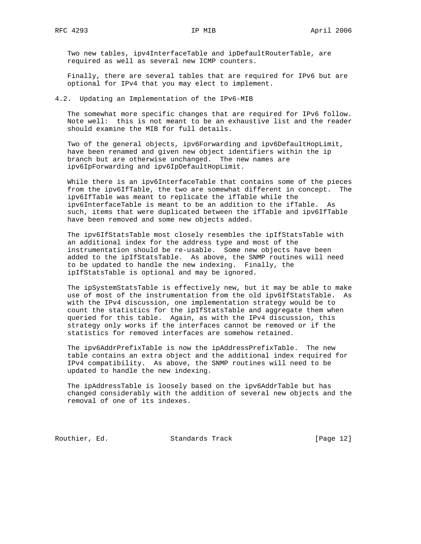Two new tables, ipv4InterfaceTable and ipDefaultRouterTable, are required as well as several new ICMP counters.

 Finally, there are several tables that are required for IPv6 but are optional for IPv4 that you may elect to implement.

4.2. Updating an Implementation of the IPv6-MIB

 The somewhat more specific changes that are required for IPv6 follow. Note well: this is not meant to be an exhaustive list and the reader should examine the MIB for full details.

 Two of the general objects, ipv6Forwarding and ipv6DefaultHopLimit, have been renamed and given new object identifiers within the ip branch but are otherwise unchanged. The new names are ipv6IpForwarding and ipv6IpDefaultHopLimit.

 While there is an ipv6InterfaceTable that contains some of the pieces from the ipv6IfTable, the two are somewhat different in concept. The ipv6IfTable was meant to replicate the ifTable while the ipv6InterfaceTable is meant to be an addition to the ifTable. As such, items that were duplicated between the ifTable and ipv6IfTable have been removed and some new objects added.

 The ipv6IfStatsTable most closely resembles the ipIfStatsTable with an additional index for the address type and most of the instrumentation should be re-usable. Some new objects have been added to the ipIfStatsTable. As above, the SNMP routines will need to be updated to handle the new indexing. Finally, the ipIfStatsTable is optional and may be ignored.

 The ipSystemStatsTable is effectively new, but it may be able to make use of most of the instrumentation from the old ipv6IfStatsTable. As with the IPv4 discussion, one implementation strategy would be to count the statistics for the ipIfStatsTable and aggregate them when queried for this table. Again, as with the IPv4 discussion, this strategy only works if the interfaces cannot be removed or if the statistics for removed interfaces are somehow retained.

 The ipv6AddrPrefixTable is now the ipAddressPrefixTable. The new table contains an extra object and the additional index required for IPv4 compatibility. As above, the SNMP routines will need to be updated to handle the new indexing.

 The ipAddressTable is loosely based on the ipv6AddrTable but has changed considerably with the addition of several new objects and the removal of one of its indexes.

Routhier, Ed. Standards Track [Page 12]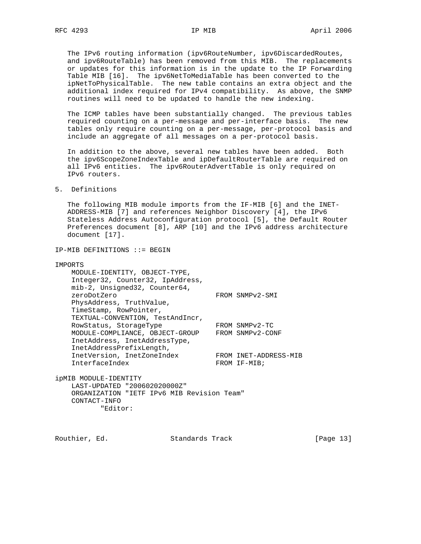The IPv6 routing information (ipv6RouteNumber, ipv6DiscardedRoutes, and ipv6RouteTable) has been removed from this MIB. The replacements or updates for this information is in the update to the IP Forwarding Table MIB [16]. The ipv6NetToMediaTable has been converted to the ipNetToPhysicalTable. The new table contains an extra object and the additional index required for IPv4 compatibility. As above, the SNMP routines will need to be updated to handle the new indexing.

 The ICMP tables have been substantially changed. The previous tables required counting on a per-message and per-interface basis. The new tables only require counting on a per-message, per-protocol basis and include an aggregate of all messages on a per-protocol basis.

 In addition to the above, several new tables have been added. Both the ipv6ScopeZoneIndexTable and ipDefaultRouterTable are required on all IPv6 entities. The ipv6RouterAdvertTable is only required on IPv6 routers.

## 5. Definitions

 The following MIB module imports from the IF-MIB [6] and the INET- ADDRESS-MIB [7] and references Neighbor Discovery [4], the IPv6 Stateless Address Autoconfiguration protocol [5], the Default Router Preferences document [8], ARP [10] and the IPv6 address architecture document [17].

IP-MIB DEFINITIONS ::= BEGIN

| IMPORTS                                                                                                                                   |                       |
|-------------------------------------------------------------------------------------------------------------------------------------------|-----------------------|
| MODULE-IDENTITY, OBJECT-TYPE,                                                                                                             |                       |
| Integer32, Counter32, IpAddress,                                                                                                          |                       |
| mib-2, Unsigned32, Counter64,                                                                                                             |                       |
| zeroDotZero                                                                                                                               | FROM SNMPv2-SMI       |
| PhysAddress, TruthValue,                                                                                                                  |                       |
| TimeStamp, RowPointer,                                                                                                                    |                       |
| TEXTUAL-CONVENTION, TestAndIncr,                                                                                                          |                       |
| RowStatus, StorageType                                                                                                                    | FROM SNMPv2-TC        |
| MODULE-COMPLIANCE, OBJECT-GROUP                                                                                                           | FROM SNMPv2-CONF      |
| InetAddress, InetAddressType,                                                                                                             |                       |
| InetAddressPrefixLength,                                                                                                                  |                       |
| InetVersion, InetZoneIndex                                                                                                                | FROM INET-ADDRESS-MIB |
| InterfaceIndex                                                                                                                            | FROM IF-MIB;          |
|                                                                                                                                           |                       |
| $\frac{1}{2}$ $\cdots$ $\frac{1}{2}$ $\cdots$ $\frac{1}{2}$ $\cdots$ $\frac{1}{2}$ $\cdots$ $\frac{1}{2}$ $\cdots$ $\frac{1}{2}$ $\cdots$ |                       |

ipMIB MODULE-IDENTITY LAST-UPDATED "200602020000Z" ORGANIZATION "IETF IPv6 MIB Revision Team" CONTACT-INFO "Editor:

Routhier, Ed. Standards Track [Page 13]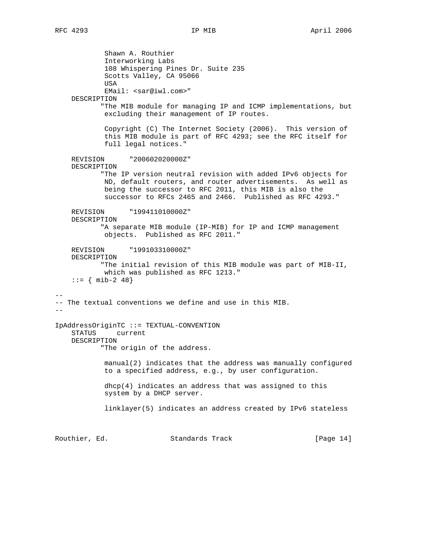Shawn A. Routhier Interworking Labs 108 Whispering Pines Dr. Suite 235 Scotts Valley, CA 95066 USA EMail: <sar@iwl.com>" DESCRIPTION "The MIB module for managing IP and ICMP implementations, but excluding their management of IP routes. Copyright (C) The Internet Society (2006). This version of this MIB module is part of RFC 4293; see the RFC itself for full legal notices." REVISION "200602020000Z" DESCRIPTION "The IP version neutral revision with added IPv6 objects for ND, default routers, and router advertisements. As well as being the successor to RFC 2011, this MIB is also the successor to RFCs 2465 and 2466. Published as RFC 4293." REVISION "199411010000Z" DESCRIPTION "A separate MIB module (IP-MIB) for IP and ICMP management objects. Published as RFC 2011." REVISION "199103310000Z" DESCRIPTION "The initial revision of this MIB module was part of MIB-II, which was published as RFC 1213."  $: := \{ \text{min-2 48} \}$ -- -- The textual conventions we define and use in this MIB. -- IpAddressOriginTC ::= TEXTUAL-CONVENTION STATUS current DESCRIPTION "The origin of the address. manual(2) indicates that the address was manually configured to a specified address, e.g., by user configuration. dhcp(4) indicates an address that was assigned to this system by a DHCP server. linklayer(5) indicates an address created by IPv6 stateless

Routhier, Ed. 6. Standards Track [Page 14]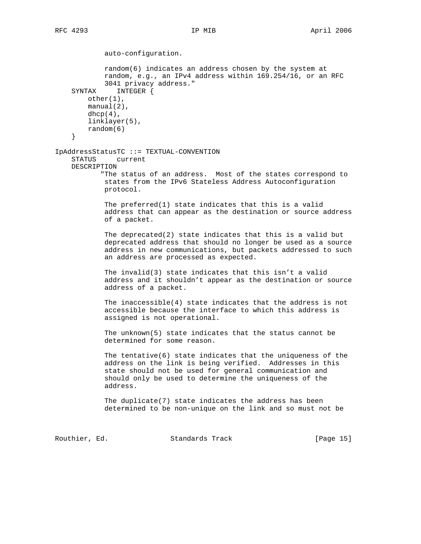auto-configuration. random(6) indicates an address chosen by the system at random, e.g., an IPv4 address within 169.254/16, or an RFC 3041 privacy address." SYNTAX INTEGER { other(1), manual(2),  $dhep(4)$ , linklayer(5), random(6) } IpAddressStatusTC ::= TEXTUAL-CONVENTION STATUS current DESCRIPTION "The status of an address. Most of the states correspond to states from the IPv6 Stateless Address Autoconfiguration protocol. The preferred(1) state indicates that this is a valid address that can appear as the destination or source address of a packet. The deprecated(2) state indicates that this is a valid but deprecated address that should no longer be used as a source address in new communications, but packets addressed to such an address are processed as expected. The invalid(3) state indicates that this isn't a valid address and it shouldn't appear as the destination or source address of a packet. The inaccessible(4) state indicates that the address is not accessible because the interface to which this address is assigned is not operational. The unknown(5) state indicates that the status cannot be determined for some reason. The tentative(6) state indicates that the uniqueness of the address on the link is being verified. Addresses in this state should not be used for general communication and should only be used to determine the uniqueness of the address. The duplicate(7) state indicates the address has been determined to be non-unique on the link and so must not be

Routhier, Ed. 6. Standards Track [Page 15]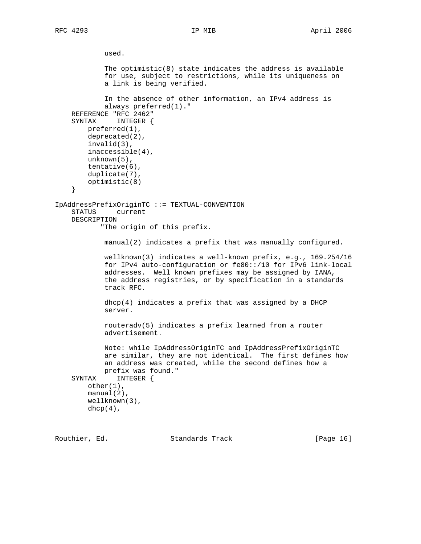```
 used.
            The optimistic(8) state indicates the address is available
             for use, subject to restrictions, while its uniqueness on
             a link is being verified.
             In the absence of other information, an IPv4 address is
             always preferred(1)."
     REFERENCE "RFC 2462"
     SYNTAX INTEGER {
         preferred(1),
         deprecated(2),
         invalid(3),
         inaccessible(4),
         unknown(5),
         tentative(6),
         duplicate(7),
         optimistic(8)
     }
IpAddressPrefixOriginTC ::= TEXTUAL-CONVENTION
     STATUS current
    DESCRIPTION
            "The origin of this prefix.
             manual(2) indicates a prefix that was manually configured.
             wellknown(3) indicates a well-known prefix, e.g., 169.254/16
             for IPv4 auto-configuration or fe80::/10 for IPv6 link-local
             addresses. Well known prefixes may be assigned by IANA,
             the address registries, or by specification in a standards
             track RFC.
            dhcp(4) indicates a prefix that was assigned by a DHCP
             server.
             routeradv(5) indicates a prefix learned from a router
             advertisement.
             Note: while IpAddressOriginTC and IpAddressPrefixOriginTC
             are similar, they are not identical. The first defines how
             an address was created, while the second defines how a
             prefix was found."
     SYNTAX INTEGER {
         other(1),
         manual(2),
         wellknown(3),
        dhp(4),
```
Routhier, Ed. 6. Standards Track [Page 16]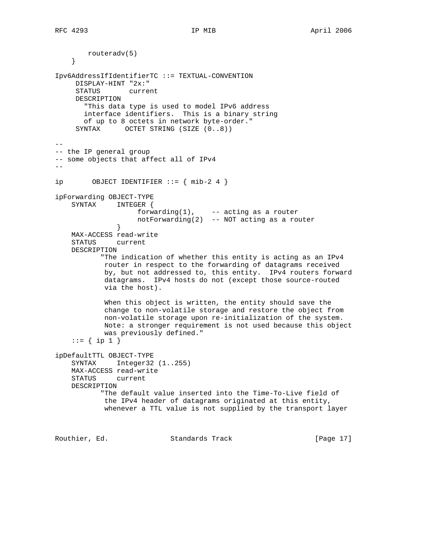routeradv(5) } Ipv6AddressIfIdentifierTC ::= TEXTUAL-CONVENTION DISPLAY-HINT "2x:" STATUS current DESCRIPTION "This data type is used to model IPv6 address interface identifiers. This is a binary string of up to 8 octets in network byte-order." SYNTAX OCTET STRING (SIZE  $(0..8)$ ) -- -- the IP general group -- some objects that affect all of IPv4 - ip 0BJECT IDENTIFIER  $:= \{ mib-2, 4 \}$ ipForwarding OBJECT-TYPE SYNTAX INTEGER { forwarding(1), -- acting as a router notForwarding(2) -- NOT acting as a router } MAX-ACCESS read-write STATUS current DESCRIPTION "The indication of whether this entity is acting as an IPv4 router in respect to the forwarding of datagrams received by, but not addressed to, this entity. IPv4 routers forward datagrams. IPv4 hosts do not (except those source-routed via the host). When this object is written, the entity should save the change to non-volatile storage and restore the object from non-volatile storage upon re-initialization of the system. Note: a stronger requirement is not used because this object was previously defined." ::=  $\{ \text{ip 1 } \}$ ipDefaultTTL OBJECT-TYPE SYNTAX Integer32 (1..255) MAX-ACCESS read-write STATUS current DESCRIPTION "The default value inserted into the Time-To-Live field of the IPv4 header of datagrams originated at this entity, whenever a TTL value is not supplied by the transport layer

Routhier, Ed. 6. Standards Track [Page 17]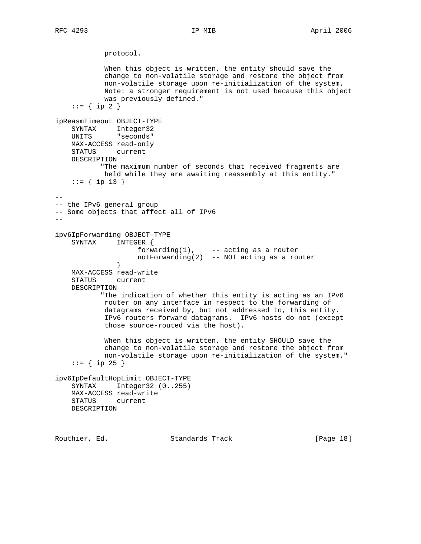```
 protocol.
            When this object is written, the entity should save the
            change to non-volatile storage and restore the object from
            non-volatile storage upon re-initialization of the system.
            Note: a stronger requirement is not used because this object
            was previously defined."
    ::= \{ \text{ip } 2 \}ipReasmTimeout OBJECT-TYPE
 SYNTAX Integer32
 UNITS "seconds"
    MAX-ACCESS read-only
     STATUS current
    DESCRIPTION
           "The maximum number of seconds that received fragments are
            held while they are awaiting reassembly at this entity."
    ::= { ip 13 }
--
-- the IPv6 general group
-- Some objects that affect all of IPv6
-ipv6IpForwarding OBJECT-TYPE
     SYNTAX INTEGER {
                   forwarding(1), -- acting as a router
                    notForwarding(2) -- NOT acting as a router
 }
    MAX-ACCESS read-write
     STATUS current
    DESCRIPTION
            "The indication of whether this entity is acting as an IPv6
            router on any interface in respect to the forwarding of
            datagrams received by, but not addressed to, this entity.
            IPv6 routers forward datagrams. IPv6 hosts do not (except
            those source-routed via the host).
            When this object is written, the entity SHOULD save the
            change to non-volatile storage and restore the object from
            non-volatile storage upon re-initialization of the system."
    ::= { ip 25 }
ipv6IpDefaultHopLimit OBJECT-TYPE
     SYNTAX Integer32 (0..255)
    MAX-ACCESS read-write
    STATUS current
    DESCRIPTION
```
Routhier, Ed. 6. Standards Track [Page 18]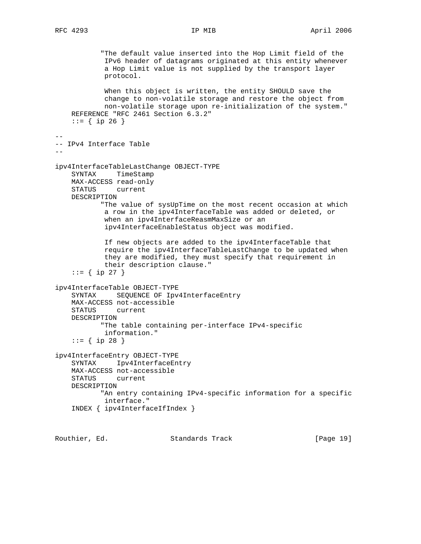"The default value inserted into the Hop Limit field of the IPv6 header of datagrams originated at this entity whenever a Hop Limit value is not supplied by the transport layer protocol. When this object is written, the entity SHOULD save the change to non-volatile storage and restore the object from non-volatile storage upon re-initialization of the system." REFERENCE "RFC 2461 Section 6.3.2"  $::=$  { ip 26 } -- -- IPv4 Interface Table - ipv4InterfaceTableLastChange OBJECT-TYPE SYNTAX TimeStamp MAX-ACCESS read-only STATUS current DESCRIPTION "The value of sysUpTime on the most recent occasion at which a row in the ipv4InterfaceTable was added or deleted, or when an ipv4InterfaceReasmMaxSize or an ipv4InterfaceEnableStatus object was modified. If new objects are added to the ipv4InterfaceTable that require the ipv4InterfaceTableLastChange to be updated when they are modified, they must specify that requirement in their description clause." ::= { ip 27 } ipv4InterfaceTable OBJECT-TYPE SYNTAX SEQUENCE OF Ipv4InterfaceEntry MAX-ACCESS not-accessible STATUS current DESCRIPTION "The table containing per-interface IPv4-specific information."  $::=$  { ip 28 } ipv4InterfaceEntry OBJECT-TYPE SYNTAX Ipv4InterfaceEntry MAX-ACCESS not-accessible STATUS current DESCRIPTION "An entry containing IPv4-specific information for a specific interface." INDEX { ipv4InterfaceIfIndex }

Routhier, Ed. 6. Standards Track [Page 19]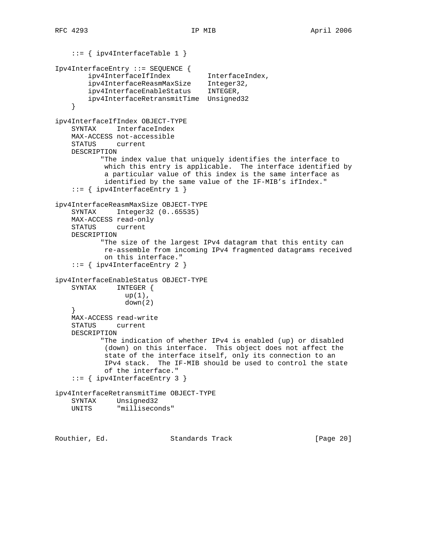```
 ::= { ipv4InterfaceTable 1 }
Ipv4InterfaceEntry ::= SEQUENCE {
 ipv4InterfaceIfIndex InterfaceIndex,
 ipv4InterfaceReasmMaxSize Integer32,
 ipv4InterfaceEnableStatus INTEGER,
        ipv4InterfaceRetransmitTime Unsigned32
     }
ipv4InterfaceIfIndex OBJECT-TYPE
    SYNTAX InterfaceIndex
    MAX-ACCESS not-accessible
    STATUS current
    DESCRIPTION
           "The index value that uniquely identifies the interface to
            which this entry is applicable. The interface identified by
            a particular value of this index is the same interface as
            identified by the same value of the IF-MIB's ifIndex."
     ::= { ipv4InterfaceEntry 1 }
ipv4InterfaceReasmMaxSize OBJECT-TYPE
     SYNTAX Integer32 (0..65535)
    MAX-ACCESS read-only
    STATUS current
    DESCRIPTION
           "The size of the largest IPv4 datagram that this entity can
            re-assemble from incoming IPv4 fragmented datagrams received
            on this interface."
     ::= { ipv4InterfaceEntry 2 }
ipv4InterfaceEnableStatus OBJECT-TYPE
    SYNTAX INTEGER {
                 up(1),
                 down(2)
     }
    MAX-ACCESS read-write
    STATUS current
    DESCRIPTION
           "The indication of whether IPv4 is enabled (up) or disabled
            (down) on this interface. This object does not affect the
            state of the interface itself, only its connection to an
            IPv4 stack. The IF-MIB should be used to control the state
            of the interface."
     ::= { ipv4InterfaceEntry 3 }
ipv4InterfaceRetransmitTime OBJECT-TYPE
    SYNTAX Unsigned32
    UNITS "milliseconds"
```
Routhier, Ed. 6. Standards Track [Page 20]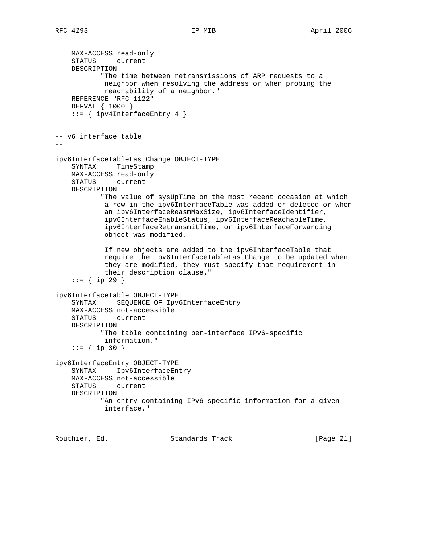```
 MAX-ACCESS read-only
     STATUS current
    DESCRIPTION
            "The time between retransmissions of ARP requests to a
            neighbor when resolving the address or when probing the
            reachability of a neighbor."
    REFERENCE "RFC 1122"
    DEFVAL { 1000 }
     ::= { ipv4InterfaceEntry 4 }
--
-- v6 interface table
--
ipv6InterfaceTableLastChange OBJECT-TYPE
     SYNTAX TimeStamp
    MAX-ACCESS read-only
    STATUS current
    DESCRIPTION
           "The value of sysUpTime on the most recent occasion at which
             a row in the ipv6InterfaceTable was added or deleted or when
             an ipv6InterfaceReasmMaxSize, ipv6InterfaceIdentifier,
             ipv6InterfaceEnableStatus, ipv6InterfaceReachableTime,
             ipv6InterfaceRetransmitTime, or ipv6InterfaceForwarding
             object was modified.
             If new objects are added to the ipv6InterfaceTable that
             require the ipv6InterfaceTableLastChange to be updated when
             they are modified, they must specify that requirement in
             their description clause."
     ::= { ip 29 }
ipv6InterfaceTable OBJECT-TYPE
     SYNTAX SEQUENCE OF Ipv6InterfaceEntry
    MAX-ACCESS not-accessible
    STATUS current
    DESCRIPTION
            "The table containing per-interface IPv6-specific
             information."
     ::= { ip 30 }
ipv6InterfaceEntry OBJECT-TYPE
     SYNTAX Ipv6InterfaceEntry
    MAX-ACCESS not-accessible
    STATUS current
    DESCRIPTION
            "An entry containing IPv6-specific information for a given
            interface."
```
Routhier, Ed. 6. Standards Track [Page 21]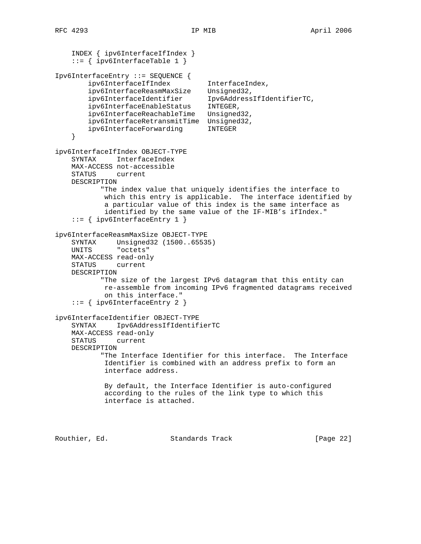```
 INDEX { ipv6InterfaceIfIndex }
     ::= { ipv6InterfaceTable 1 }
Ipv6InterfaceEntry ::= SEQUENCE {
 ipv6InterfaceIfIndex InterfaceIndex,
 ipv6InterfaceReasmMaxSize Unsigned32,
 ipv6InterfaceIdentifier Ipv6AddressIfIdentifierTC,
 ipv6InterfaceEnableStatus INTEGER,
         ipv6InterfaceReachableTime Unsigned32,
       ipv6InterfaceRetransmitTime Unsigned32,<br>ipv6InterfaceForwarding INTEGER
       ipv6InterfaceForwarding
     }
ipv6InterfaceIfIndex OBJECT-TYPE
    SYNTAX InterfaceIndex
    MAX-ACCESS not-accessible
    STATUS current
    DESCRIPTION
           "The index value that uniquely identifies the interface to
            which this entry is applicable. The interface identified by
            a particular value of this index is the same interface as
            identified by the same value of the IF-MIB's ifIndex."
     ::= { ipv6InterfaceEntry 1 }
ipv6InterfaceReasmMaxSize OBJECT-TYPE
 SYNTAX Unsigned32 (1500..65535)
 UNITS "octets"
    MAX-ACCESS read-only
    STATUS current
    DESCRIPTION
           "The size of the largest IPv6 datagram that this entity can
            re-assemble from incoming IPv6 fragmented datagrams received
            on this interface."
     ::= { ipv6InterfaceEntry 2 }
ipv6InterfaceIdentifier OBJECT-TYPE
    SYNTAX Ipv6AddressIfIdentifierTC
    MAX-ACCESS read-only
    STATUS current
    DESCRIPTION
           "The Interface Identifier for this interface. The Interface
            Identifier is combined with an address prefix to form an
            interface address.
            By default, the Interface Identifier is auto-configured
            according to the rules of the link type to which this
            interface is attached.
```
Routhier, Ed. 6. Standards Track [Page 22]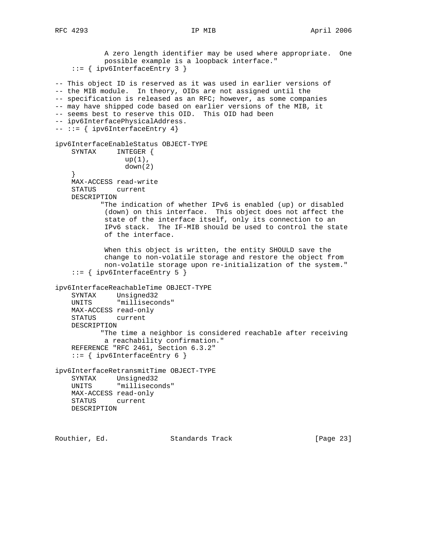A zero length identifier may be used where appropriate. One possible example is a loopback interface." ::= { ipv6InterfaceEntry 3 } -- This object ID is reserved as it was used in earlier versions of -- the MIB module. In theory, OIDs are not assigned until the -- specification is released as an RFC; however, as some companies -- may have shipped code based on earlier versions of the MIB, it -- seems best to reserve this OID. This OID had been -- ipv6InterfacePhysicalAddress.  $--- := { ipv6InterfaceEntry 4 }$ ipv6InterfaceEnableStatus OBJECT-TYPE SYNTAX INTEGER {  $up(1)$ , down(2) } MAX-ACCESS read-write STATUS current DESCRIPTION "The indication of whether IPv6 is enabled (up) or disabled (down) on this interface. This object does not affect the state of the interface itself, only its connection to an IPv6 stack. The IF-MIB should be used to control the state of the interface. When this object is written, the entity SHOULD save the change to non-volatile storage and restore the object from non-volatile storage upon re-initialization of the system." ::= { ipv6InterfaceEntry 5 } ipv6InterfaceReachableTime OBJECT-TYPE SYNTAX Unsigned32 UNITS "milliseconds" MAX-ACCESS read-only STATUS current DESCRIPTION "The time a neighbor is considered reachable after receiving a reachability confirmation." REFERENCE "RFC 2461, Section 6.3.2" ::= { ipv6InterfaceEntry 6 } ipv6InterfaceRetransmitTime OBJECT-TYPE SYNTAX Unsigned32 UNITS "milliseconds" MAX-ACCESS read-only STATUS current DESCRIPTION

Routhier, Ed. 6. Standards Track [Page 23]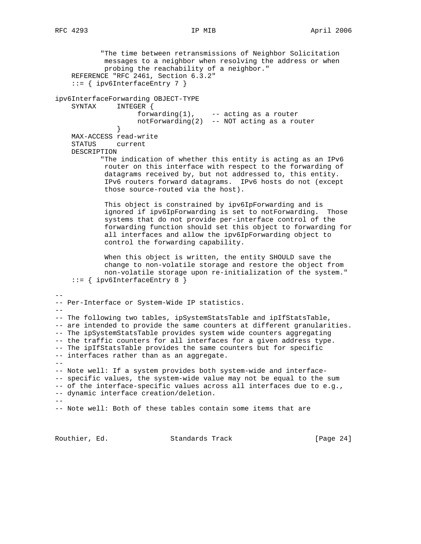```
 "The time between retransmissions of Neighbor Solicitation
            messages to a neighbor when resolving the address or when
            probing the reachability of a neighbor."
     REFERENCE "RFC 2461, Section 6.3.2"
     ::= { ipv6InterfaceEntry 7 }
ipv6InterfaceForwarding OBJECT-TYPE
    SYNTAX INTEGER {
                    forwarding(1), -- acting as a router
               notForwarding(2) -- NOT acting as a router }
 }
    MAX-ACCESS read-write
     STATUS current
    DESCRIPTION
            "The indication of whether this entity is acting as an IPv6
            router on this interface with respect to the forwarding of
            datagrams received by, but not addressed to, this entity.
            IPv6 routers forward datagrams. IPv6 hosts do not (except
            those source-routed via the host).
            This object is constrained by ipv6IpForwarding and is
            ignored if ipv6IpForwarding is set to notForwarding. Those
            systems that do not provide per-interface control of the
            forwarding function should set this object to forwarding for
            all interfaces and allow the ipv6IpForwarding object to
            control the forwarding capability.
            When this object is written, the entity SHOULD save the
            change to non-volatile storage and restore the object from
            non-volatile storage upon re-initialization of the system."
     ::= { ipv6InterfaceEntry 8 }
--
-- Per-Interface or System-Wide IP statistics.
--- The following two tables, ipSystemStatsTable and ipIfStatsTable,
-- are intended to provide the same counters at different granularities.
-- The ipSystemStatsTable provides system wide counters aggregating
-- the traffic counters for all interfaces for a given address type.
-- The ipIfStatsTable provides the same counters but for specific
-- interfaces rather than as an aggregate.
--- Note well: If a system provides both system-wide and interface-
-- specific values, the system-wide value may not be equal to the sum
-- of the interface-specific values across all interfaces due to e.g.,
-- dynamic interface creation/deletion.
--
-- Note well: Both of these tables contain some items that are
```
Routhier, Ed. Standards Track [Page 24]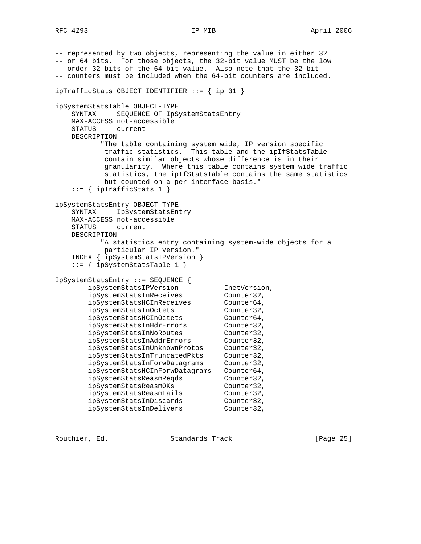```
-- represented by two objects, representing the value in either 32
-- or 64 bits. For those objects, the 32-bit value MUST be the low
-- order 32 bits of the 64-bit value. Also note that the 32-bit
-- counters must be included when the 64-bit counters are included.
ipTrafficStats OBJECT IDENTIFIER ::= { ip 31 }
ipSystemStatsTable OBJECT-TYPE
    SYNTAX SEQUENCE OF IpSystemStatsEntry
    MAX-ACCESS not-accessible
    STATUS current
    DESCRIPTION
          "The table containing system wide, IP version specific
           traffic statistics. This table and the ipIfStatsTable
           contain similar objects whose difference is in their
           granularity. Where this table contains system wide traffic
           statistics, the ipIfStatsTable contains the same statistics
           but counted on a per-interface basis."
   ::= { ipTrafficStats 1 }
ipSystemStatsEntry OBJECT-TYPE
    SYNTAX IpSystemStatsEntry
    MAX-ACCESS not-accessible
    STATUS current
    DESCRIPTION
          "A statistics entry containing system-wide objects for a
           particular IP version."
    INDEX { ipSystemStatsIPVersion }
    ::= { ipSystemStatsTable 1 }
IpSystemStatsEntry ::= SEQUENCE {
 ipSystemStatsIPVersion InetVersion,
 ipSystemStatsInReceives Counter32,
 ipSystemStatsHCInReceives Counter64,
 ipSystemStatsInOctets Counter32,
 ipSystemStatsHCInOctets Counter64,
 ipSystemStatsInHdrErrors Counter32,
 ipSystemStatsInNoRoutes Counter32,
 ipSystemStatsInAddrErrors Counter32,
 ipSystemStatsInUnknownProtos Counter32,
 ipSystemStatsInTruncatedPkts Counter32,
 ipSystemStatsInForwDatagrams Counter32,
        ipSystemStatsHCInForwDatagrams Counter64,
        ipSystemStatsReasmReqds Counter32,
 ipSystemStatsReasmOKs Counter32,
 ipSystemStatsReasmFails Counter32,
 ipSystemStatsInDiscards Counter32,
 ipSystemStatsInDelivers Counter32,
```
Routhier, Ed. 6. Standards Track [Page 25]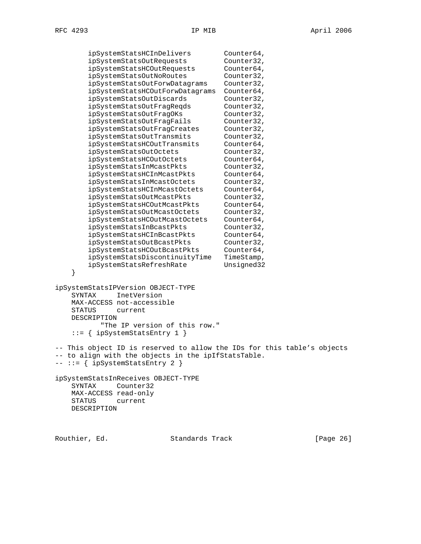| ipSystemStatsHCInDelivers                           | Counter64,                                                              |
|-----------------------------------------------------|-------------------------------------------------------------------------|
| ipSystemStatsOutRequests                            | Counter32,                                                              |
| ipSystemStatsHCOutRequests                          | Counter64,                                                              |
| ipSystemStatsOutNoRoutes                            | Counter32,                                                              |
| ipSystemStatsOutForwDatagrams                       | Counter32,                                                              |
| ipSystemStatsHCOutForwDatagrams                     | Counter64,                                                              |
| ipSystemStatsOutDiscards                            | Counter32,                                                              |
| ipSystemStatsOutFragReqds                           | Counter32,                                                              |
| ipSystemStatsOutFragOKs                             | Counter32,                                                              |
| ipSystemStatsOutFragFails                           | Counter32,                                                              |
| ipSystemStatsOutFragCreates                         | Counter32,                                                              |
| ipSystemStatsOutTransmits                           | Counter32,                                                              |
|                                                     |                                                                         |
| ipSystemStatsHCOutTransmits                         | Counter64,                                                              |
| ipSystemStatsOutOctets                              | Counter32,                                                              |
| ipSystemStatsHCOutOctets                            | Counter64,                                                              |
| ipSystemStatsInMcastPkts                            | Counter32,                                                              |
| ipSystemStatsHCInMcastPkts                          | Counter64,                                                              |
| ipSystemStatsInMcastOctets                          | Counter32,                                                              |
| ipSystemStatsHCInMcastOctets                        | Counter64,                                                              |
| ipSystemStatsOutMcastPkts                           | Counter32,                                                              |
| ipSystemStatsHCOutMcastPkts                         | Counter64,                                                              |
| ipSystemStatsOutMcastOctets                         | Counter32,                                                              |
| ipSystemStatsHCOutMcastOctets                       | Counter64,                                                              |
| ipSystemStatsInBcastPkts                            | Counter32,                                                              |
| ipSystemStatsHCInBcastPkts                          | Counter64,                                                              |
| ipSystemStatsOutBcastPkts                           | Counter32,                                                              |
| ipSystemStatsHCOutBcastPkts                         | Counter64,                                                              |
| ipSystemStatsDiscontinuityTime                      | TimeStamp,                                                              |
| ipSystemStatsRefreshRate                            | Unsigned32                                                              |
| }                                                   |                                                                         |
|                                                     |                                                                         |
| ipSystemStatsIPVersion OBJECT-TYPE                  |                                                                         |
| InetVersion<br>SYNTAX                               |                                                                         |
| MAX-ACCESS not-accessible                           |                                                                         |
| STATUS<br>current                                   |                                                                         |
| DESCRIPTION                                         |                                                                         |
| "The IP version of this row."                       |                                                                         |
| $ipsystemStatsEntry 1$ }<br>$: = \{$                |                                                                         |
|                                                     |                                                                         |
|                                                     | -- This object ID is reserved to allow the IDs for this table's objects |
| -- to align with the objects in the ipIfStatsTable. |                                                                         |
| -- ::= { ipSystemStatsEntry 2 }                     |                                                                         |
|                                                     |                                                                         |
| ipSystemStatsInReceives OBJECT-TYPE                 |                                                                         |
| SYNTAX<br>Counter32                                 |                                                                         |
| MAX-ACCESS read-only                                |                                                                         |
| STATUS<br>current                                   |                                                                         |
| DESCRIPTION                                         |                                                                         |
|                                                     |                                                                         |
|                                                     |                                                                         |
|                                                     |                                                                         |

Routhier, Ed. Standards Track [Page 26]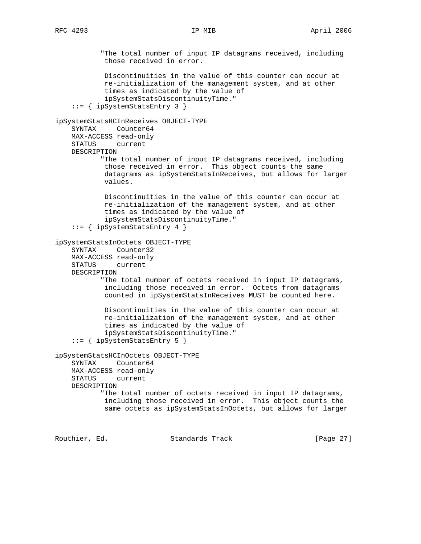"The total number of input IP datagrams received, including those received in error. Discontinuities in the value of this counter can occur at re-initialization of the management system, and at other times as indicated by the value of ipSystemStatsDiscontinuityTime." ::= { ipSystemStatsEntry 3 } ipSystemStatsHCInReceives OBJECT-TYPE SYNTAX Counter64 MAX-ACCESS read-only STATUS current DESCRIPTION "The total number of input IP datagrams received, including those received in error. This object counts the same datagrams as ipSystemStatsInReceives, but allows for larger values. Discontinuities in the value of this counter can occur at re-initialization of the management system, and at other times as indicated by the value of ipSystemStatsDiscontinuityTime." ::= { ipSystemStatsEntry 4 } ipSystemStatsInOctets OBJECT-TYPE SYNTAX Counter32 MAX-ACCESS read-only STATUS current DESCRIPTION "The total number of octets received in input IP datagrams, including those received in error. Octets from datagrams counted in ipSystemStatsInReceives MUST be counted here. Discontinuities in the value of this counter can occur at re-initialization of the management system, and at other times as indicated by the value of ipSystemStatsDiscontinuityTime." ::= { ipSystemStatsEntry 5 } ipSystemStatsHCInOctets OBJECT-TYPE SYNTAX Counter64 MAX-ACCESS read-only STATUS current DESCRIPTION "The total number of octets received in input IP datagrams, including those received in error. This object counts the same octets as ipSystemStatsInOctets, but allows for larger

Routhier, Ed. 6. Standards Track [Page 27]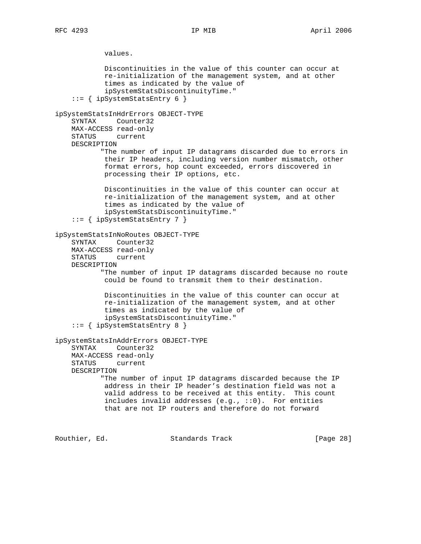values. Discontinuities in the value of this counter can occur at re-initialization of the management system, and at other times as indicated by the value of ipSystemStatsDiscontinuityTime." ::= { ipSystemStatsEntry 6 } ipSystemStatsInHdrErrors OBJECT-TYPE SYNTAX Counter32 MAX-ACCESS read-only STATUS current DESCRIPTION "The number of input IP datagrams discarded due to errors in their IP headers, including version number mismatch, other format errors, hop count exceeded, errors discovered in processing their IP options, etc. Discontinuities in the value of this counter can occur at re-initialization of the management system, and at other times as indicated by the value of ipSystemStatsDiscontinuityTime." ::= { ipSystemStatsEntry 7 } ipSystemStatsInNoRoutes OBJECT-TYPE SYNTAX Counter32 MAX-ACCESS read-only STATUS current DESCRIPTION "The number of input IP datagrams discarded because no route could be found to transmit them to their destination. Discontinuities in the value of this counter can occur at re-initialization of the management system, and at other times as indicated by the value of ipSystemStatsDiscontinuityTime." ::= { ipSystemStatsEntry 8 } ipSystemStatsInAddrErrors OBJECT-TYPE SYNTAX Counter32 MAX-ACCESS read-only STATUS current DESCRIPTION "The number of input IP datagrams discarded because the IP address in their IP header's destination field was not a valid address to be received at this entity. This count includes invalid addresses  $(e.g., ::0)$ . For entities that are not IP routers and therefore do not forward

Routhier, Ed. 6. Standards Track 1981 [Page 28]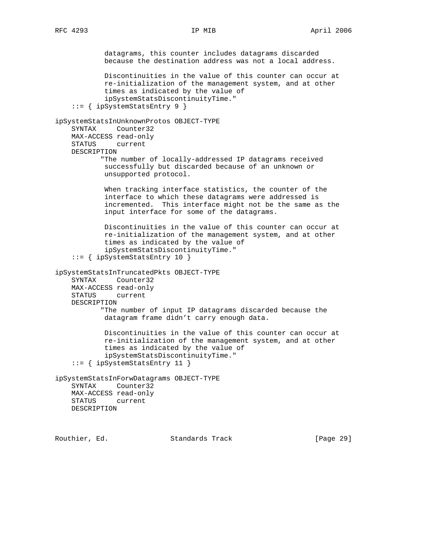datagrams, this counter includes datagrams discarded because the destination address was not a local address. Discontinuities in the value of this counter can occur at re-initialization of the management system, and at other times as indicated by the value of ipSystemStatsDiscontinuityTime." ::= { ipSystemStatsEntry 9 } ipSystemStatsInUnknownProtos OBJECT-TYPE SYNTAX Counter32 MAX-ACCESS read-only STATUS current DESCRIPTION "The number of locally-addressed IP datagrams received successfully but discarded because of an unknown or unsupported protocol. When tracking interface statistics, the counter of the interface to which these datagrams were addressed is incremented. This interface might not be the same as the input interface for some of the datagrams. Discontinuities in the value of this counter can occur at re-initialization of the management system, and at other times as indicated by the value of ipSystemStatsDiscontinuityTime." ::= { ipSystemStatsEntry 10 } ipSystemStatsInTruncatedPkts OBJECT-TYPE SYNTAX Counter32 MAX-ACCESS read-only STATUS current DESCRIPTION "The number of input IP datagrams discarded because the datagram frame didn't carry enough data. Discontinuities in the value of this counter can occur at re-initialization of the management system, and at other times as indicated by the value of ipSystemStatsDiscontinuityTime." ::= { ipSystemStatsEntry 11 } ipSystemStatsInForwDatagrams OBJECT-TYPE SYNTAX Counter32 MAX-ACCESS read-only STATUS current DESCRIPTION

Routhier, Ed. 6. Standards Track [Page 29]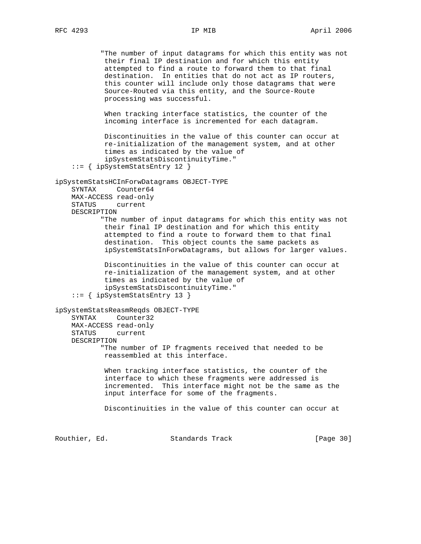"The number of input datagrams for which this entity was not their final IP destination and for which this entity attempted to find a route to forward them to that final destination. In entities that do not act as IP routers, this counter will include only those datagrams that were Source-Routed via this entity, and the Source-Route processing was successful. When tracking interface statistics, the counter of the incoming interface is incremented for each datagram. Discontinuities in the value of this counter can occur at re-initialization of the management system, and at other times as indicated by the value of ipSystemStatsDiscontinuityTime." ::= { ipSystemStatsEntry 12 } ipSystemStatsHCInForwDatagrams OBJECT-TYPE SYNTAX Counter64 MAX-ACCESS read-only STATUS current DESCRIPTION "The number of input datagrams for which this entity was not their final IP destination and for which this entity attempted to find a route to forward them to that final destination. This object counts the same packets as ipSystemStatsInForwDatagrams, but allows for larger values. Discontinuities in the value of this counter can occur at re-initialization of the management system, and at other times as indicated by the value of ipSystemStatsDiscontinuityTime." ::= { ipSystemStatsEntry 13 } ipSystemStatsReasmReqds OBJECT-TYPE SYNTAX Counter32 MAX-ACCESS read-only STATUS current DESCRIPTION "The number of IP fragments received that needed to be reassembled at this interface. When tracking interface statistics, the counter of the interface to which these fragments were addressed is incremented. This interface might not be the same as the input interface for some of the fragments. Discontinuities in the value of this counter can occur at Routhier, Ed. 6. Standards Track [Page 30]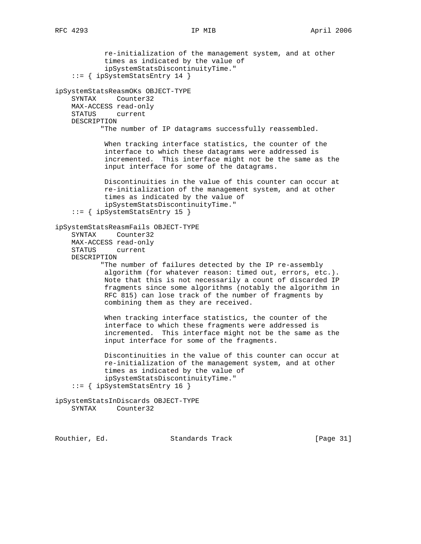re-initialization of the management system, and at other times as indicated by the value of ipSystemStatsDiscontinuityTime." ::= { ipSystemStatsEntry 14 } ipSystemStatsReasmOKs OBJECT-TYPE SYNTAX Counter32 MAX-ACCESS read-only STATUS current DESCRIPTION "The number of IP datagrams successfully reassembled. When tracking interface statistics, the counter of the interface to which these datagrams were addressed is incremented. This interface might not be the same as the input interface for some of the datagrams. Discontinuities in the value of this counter can occur at re-initialization of the management system, and at other times as indicated by the value of ipSystemStatsDiscontinuityTime." ::= { ipSystemStatsEntry 15 } ipSystemStatsReasmFails OBJECT-TYPE SYNTAX Counter32 MAX-ACCESS read-only STATUS current DESCRIPTION "The number of failures detected by the IP re-assembly algorithm (for whatever reason: timed out, errors, etc.). Note that this is not necessarily a count of discarded IP fragments since some algorithms (notably the algorithm in RFC 815) can lose track of the number of fragments by combining them as they are received. When tracking interface statistics, the counter of the interface to which these fragments were addressed is incremented. This interface might not be the same as the input interface for some of the fragments. Discontinuities in the value of this counter can occur at re-initialization of the management system, and at other times as indicated by the value of ipSystemStatsDiscontinuityTime." ::= { ipSystemStatsEntry 16 } ipSystemStatsInDiscards OBJECT-TYPE SYNTAX Counter32

Routhier, Ed. 6. Standards Track [Page 31]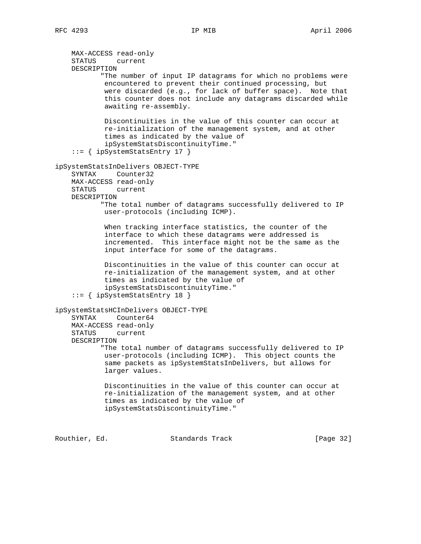MAX-ACCESS read-only STATUS current DESCRIPTION "The number of input IP datagrams for which no problems were encountered to prevent their continued processing, but were discarded (e.g., for lack of buffer space). Note that this counter does not include any datagrams discarded while awaiting re-assembly. Discontinuities in the value of this counter can occur at re-initialization of the management system, and at other times as indicated by the value of ipSystemStatsDiscontinuityTime." ::= { ipSystemStatsEntry 17 } ipSystemStatsInDelivers OBJECT-TYPE SYNTAX Counter32 MAX-ACCESS read-only STATUS current DESCRIPTION "The total number of datagrams successfully delivered to IP user-protocols (including ICMP). When tracking interface statistics, the counter of the interface to which these datagrams were addressed is incremented. This interface might not be the same as the input interface for some of the datagrams. Discontinuities in the value of this counter can occur at re-initialization of the management system, and at other times as indicated by the value of ipSystemStatsDiscontinuityTime." ::= { ipSystemStatsEntry 18 } ipSystemStatsHCInDelivers OBJECT-TYPE SYNTAX Counter64 MAX-ACCESS read-only STATUS current DESCRIPTION "The total number of datagrams successfully delivered to IP user-protocols (including ICMP). This object counts the same packets as ipSystemStatsInDelivers, but allows for larger values. Discontinuities in the value of this counter can occur at re-initialization of the management system, and at other times as indicated by the value of ipSystemStatsDiscontinuityTime."

Routhier, Ed. 6. Standards Track [Page 32]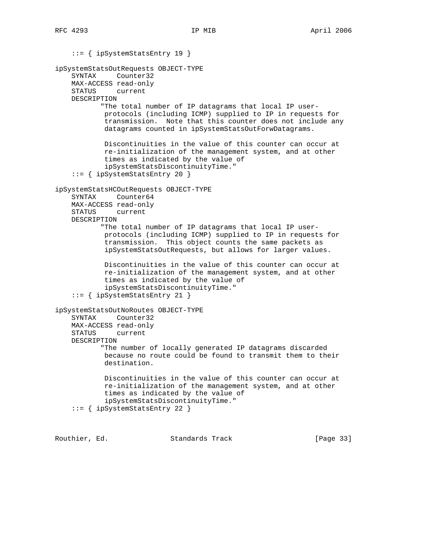::= { ipSystemStatsEntry 19 } ipSystemStatsOutRequests OBJECT-TYPE SYNTAX Counter32 MAX-ACCESS read-only STATUS current DESCRIPTION "The total number of IP datagrams that local IP user protocols (including ICMP) supplied to IP in requests for transmission. Note that this counter does not include any datagrams counted in ipSystemStatsOutForwDatagrams. Discontinuities in the value of this counter can occur at re-initialization of the management system, and at other times as indicated by the value of ipSystemStatsDiscontinuityTime." ::= { ipSystemStatsEntry 20 } ipSystemStatsHCOutRequests OBJECT-TYPE SYNTAX Counter64 MAX-ACCESS read-only STATUS current DESCRIPTION "The total number of IP datagrams that local IP user protocols (including ICMP) supplied to IP in requests for transmission. This object counts the same packets as ipSystemStatsOutRequests, but allows for larger values. Discontinuities in the value of this counter can occur at re-initialization of the management system, and at other times as indicated by the value of ipSystemStatsDiscontinuityTime." ::= { ipSystemStatsEntry 21 } ipSystemStatsOutNoRoutes OBJECT-TYPE SYNTAX Counter32 MAX-ACCESS read-only STATUS current DESCRIPTION "The number of locally generated IP datagrams discarded because no route could be found to transmit them to their destination. Discontinuities in the value of this counter can occur at re-initialization of the management system, and at other times as indicated by the value of ipSystemStatsDiscontinuityTime." ::= { ipSystemStatsEntry 22 }

Routhier, Ed. 6. Standards Track [Page 33]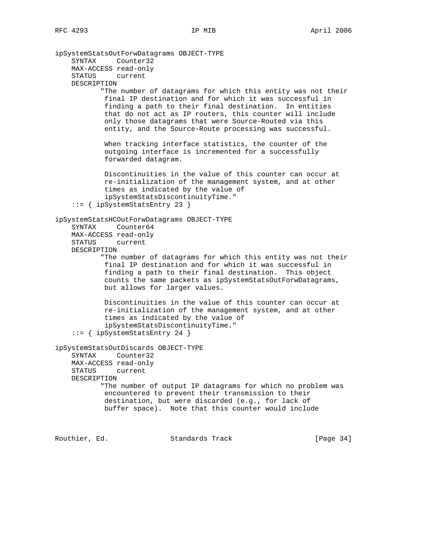ipSystemStatsOutForwDatagrams OBJECT-TYPE SYNTAX Counter32 MAX-ACCESS read-only STATUS current DESCRIPTION "The number of datagrams for which this entity was not their final IP destination and for which it was successful in finding a path to their final destination. In entities that do not act as IP routers, this counter will include only those datagrams that were Source-Routed via this entity, and the Source-Route processing was successful. When tracking interface statistics, the counter of the outgoing interface is incremented for a successfully forwarded datagram. Discontinuities in the value of this counter can occur at re-initialization of the management system, and at other times as indicated by the value of ipSystemStatsDiscontinuityTime." ::= { ipSystemStatsEntry 23 } ipSystemStatsHCOutForwDatagrams OBJECT-TYPE SYNTAX Counter64 MAX-ACCESS read-only STATUS current DESCRIPTION "The number of datagrams for which this entity was not their final IP destination and for which it was successful in finding a path to their final destination. This object counts the same packets as ipSystemStatsOutForwDatagrams, but allows for larger values. Discontinuities in the value of this counter can occur at re-initialization of the management system, and at other times as indicated by the value of ipSystemStatsDiscontinuityTime." ::= { ipSystemStatsEntry 24 } ipSystemStatsOutDiscards OBJECT-TYPE SYNTAX Counter32 MAX-ACCESS read-only STATUS current DESCRIPTION "The number of output IP datagrams for which no problem was encountered to prevent their transmission to their destination, but were discarded (e.g., for lack of buffer space). Note that this counter would include Routhier, Ed. 6. Standards Track [Page 34]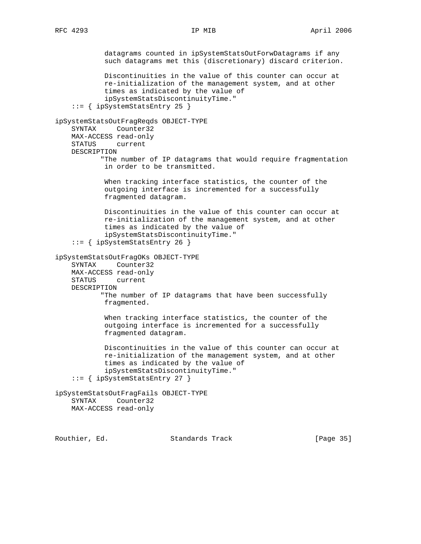datagrams counted in ipSystemStatsOutForwDatagrams if any such datagrams met this (discretionary) discard criterion. Discontinuities in the value of this counter can occur at re-initialization of the management system, and at other times as indicated by the value of ipSystemStatsDiscontinuityTime." ::= { ipSystemStatsEntry 25 } ipSystemStatsOutFragReqds OBJECT-TYPE SYNTAX Counter32 MAX-ACCESS read-only STATUS current DESCRIPTION "The number of IP datagrams that would require fragmentation in order to be transmitted. When tracking interface statistics, the counter of the outgoing interface is incremented for a successfully fragmented datagram. Discontinuities in the value of this counter can occur at re-initialization of the management system, and at other times as indicated by the value of ipSystemStatsDiscontinuityTime." ::= { ipSystemStatsEntry 26 } ipSystemStatsOutFragOKs OBJECT-TYPE SYNTAX Counter32 MAX-ACCESS read-only STATUS current DESCRIPTION "The number of IP datagrams that have been successfully fragmented. When tracking interface statistics, the counter of the outgoing interface is incremented for a successfully fragmented datagram. Discontinuities in the value of this counter can occur at re-initialization of the management system, and at other times as indicated by the value of ipSystemStatsDiscontinuityTime." ::= { ipSystemStatsEntry 27 } ipSystemStatsOutFragFails OBJECT-TYPE SYNTAX Counter32 MAX-ACCESS read-only

Routhier, Ed. 6. Standards Track [Page 35]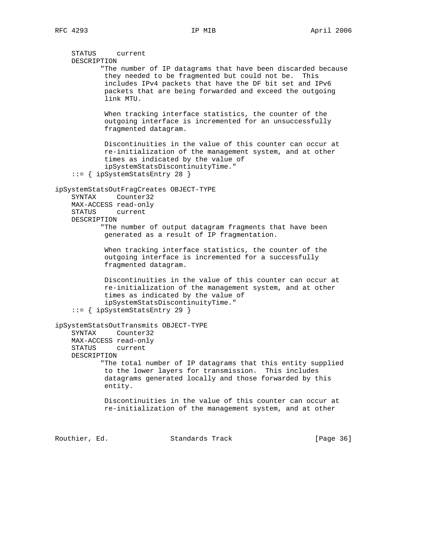STATUS current DESCRIPTION "The number of IP datagrams that have been discarded because they needed to be fragmented but could not be. This includes IPv4 packets that have the DF bit set and IPv6 packets that are being forwarded and exceed the outgoing link MTU. When tracking interface statistics, the counter of the outgoing interface is incremented for an unsuccessfully fragmented datagram. Discontinuities in the value of this counter can occur at re-initialization of the management system, and at other times as indicated by the value of ipSystemStatsDiscontinuityTime." ::= { ipSystemStatsEntry 28 } ipSystemStatsOutFragCreates OBJECT-TYPE SYNTAX Counter32 MAX-ACCESS read-only STATUS current DESCRIPTION "The number of output datagram fragments that have been generated as a result of IP fragmentation. When tracking interface statistics, the counter of the outgoing interface is incremented for a successfully fragmented datagram. Discontinuities in the value of this counter can occur at re-initialization of the management system, and at other times as indicated by the value of ipSystemStatsDiscontinuityTime." ::= { ipSystemStatsEntry 29 } ipSystemStatsOutTransmits OBJECT-TYPE SYNTAX Counter32 MAX-ACCESS read-only STATUS current DESCRIPTION "The total number of IP datagrams that this entity supplied to the lower layers for transmission. This includes datagrams generated locally and those forwarded by this entity. Discontinuities in the value of this counter can occur at re-initialization of the management system, and at other

Routhier, Ed. 6. Standards Track [Page 36]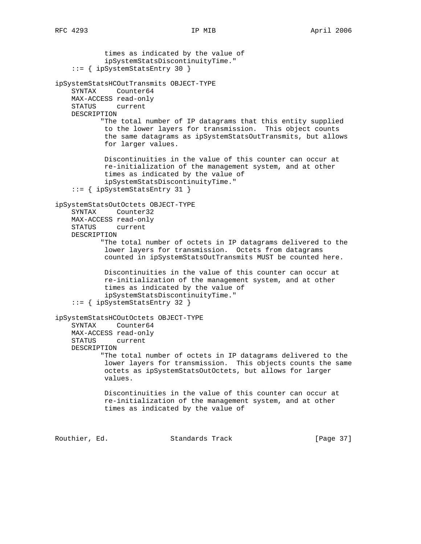times as indicated by the value of ipSystemStatsDiscontinuityTime." ::= { ipSystemStatsEntry 30 } ipSystemStatsHCOutTransmits OBJECT-TYPE SYNTAX Counter64 MAX-ACCESS read-only STATUS current DESCRIPTION "The total number of IP datagrams that this entity supplied to the lower layers for transmission. This object counts the same datagrams as ipSystemStatsOutTransmits, but allows for larger values. Discontinuities in the value of this counter can occur at re-initialization of the management system, and at other times as indicated by the value of ipSystemStatsDiscontinuityTime." ::= { ipSystemStatsEntry 31 } ipSystemStatsOutOctets OBJECT-TYPE SYNTAX Counter32 MAX-ACCESS read-only STATUS current DESCRIPTION "The total number of octets in IP datagrams delivered to the lower layers for transmission. Octets from datagrams counted in ipSystemStatsOutTransmits MUST be counted here. Discontinuities in the value of this counter can occur at re-initialization of the management system, and at other times as indicated by the value of ipSystemStatsDiscontinuityTime." ::= { ipSystemStatsEntry 32 } ipSystemStatsHCOutOctets OBJECT-TYPE SYNTAX Counter64 MAX-ACCESS read-only STATUS current DESCRIPTION "The total number of octets in IP datagrams delivered to the lower layers for transmission. This objects counts the same octets as ipSystemStatsOutOctets, but allows for larger values. Discontinuities in the value of this counter can occur at re-initialization of the management system, and at other times as indicated by the value of

Routhier, Ed. 6. Standards Track [Page 37]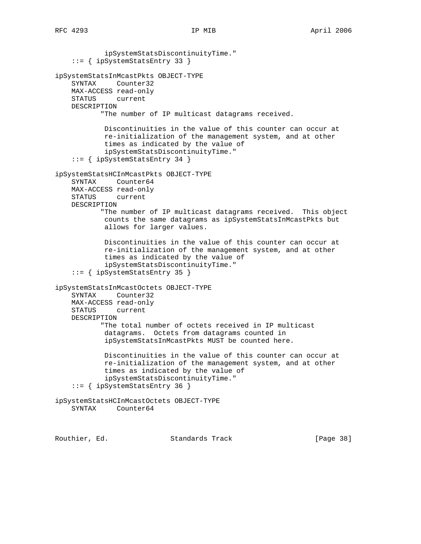ipSystemStatsDiscontinuityTime." ::= { ipSystemStatsEntry 33 } ipSystemStatsInMcastPkts OBJECT-TYPE SYNTAX Counter32 MAX-ACCESS read-only STATUS current DESCRIPTION "The number of IP multicast datagrams received. Discontinuities in the value of this counter can occur at re-initialization of the management system, and at other times as indicated by the value of ipSystemStatsDiscontinuityTime." ::= { ipSystemStatsEntry 34 } ipSystemStatsHCInMcastPkts OBJECT-TYPE SYNTAX Counter64 MAX-ACCESS read-only STATUS current DESCRIPTION "The number of IP multicast datagrams received. This object counts the same datagrams as ipSystemStatsInMcastPkts but allows for larger values. Discontinuities in the value of this counter can occur at re-initialization of the management system, and at other times as indicated by the value of ipSystemStatsDiscontinuityTime." ::= { ipSystemStatsEntry 35 } ipSystemStatsInMcastOctets OBJECT-TYPE SYNTAX Counter32 MAX-ACCESS read-only STATUS current DESCRIPTION "The total number of octets received in IP multicast datagrams. Octets from datagrams counted in ipSystemStatsInMcastPkts MUST be counted here. Discontinuities in the value of this counter can occur at re-initialization of the management system, and at other times as indicated by the value of ipSystemStatsDiscontinuityTime." ::= { ipSystemStatsEntry 36 } ipSystemStatsHCInMcastOctets OBJECT-TYPE SYNTAX Counter64

Routhier, Ed. 6. Standards Track [Page 38]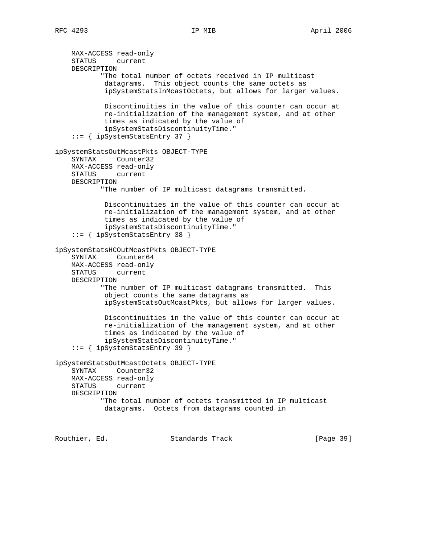```
 MAX-ACCESS read-only
     STATUS current
    DESCRIPTION
            "The total number of octets received in IP multicast
             datagrams. This object counts the same octets as
             ipSystemStatsInMcastOctets, but allows for larger values.
             Discontinuities in the value of this counter can occur at
             re-initialization of the management system, and at other
             times as indicated by the value of
             ipSystemStatsDiscontinuityTime."
     ::= { ipSystemStatsEntry 37 }
ipSystemStatsOutMcastPkts OBJECT-TYPE
     SYNTAX Counter32
    MAX-ACCESS read-only
     STATUS current
    DESCRIPTION
            "The number of IP multicast datagrams transmitted.
             Discontinuities in the value of this counter can occur at
             re-initialization of the management system, and at other
             times as indicated by the value of
             ipSystemStatsDiscontinuityTime."
     ::= { ipSystemStatsEntry 38 }
ipSystemStatsHCOutMcastPkts OBJECT-TYPE
     SYNTAX Counter64
    MAX-ACCESS read-only
    STATUS current
    DESCRIPTION
            "The number of IP multicast datagrams transmitted. This
             object counts the same datagrams as
             ipSystemStatsOutMcastPkts, but allows for larger values.
             Discontinuities in the value of this counter can occur at
             re-initialization of the management system, and at other
             times as indicated by the value of
             ipSystemStatsDiscontinuityTime."
     ::= { ipSystemStatsEntry 39 }
ipSystemStatsOutMcastOctets OBJECT-TYPE
     SYNTAX Counter32
    MAX-ACCESS read-only
    STATUS current
    DESCRIPTION
            "The total number of octets transmitted in IP multicast
            datagrams. Octets from datagrams counted in
```
Routhier, Ed. 6. Standards Track [Page 39]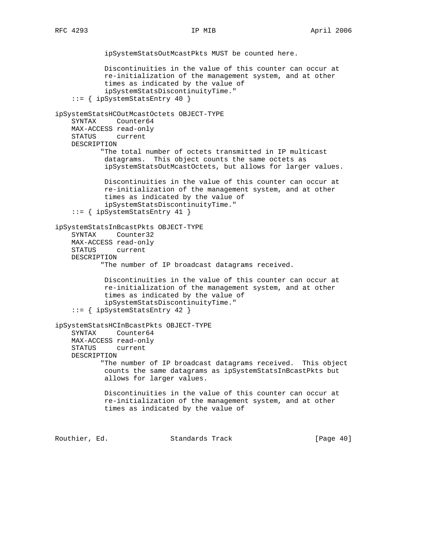ipSystemStatsOutMcastPkts MUST be counted here. Discontinuities in the value of this counter can occur at re-initialization of the management system, and at other times as indicated by the value of ipSystemStatsDiscontinuityTime." ::= { ipSystemStatsEntry 40 } ipSystemStatsHCOutMcastOctets OBJECT-TYPE SYNTAX Counter64 MAX-ACCESS read-only STATUS current DESCRIPTION "The total number of octets transmitted in IP multicast datagrams. This object counts the same octets as ipSystemStatsOutMcastOctets, but allows for larger values. Discontinuities in the value of this counter can occur at re-initialization of the management system, and at other times as indicated by the value of ipSystemStatsDiscontinuityTime." ::= { ipSystemStatsEntry 41 } ipSystemStatsInBcastPkts OBJECT-TYPE SYNTAX Counter32 MAX-ACCESS read-only STATUS current DESCRIPTION "The number of IP broadcast datagrams received. Discontinuities in the value of this counter can occur at re-initialization of the management system, and at other times as indicated by the value of ipSystemStatsDiscontinuityTime." ::= { ipSystemStatsEntry 42 } ipSystemStatsHCInBcastPkts OBJECT-TYPE SYNTAX Counter64 MAX-ACCESS read-only STATUS current DESCRIPTION "The number of IP broadcast datagrams received. This object counts the same datagrams as ipSystemStatsInBcastPkts but allows for larger values. Discontinuities in the value of this counter can occur at re-initialization of the management system, and at other times as indicated by the value of

Routhier, Ed. 6. Standards Track [Page 40]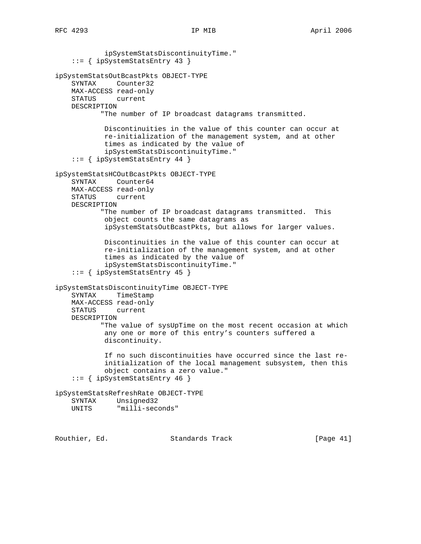ipSystemStatsDiscontinuityTime." ::= { ipSystemStatsEntry 43 } ipSystemStatsOutBcastPkts OBJECT-TYPE SYNTAX Counter32 MAX-ACCESS read-only STATUS current DESCRIPTION "The number of IP broadcast datagrams transmitted. Discontinuities in the value of this counter can occur at re-initialization of the management system, and at other times as indicated by the value of ipSystemStatsDiscontinuityTime." ::= { ipSystemStatsEntry 44 } ipSystemStatsHCOutBcastPkts OBJECT-TYPE SYNTAX Counter64 MAX-ACCESS read-only STATUS current DESCRIPTION "The number of IP broadcast datagrams transmitted. This object counts the same datagrams as ipSystemStatsOutBcastPkts, but allows for larger values. Discontinuities in the value of this counter can occur at re-initialization of the management system, and at other times as indicated by the value of ipSystemStatsDiscontinuityTime." ::= { ipSystemStatsEntry 45 } ipSystemStatsDiscontinuityTime OBJECT-TYPE SYNTAX TimeStamp MAX-ACCESS read-only STATUS current DESCRIPTION "The value of sysUpTime on the most recent occasion at which any one or more of this entry's counters suffered a discontinuity. If no such discontinuities have occurred since the last re initialization of the local management subsystem, then this object contains a zero value." ::= { ipSystemStatsEntry 46 } ipSystemStatsRefreshRate OBJECT-TYPE SYNTAX Unsigned32 UNITS "milli-seconds"

Routhier, Ed. 6. Standards Track [Page 41]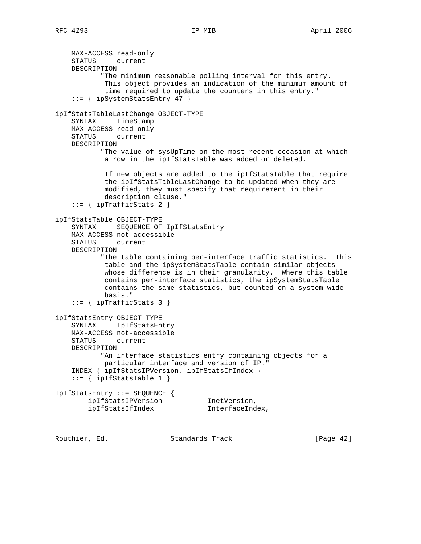```
 MAX-ACCESS read-only
    STATUS current
    DESCRIPTION
            "The minimum reasonable polling interval for this entry.
            This object provides an indication of the minimum amount of
            time required to update the counters in this entry."
     ::= { ipSystemStatsEntry 47 }
ipIfStatsTableLastChange OBJECT-TYPE
    SYNTAX TimeStamp
    MAX-ACCESS read-only
    STATUS current
    DESCRIPTION
           "The value of sysUpTime on the most recent occasion at which
            a row in the ipIfStatsTable was added or deleted.
            If new objects are added to the ipIfStatsTable that require
            the ipIfStatsTableLastChange to be updated when they are
            modified, they must specify that requirement in their
            description clause."
    ::= { ipTrafficStats 2 }
ipIfStatsTable OBJECT-TYPE
    SYNTAX SEQUENCE OF IpIfStatsEntry
    MAX-ACCESS not-accessible
    STATUS current
    DESCRIPTION
            "The table containing per-interface traffic statistics. This
            table and the ipSystemStatsTable contain similar objects
            whose difference is in their granularity. Where this table
            contains per-interface statistics, the ipSystemStatsTable
            contains the same statistics, but counted on a system wide
            basis."
    ::= { ipTrafficStats 3 }
ipIfStatsEntry OBJECT-TYPE
    SYNTAX IpIfStatsEntry
    MAX-ACCESS not-accessible
    STATUS current
    DESCRIPTION
           "An interface statistics entry containing objects for a
            particular interface and version of IP."
    INDEX { ipIfStatsIPVersion, ipIfStatsIfIndex }
    ::= { ipIfStatsTable 1 }
IpIfStatsEntry ::= SEQUENCE {
ipIfStatsIPVersion 1netVersion,
 ipIfStatsIfIndex InterfaceIndex,
```
Routhier, Ed. Standards Track [Page 42]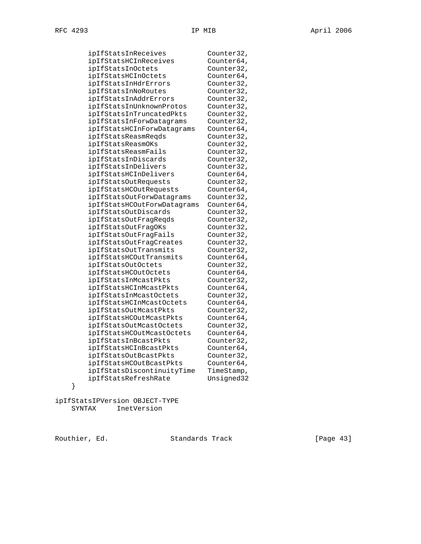| ipIfStatsInReceives         | Counter32, |
|-----------------------------|------------|
| ipIfStatsHCInReceives       | Counter64, |
| ipIfStatsInOctets           | Counter32, |
| ipIfStatsHCInOctets         | Counter64, |
| ipIfStatsInHdrErrors        | Counter32, |
| ipIfStatsInNoRoutes         | Counter32, |
| ipIfStatsInAddrErrors       | Counter32, |
| ipIfStatsInUnknownProtos    | Counter32, |
| ipIfStatsInTruncatedPkts    | Counter32, |
| ipIfStatsInForwDatagrams    | Counter32, |
| ipIfStatsHCInForwDatagrams  | Counter64, |
| ipIfStatsReasmReqds         | Counter32, |
| ipIfStatsReasmOKs           | Counter32, |
| ipIfStatsReasmFails         | Counter32, |
| ipIfStatsInDiscards         | Counter32, |
| ipIfStatsInDelivers         | Counter32, |
| ipIfStatsHCInDelivers       | Counter64, |
| ipIfStatsOutRequests        | Counter32, |
| ipIfStatsHCOutRequests      | Counter64, |
| ipIfStatsOutForwDatagrams   | Counter32, |
| ipIfStatsHCOutForwDatagrams | Counter64, |
| ipIfStatsOutDiscards        | Counter32, |
| ipIfStatsOutFragReqds       | Counter32, |
| ipIfStatsOutFragOKs         | Counter32, |
| ipIfStatsOutFragFails       | Counter32, |
| ipIfStatsOutFragCreates     | Counter32, |
| ipIfStatsOutTransmits       | Counter32, |
| ipIfStatsHCOutTransmits     | Counter64, |
| ipIfStatsOutOctets          | Counter32, |
| ipIfStatsHCOutOctets        | Counter64, |
| ipIfStatsInMcastPkts        | Counter32, |
| ipIfStatsHCInMcastPkts      | Counter64, |
| ipIfStatsInMcastOctets      | Counter32, |
| ipIfStatsHCInMcastOctets    | Counter64, |
| ipIfStatsOutMcastPkts       | Counter32, |
| ipIfStatsHCOutMcastPkts     | Counter64, |
| ipIfStatsOutMcastOctets     | Counter32, |
| ipIfStatsHCOutMcastOctets   | Counter64, |
| ipIfStatsInBcastPkts        | Counter32, |
| ipIfStatsHCInBcastPkts      | Counter64, |
| ipIfStatsOutBcastPkts       | Counter32, |
| ipIfStatsHCOutBcastPkts     | Counter64, |
| ipIfStatsDiscontinuityTime  | TimeStamp, |
| ipIfStatsRefreshRate        | Unsigned32 |
|                             |            |

}

ipIfStatsIPVersion OBJECT-TYPE SYNTAX InetVersion

Routhier, Ed. Standards Track [Page 43]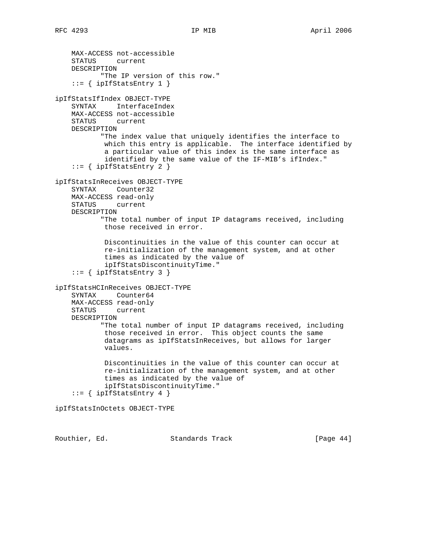```
 MAX-ACCESS not-accessible
     STATUS current
    DESCRIPTION
            "The IP version of this row."
    ::= { ipIfStatsEntry 1 }
ipIfStatsIfIndex OBJECT-TYPE
    SYNTAX InterfaceIndex
    MAX-ACCESS not-accessible
    STATUS current
    DESCRIPTION
            "The index value that uniquely identifies the interface to
            which this entry is applicable. The interface identified by
             a particular value of this index is the same interface as
             identified by the same value of the IF-MIB's ifIndex."
    ::= { ipIfStatsEntry 2 }
ipIfStatsInReceives OBJECT-TYPE
    SYNTAX Counter32
    MAX-ACCESS read-only
    STATUS current
    DESCRIPTION
            "The total number of input IP datagrams received, including
            those received in error.
            Discontinuities in the value of this counter can occur at
            re-initialization of the management system, and at other
            times as indicated by the value of
             ipIfStatsDiscontinuityTime."
    ::= { ipIfStatsEntry 3 }
ipIfStatsHCInReceives OBJECT-TYPE
     SYNTAX Counter64
    MAX-ACCESS read-only
    STATUS current
    DESCRIPTION
            "The total number of input IP datagrams received, including
            those received in error. This object counts the same
             datagrams as ipIfStatsInReceives, but allows for larger
             values.
            Discontinuities in the value of this counter can occur at
            re-initialization of the management system, and at other
            times as indicated by the value of
             ipIfStatsDiscontinuityTime."
    ::= { ipIfStatsEntry 4 }
ipIfStatsInOctets OBJECT-TYPE
```
Routhier, Ed. 6. Standards Track [Page 44]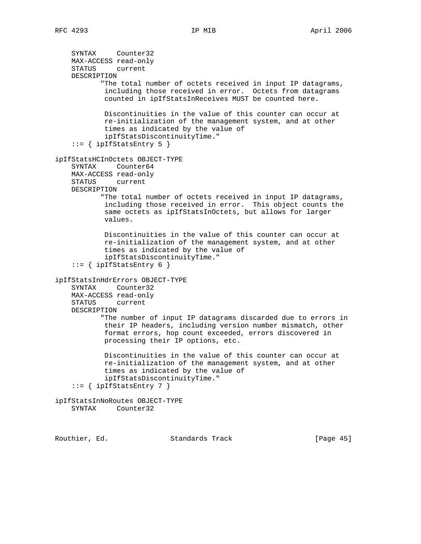```
 SYNTAX Counter32
    MAX-ACCESS read-only
    STATUS current
    DESCRIPTION
            "The total number of octets received in input IP datagrams,
             including those received in error. Octets from datagrams
             counted in ipIfStatsInReceives MUST be counted here.
            Discontinuities in the value of this counter can occur at
            re-initialization of the management system, and at other
            times as indicated by the value of
             ipIfStatsDiscontinuityTime."
     ::= { ipIfStatsEntry 5 }
ipIfStatsHCInOctets OBJECT-TYPE
     SYNTAX Counter64
    MAX-ACCESS read-only
    STATUS current
    DESCRIPTION
           "The total number of octets received in input IP datagrams,
            including those received in error. This object counts the
            same octets as ipIfStatsInOctets, but allows for larger
            values.
            Discontinuities in the value of this counter can occur at
            re-initialization of the management system, and at other
            times as indicated by the value of
             ipIfStatsDiscontinuityTime."
    ::= { ipIfStatsEntry 6 }
ipIfStatsInHdrErrors OBJECT-TYPE
     SYNTAX Counter32
    MAX-ACCESS read-only
    STATUS current
    DESCRIPTION
            "The number of input IP datagrams discarded due to errors in
            their IP headers, including version number mismatch, other
             format errors, hop count exceeded, errors discovered in
             processing their IP options, etc.
            Discontinuities in the value of this counter can occur at
            re-initialization of the management system, and at other
            times as indicated by the value of
            ipIfStatsDiscontinuityTime."
    ::= { ipIfStatsEntry 7 }
ipIfStatsInNoRoutes OBJECT-TYPE
    SYNTAX Counter32
```
Routhier, Ed. 6. Standards Track [Page 45]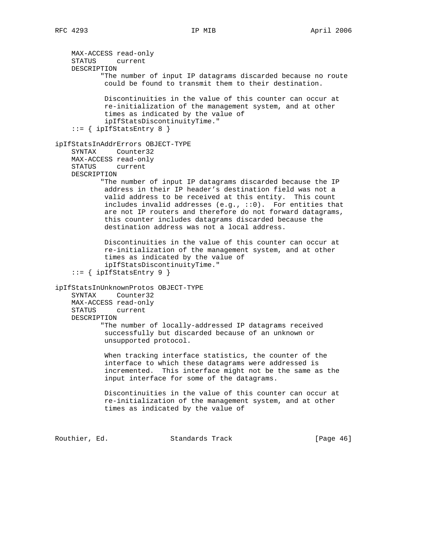MAX-ACCESS read-only STATUS current DESCRIPTION "The number of input IP datagrams discarded because no route could be found to transmit them to their destination. Discontinuities in the value of this counter can occur at re-initialization of the management system, and at other times as indicated by the value of ipIfStatsDiscontinuityTime." ::= { ipIfStatsEntry 8 } ipIfStatsInAddrErrors OBJECT-TYPE SYNTAX Counter32 MAX-ACCESS read-only STATUS current DESCRIPTION "The number of input IP datagrams discarded because the IP address in their IP header's destination field was not a valid address to be received at this entity. This count includes invalid addresses (e.g., ::0). For entities that are not IP routers and therefore do not forward datagrams, this counter includes datagrams discarded because the destination address was not a local address. Discontinuities in the value of this counter can occur at re-initialization of the management system, and at other times as indicated by the value of ipIfStatsDiscontinuityTime."  $::=$  { ipIfStatsEntry 9 } ipIfStatsInUnknownProtos OBJECT-TYPE SYNTAX Counter32 MAX-ACCESS read-only STATUS current DESCRIPTION "The number of locally-addressed IP datagrams received successfully but discarded because of an unknown or unsupported protocol. When tracking interface statistics, the counter of the interface to which these datagrams were addressed is incremented. This interface might not be the same as the input interface for some of the datagrams. Discontinuities in the value of this counter can occur at re-initialization of the management system, and at other times as indicated by the value of Routhier, Ed. 6. Standards Track [Page 46]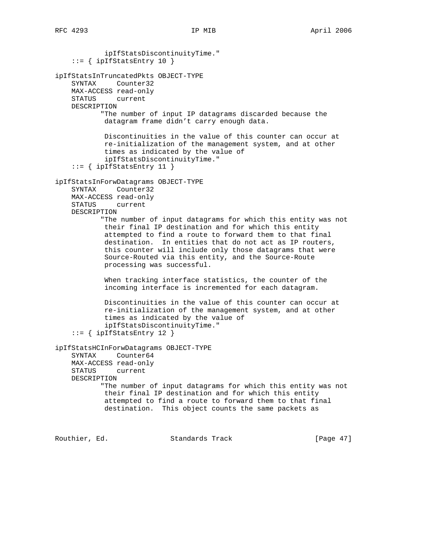ipIfStatsDiscontinuityTime."  $::=$  { ipIfStatsEntry 10 } ipIfStatsInTruncatedPkts OBJECT-TYPE SYNTAX Counter32 MAX-ACCESS read-only STATUS current DESCRIPTION "The number of input IP datagrams discarded because the datagram frame didn't carry enough data. Discontinuities in the value of this counter can occur at re-initialization of the management system, and at other times as indicated by the value of ipIfStatsDiscontinuityTime." ::= { ipIfStatsEntry 11 } ipIfStatsInForwDatagrams OBJECT-TYPE SYNTAX Counter32 MAX-ACCESS read-only STATUS current DESCRIPTION "The number of input datagrams for which this entity was not their final IP destination and for which this entity attempted to find a route to forward them to that final destination. In entities that do not act as IP routers, this counter will include only those datagrams that were Source-Routed via this entity, and the Source-Route processing was successful. When tracking interface statistics, the counter of the incoming interface is incremented for each datagram. Discontinuities in the value of this counter can occur at re-initialization of the management system, and at other times as indicated by the value of ipIfStatsDiscontinuityTime."  $::=$  { ipIfStatsEntry 12 } ipIfStatsHCInForwDatagrams OBJECT-TYPE SYNTAX Counter64 MAX-ACCESS read-only STATUS current DESCRIPTION "The number of input datagrams for which this entity was not their final IP destination and for which this entity attempted to find a route to forward them to that final destination. This object counts the same packets as

Routhier, Ed. 6. Standards Track [Page 47]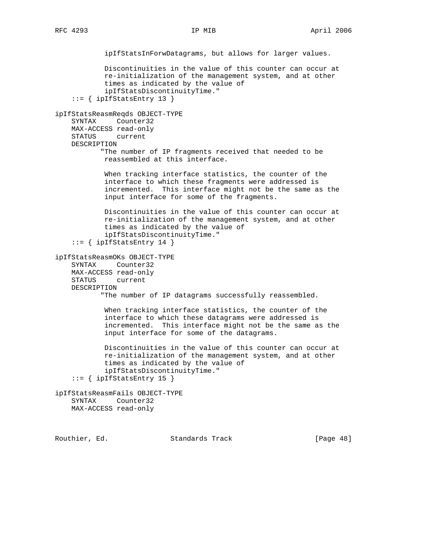```
 ipIfStatsInForwDatagrams, but allows for larger values.
             Discontinuities in the value of this counter can occur at
             re-initialization of the management system, and at other
             times as indicated by the value of
             ipIfStatsDiscontinuityTime."
     ::= { ipIfStatsEntry 13 }
ipIfStatsReasmReqds OBJECT-TYPE
     SYNTAX Counter32
    MAX-ACCESS read-only
    STATUS current
    DESCRIPTION
           "The number of IP fragments received that needed to be
             reassembled at this interface.
             When tracking interface statistics, the counter of the
             interface to which these fragments were addressed is
             incremented. This interface might not be the same as the
             input interface for some of the fragments.
             Discontinuities in the value of this counter can occur at
             re-initialization of the management system, and at other
             times as indicated by the value of
             ipIfStatsDiscontinuityTime."
    ::= { ipIfStatsEntry 14 }
ipIfStatsReasmOKs OBJECT-TYPE
     SYNTAX Counter32
    MAX-ACCESS read-only
     STATUS current
    DESCRIPTION
            "The number of IP datagrams successfully reassembled.
             When tracking interface statistics, the counter of the
             interface to which these datagrams were addressed is
             incremented. This interface might not be the same as the
             input interface for some of the datagrams.
             Discontinuities in the value of this counter can occur at
             re-initialization of the management system, and at other
             times as indicated by the value of
             ipIfStatsDiscontinuityTime."
    ::= { ipIfStatsEntry 15 }
ipIfStatsReasmFails OBJECT-TYPE
    SYNTAX Counter32
    MAX-ACCESS read-only
```
Routhier, Ed. 6. Standards Track [Page 48]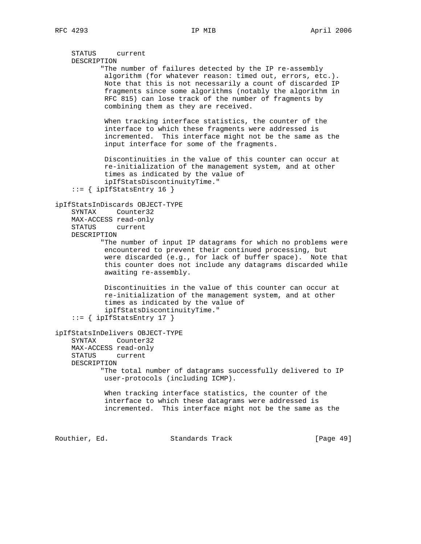```
 STATUS current
     DESCRIPTION
            "The number of failures detected by the IP re-assembly
            algorithm (for whatever reason: timed out, errors, etc.).
            Note that this is not necessarily a count of discarded IP
            fragments since some algorithms (notably the algorithm in
            RFC 815) can lose track of the number of fragments by
             combining them as they are received.
            When tracking interface statistics, the counter of the
            interface to which these fragments were addressed is
             incremented. This interface might not be the same as the
             input interface for some of the fragments.
            Discontinuities in the value of this counter can occur at
            re-initialization of the management system, and at other
            times as indicated by the value of
            ipIfStatsDiscontinuityTime."
     ::= { ipIfStatsEntry 16 }
ipIfStatsInDiscards OBJECT-TYPE
     SYNTAX Counter32
    MAX-ACCESS read-only
    STATUS current
    DESCRIPTION
            "The number of input IP datagrams for which no problems were
            encountered to prevent their continued processing, but
            were discarded (e.g., for lack of buffer space). Note that
            this counter does not include any datagrams discarded while
            awaiting re-assembly.
            Discontinuities in the value of this counter can occur at
            re-initialization of the management system, and at other
            times as indicated by the value of
            ipIfStatsDiscontinuityTime."
    ::= { ipIfStatsEntry 17 }
ipIfStatsInDelivers OBJECT-TYPE
     SYNTAX Counter32
    MAX-ACCESS read-only
    STATUS current
    DESCRIPTION
           "The total number of datagrams successfully delivered to IP
            user-protocols (including ICMP).
            When tracking interface statistics, the counter of the
            interface to which these datagrams were addressed is
            incremented. This interface might not be the same as the
Routhier, Ed. 6. Standards Track [Page 49]
```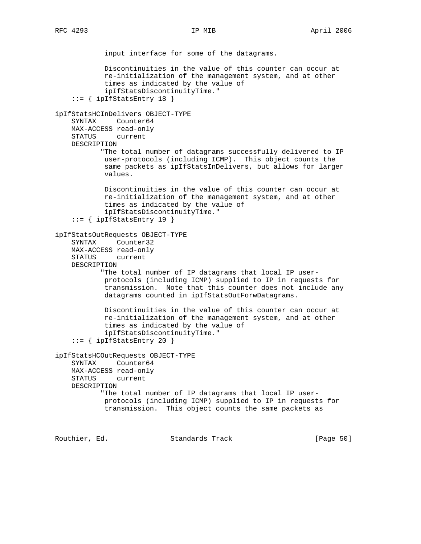input interface for some of the datagrams. Discontinuities in the value of this counter can occur at re-initialization of the management system, and at other times as indicated by the value of ipIfStatsDiscontinuityTime." ::= { ipIfStatsEntry 18 } ipIfStatsHCInDelivers OBJECT-TYPE SYNTAX Counter64 MAX-ACCESS read-only STATUS current DESCRIPTION "The total number of datagrams successfully delivered to IP user-protocols (including ICMP). This object counts the same packets as ipIfStatsInDelivers, but allows for larger values. Discontinuities in the value of this counter can occur at re-initialization of the management system, and at other times as indicated by the value of ipIfStatsDiscontinuityTime." ::= { ipIfStatsEntry 19 } ipIfStatsOutRequests OBJECT-TYPE SYNTAX Counter32 MAX-ACCESS read-only STATUS current DESCRIPTION "The total number of IP datagrams that local IP user protocols (including ICMP) supplied to IP in requests for transmission. Note that this counter does not include any datagrams counted in ipIfStatsOutForwDatagrams. Discontinuities in the value of this counter can occur at re-initialization of the management system, and at other times as indicated by the value of ipIfStatsDiscontinuityTime."  $::=$  { ipIfStatsEntry 20 } ipIfStatsHCOutRequests OBJECT-TYPE SYNTAX Counter64 MAX-ACCESS read-only STATUS current DESCRIPTION "The total number of IP datagrams that local IP user protocols (including ICMP) supplied to IP in requests for transmission. This object counts the same packets as

Routhier, Ed. 6. Standards Track [Page 50]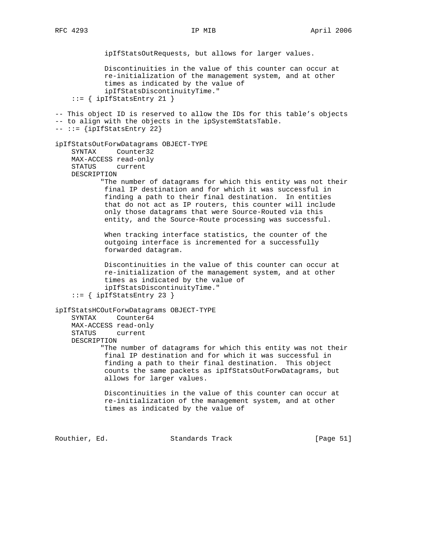ipIfStatsOutRequests, but allows for larger values. Discontinuities in the value of this counter can occur at re-initialization of the management system, and at other times as indicated by the value of ipIfStatsDiscontinuityTime." ::= { ipIfStatsEntry 21 } -- This object ID is reserved to allow the IDs for this table's objects -- to align with the objects in the ipSystemStatsTable.  $---$  ::=  $\{ipIfStatsEntry 22\}$ ipIfStatsOutForwDatagrams OBJECT-TYPE SYNTAX Counter32 MAX-ACCESS read-only STATUS current DESCRIPTION "The number of datagrams for which this entity was not their final IP destination and for which it was successful in finding a path to their final destination. In entities that do not act as IP routers, this counter will include only those datagrams that were Source-Routed via this entity, and the Source-Route processing was successful. When tracking interface statistics, the counter of the outgoing interface is incremented for a successfully forwarded datagram. Discontinuities in the value of this counter can occur at re-initialization of the management system, and at other times as indicated by the value of ipIfStatsDiscontinuityTime." ::= { ipIfStatsEntry 23 } ipIfStatsHCOutForwDatagrams OBJECT-TYPE SYNTAX Counter64 MAX-ACCESS read-only STATUS current DESCRIPTION "The number of datagrams for which this entity was not their final IP destination and for which it was successful in finding a path to their final destination. This object counts the same packets as ipIfStatsOutForwDatagrams, but allows for larger values. Discontinuities in the value of this counter can occur at re-initialization of the management system, and at other times as indicated by the value of

Routhier, Ed. Standards Track [Page 51]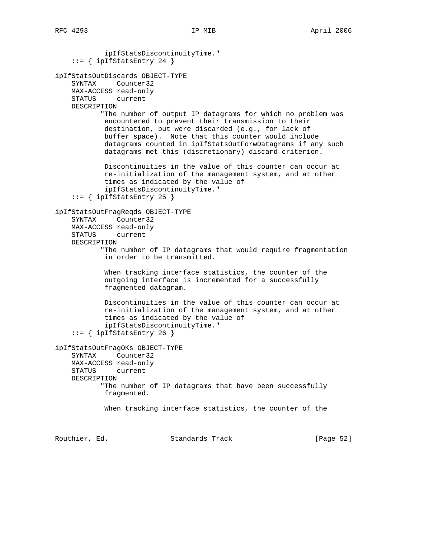ipIfStatsDiscontinuityTime."  $::=$  { ipIfStatsEntry 24 } ipIfStatsOutDiscards OBJECT-TYPE SYNTAX Counter32 MAX-ACCESS read-only STATUS current DESCRIPTION "The number of output IP datagrams for which no problem was encountered to prevent their transmission to their destination, but were discarded (e.g., for lack of buffer space). Note that this counter would include datagrams counted in ipIfStatsOutForwDatagrams if any such datagrams met this (discretionary) discard criterion. Discontinuities in the value of this counter can occur at re-initialization of the management system, and at other times as indicated by the value of ipIfStatsDiscontinuityTime."  $::=$  { ipIfStatsEntry 25 } ipIfStatsOutFragReqds OBJECT-TYPE SYNTAX Counter32 MAX-ACCESS read-only STATUS current DESCRIPTION "The number of IP datagrams that would require fragmentation in order to be transmitted. When tracking interface statistics, the counter of the outgoing interface is incremented for a successfully fragmented datagram. Discontinuities in the value of this counter can occur at re-initialization of the management system, and at other times as indicated by the value of ipIfStatsDiscontinuityTime."  $::=$  { ipIfStatsEntry 26 } ipIfStatsOutFragOKs OBJECT-TYPE SYNTAX Counter32 MAX-ACCESS read-only STATUS current DESCRIPTION "The number of IP datagrams that have been successfully fragmented. When tracking interface statistics, the counter of the

Routhier, Ed. 6. Standards Track [Page 52]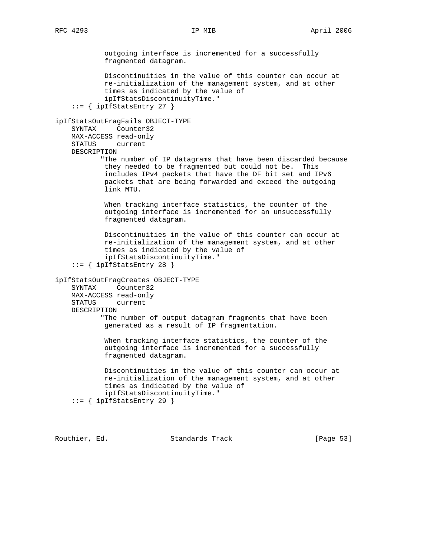outgoing interface is incremented for a successfully fragmented datagram. Discontinuities in the value of this counter can occur at re-initialization of the management system, and at other times as indicated by the value of ipIfStatsDiscontinuityTime."  $::=$  { ipIfStatsEntry 27 } ipIfStatsOutFragFails OBJECT-TYPE SYNTAX Counter32 MAX-ACCESS read-only STATUS current DESCRIPTION "The number of IP datagrams that have been discarded because they needed to be fragmented but could not be. This includes IPv4 packets that have the DF bit set and IPv6 packets that are being forwarded and exceed the outgoing link MTU. When tracking interface statistics, the counter of the outgoing interface is incremented for an unsuccessfully fragmented datagram. Discontinuities in the value of this counter can occur at re-initialization of the management system, and at other times as indicated by the value of ipIfStatsDiscontinuityTime." ::= { ipIfStatsEntry 28 } ipIfStatsOutFragCreates OBJECT-TYPE SYNTAX Counter32 MAX-ACCESS read-only STATUS current DESCRIPTION "The number of output datagram fragments that have been generated as a result of IP fragmentation. When tracking interface statistics, the counter of the outgoing interface is incremented for a successfully fragmented datagram. Discontinuities in the value of this counter can occur at re-initialization of the management system, and at other times as indicated by the value of ipIfStatsDiscontinuityTime."  $::=$  { ipIfStatsEntry 29 }

Routhier, Ed. 6. Standards Track [Page 53]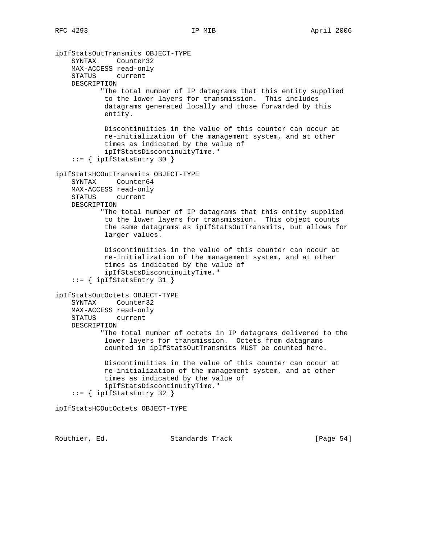ipIfStatsOutTransmits OBJECT-TYPE SYNTAX Counter32 MAX-ACCESS read-only STATUS current DESCRIPTION "The total number of IP datagrams that this entity supplied to the lower layers for transmission. This includes datagrams generated locally and those forwarded by this entity. Discontinuities in the value of this counter can occur at re-initialization of the management system, and at other times as indicated by the value of ipIfStatsDiscontinuityTime."  $::=$  { ipIfStatsEntry 30 } ipIfStatsHCOutTransmits OBJECT-TYPE SYNTAX Counter64 MAX-ACCESS read-only STATUS current DESCRIPTION "The total number of IP datagrams that this entity supplied to the lower layers for transmission. This object counts the same datagrams as ipIfStatsOutTransmits, but allows for larger values. Discontinuities in the value of this counter can occur at re-initialization of the management system, and at other times as indicated by the value of ipIfStatsDiscontinuityTime." ::= { ipIfStatsEntry 31 } ipIfStatsOutOctets OBJECT-TYPE SYNTAX Counter32 MAX-ACCESS read-only STATUS current DESCRIPTION "The total number of octets in IP datagrams delivered to the lower layers for transmission. Octets from datagrams counted in ipIfStatsOutTransmits MUST be counted here. Discontinuities in the value of this counter can occur at re-initialization of the management system, and at other times as indicated by the value of ipIfStatsDiscontinuityTime." ::= { ipIfStatsEntry 32 } ipIfStatsHCOutOctets OBJECT-TYPE

Routhier, Ed. 6. Standards Track [Page 54]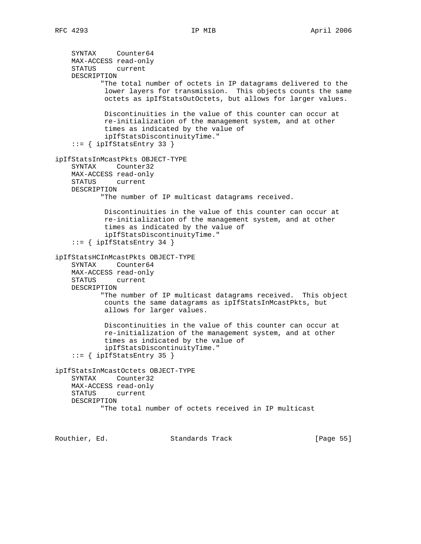```
 SYNTAX Counter64
    MAX-ACCESS read-only
    STATUS current
    DESCRIPTION
            "The total number of octets in IP datagrams delivered to the
            lower layers for transmission. This objects counts the same
             octets as ipIfStatsOutOctets, but allows for larger values.
            Discontinuities in the value of this counter can occur at
            re-initialization of the management system, and at other
            times as indicated by the value of
             ipIfStatsDiscontinuityTime."
     ::= { ipIfStatsEntry 33 }
ipIfStatsInMcastPkts OBJECT-TYPE
     SYNTAX Counter32
    MAX-ACCESS read-only
    STATUS current
    DESCRIPTION
           "The number of IP multicast datagrams received.
            Discontinuities in the value of this counter can occur at
            re-initialization of the management system, and at other
            times as indicated by the value of
             ipIfStatsDiscontinuityTime."
    ::= { ipIfStatsEntry 34 }
ipIfStatsHCInMcastPkts OBJECT-TYPE
     SYNTAX Counter64
    MAX-ACCESS read-only
    STATUS current
    DESCRIPTION
            "The number of IP multicast datagrams received. This object
            counts the same datagrams as ipIfStatsInMcastPkts, but
             allows for larger values.
            Discontinuities in the value of this counter can occur at
             re-initialization of the management system, and at other
             times as indicated by the value of
             ipIfStatsDiscontinuityTime."
     ::= { ipIfStatsEntry 35 }
ipIfStatsInMcastOctets OBJECT-TYPE
    SYNTAX Counter32
    MAX-ACCESS read-only
    STATUS current
    DESCRIPTION
            "The total number of octets received in IP multicast
```
Routhier, Ed. 6. Standards Track [Page 55]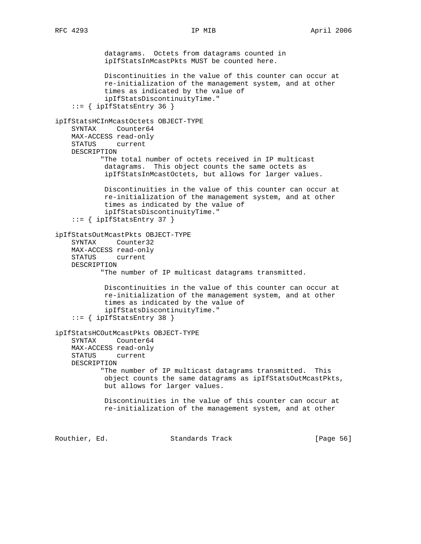datagrams. Octets from datagrams counted in ipIfStatsInMcastPkts MUST be counted here. Discontinuities in the value of this counter can occur at re-initialization of the management system, and at other times as indicated by the value of ipIfStatsDiscontinuityTime."  $::=$  { ipIfStatsEntry 36 } ipIfStatsHCInMcastOctets OBJECT-TYPE SYNTAX Counter64 MAX-ACCESS read-only STATUS current DESCRIPTION "The total number of octets received in IP multicast datagrams. This object counts the same octets as ipIfStatsInMcastOctets, but allows for larger values. Discontinuities in the value of this counter can occur at re-initialization of the management system, and at other times as indicated by the value of ipIfStatsDiscontinuityTime." ::= { ipIfStatsEntry 37 } ipIfStatsOutMcastPkts OBJECT-TYPE SYNTAX Counter32 MAX-ACCESS read-only STATUS current DESCRIPTION "The number of IP multicast datagrams transmitted. Discontinuities in the value of this counter can occur at re-initialization of the management system, and at other times as indicated by the value of ipIfStatsDiscontinuityTime." ::= { ipIfStatsEntry 38 } ipIfStatsHCOutMcastPkts OBJECT-TYPE SYNTAX Counter64 MAX-ACCESS read-only STATUS current DESCRIPTION "The number of IP multicast datagrams transmitted. This object counts the same datagrams as ipIfStatsOutMcastPkts, but allows for larger values. Discontinuities in the value of this counter can occur at re-initialization of the management system, and at other

Routhier, Ed. 6. Standards Track [Page 56]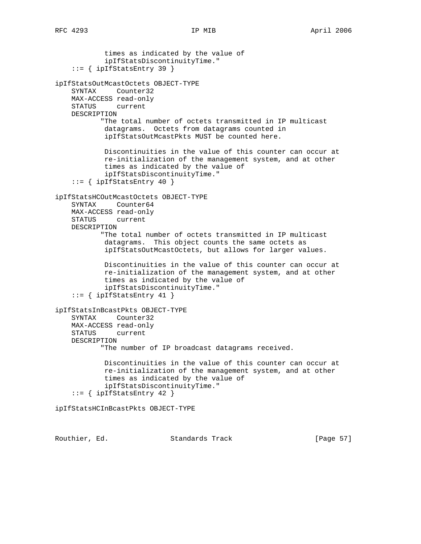times as indicated by the value of ipIfStatsDiscontinuityTime." ::= { ipIfStatsEntry 39 } ipIfStatsOutMcastOctets OBJECT-TYPE SYNTAX Counter32 MAX-ACCESS read-only STATUS current DESCRIPTION "The total number of octets transmitted in IP multicast datagrams. Octets from datagrams counted in ipIfStatsOutMcastPkts MUST be counted here. Discontinuities in the value of this counter can occur at re-initialization of the management system, and at other times as indicated by the value of ipIfStatsDiscontinuityTime."  $::=$  { ipIfStatsEntry 40 } ipIfStatsHCOutMcastOctets OBJECT-TYPE SYNTAX Counter64 MAX-ACCESS read-only STATUS current DESCRIPTION "The total number of octets transmitted in IP multicast datagrams. This object counts the same octets as ipIfStatsOutMcastOctets, but allows for larger values. Discontinuities in the value of this counter can occur at re-initialization of the management system, and at other times as indicated by the value of ipIfStatsDiscontinuityTime."  $::=$  { ipIfStatsEntry 41 } ipIfStatsInBcastPkts OBJECT-TYPE SYNTAX Counter32 MAX-ACCESS read-only STATUS current DESCRIPTION "The number of IP broadcast datagrams received. Discontinuities in the value of this counter can occur at re-initialization of the management system, and at other times as indicated by the value of ipIfStatsDiscontinuityTime." ::= { ipIfStatsEntry 42 } ipIfStatsHCInBcastPkts OBJECT-TYPE

Routhier, Ed. 6. Standards Track [Page 57]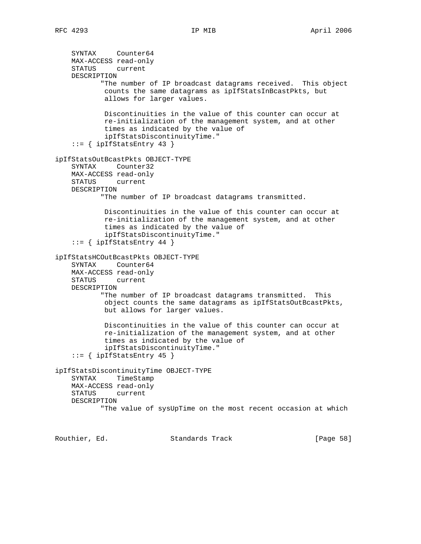```
 SYNTAX Counter64
    MAX-ACCESS read-only
    STATUS current
    DESCRIPTION
            "The number of IP broadcast datagrams received. This object
             counts the same datagrams as ipIfStatsInBcastPkts, but
             allows for larger values.
             Discontinuities in the value of this counter can occur at
             re-initialization of the management system, and at other
             times as indicated by the value of
             ipIfStatsDiscontinuityTime."
     ::= { ipIfStatsEntry 43 }
ipIfStatsOutBcastPkts OBJECT-TYPE
     SYNTAX Counter32
    MAX-ACCESS read-only
    STATUS current
    DESCRIPTION
            "The number of IP broadcast datagrams transmitted.
             Discontinuities in the value of this counter can occur at
             re-initialization of the management system, and at other
             times as indicated by the value of
             ipIfStatsDiscontinuityTime."
     ::= \{ \text{ipIfStatsEntry 44 } \}ipIfStatsHCOutBcastPkts OBJECT-TYPE
     SYNTAX Counter64
    MAX-ACCESS read-only
    STATUS current
    DESCRIPTION
            "The number of IP broadcast datagrams transmitted. This
             object counts the same datagrams as ipIfStatsOutBcastPkts,
             but allows for larger values.
             Discontinuities in the value of this counter can occur at
             re-initialization of the management system, and at other
             times as indicated by the value of
             ipIfStatsDiscontinuityTime."
     ::= { ipIfStatsEntry 45 }
ipIfStatsDiscontinuityTime OBJECT-TYPE
     SYNTAX TimeStamp
    MAX-ACCESS read-only
    STATUS current
    DESCRIPTION
            "The value of sysUpTime on the most recent occasion at which
```
Routhier, Ed. 6. Standards Track [Page 58]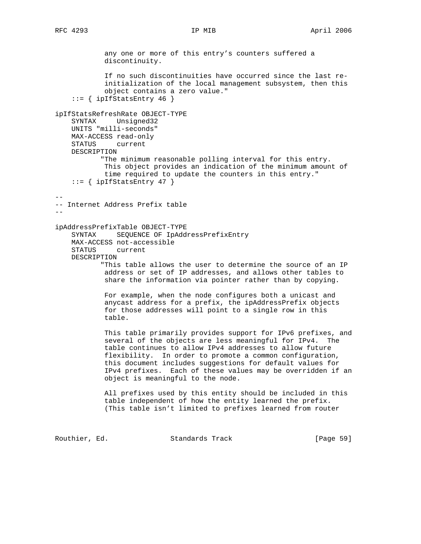any one or more of this entry's counters suffered a discontinuity. If no such discontinuities have occurred since the last re initialization of the local management subsystem, then this object contains a zero value." ::= { ipIfStatsEntry 46 } ipIfStatsRefreshRate OBJECT-TYPE SYNTAX Unsigned32 UNITS "milli-seconds" MAX-ACCESS read-only STATUS current DESCRIPTION "The minimum reasonable polling interval for this entry. This object provides an indication of the minimum amount of time required to update the counters in this entry."  $::=$  { ipIfStatsEntry 47 } -- -- Internet Address Prefix table - ipAddressPrefixTable OBJECT-TYPE SYNTAX SEQUENCE OF IpAddressPrefixEntry MAX-ACCESS not-accessible STATUS current DESCRIPTION "This table allows the user to determine the source of an IP address or set of IP addresses, and allows other tables to share the information via pointer rather than by copying. For example, when the node configures both a unicast and anycast address for a prefix, the ipAddressPrefix objects for those addresses will point to a single row in this table. This table primarily provides support for IPv6 prefixes, and several of the objects are less meaningful for IPv4. The table continues to allow IPv4 addresses to allow future flexibility. In order to promote a common configuration, this document includes suggestions for default values for IPv4 prefixes. Each of these values may be overridden if an object is meaningful to the node. All prefixes used by this entity should be included in this table independent of how the entity learned the prefix. (This table isn't limited to prefixes learned from router

Routhier, Ed. 6. Standards Track [Page 59]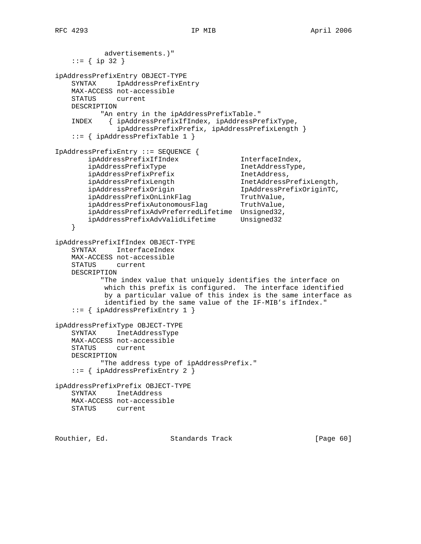```
 advertisements.)"
   ::= \{ \text{ip } 32 \}ipAddressPrefixEntry OBJECT-TYPE
    SYNTAX IpAddressPrefixEntry
    MAX-ACCESS not-accessible
    STATUS current
    DESCRIPTION
          "An entry in the ipAddressPrefixTable."
    INDEX { ipAddressPrefixIfIndex, ipAddressPrefixType,
              ipAddressPrefixPrefix, ipAddressPrefixLength }
    ::= { ipAddressPrefixTable 1 }
IpAddressPrefixEntry ::= SEQUENCE {
 ipAddressPrefixIfIndex InterfaceIndex,
 ipAddressPrefixType InetAddressType,
ipAddressPrefixPrefix inetAddress,
 ipAddressPrefixLength InetAddressPrefixLength,
 ipAddressPrefixOrigin IpAddressPrefixOriginTC,
ipAddressPrefixOnLinkFlag TruthValue,
ipAddressPrefixAutonomousFlag TruthValue,
        ipAddressPrefixAdvPreferredLifetime Unsigned32,
        ipAddressPrefixAdvValidLifetime Unsigned32
    }
ipAddressPrefixIfIndex OBJECT-TYPE
    SYNTAX InterfaceIndex
    MAX-ACCESS not-accessible
    STATUS current
    DESCRIPTION
           "The index value that uniquely identifies the interface on
           which this prefix is configured. The interface identified
           by a particular value of this index is the same interface as
            identified by the same value of the IF-MIB's ifIndex."
    ::= { ipAddressPrefixEntry 1 }
ipAddressPrefixType OBJECT-TYPE
    SYNTAX InetAddressType
    MAX-ACCESS not-accessible
    STATUS current
    DESCRIPTION
          "The address type of ipAddressPrefix."
    ::= { ipAddressPrefixEntry 2 }
ipAddressPrefixPrefix OBJECT-TYPE
    SYNTAX InetAddress
    MAX-ACCESS not-accessible
    STATUS current
```
Routhier, Ed. 6. Standards Track [Page 60]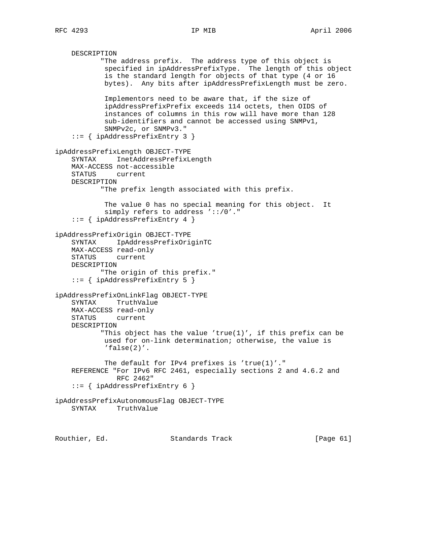```
 DESCRIPTION
            "The address prefix. The address type of this object is
             specified in ipAddressPrefixType. The length of this object
             is the standard length for objects of that type (4 or 16
             bytes). Any bits after ipAddressPrefixLength must be zero.
             Implementors need to be aware that, if the size of
             ipAddressPrefixPrefix exceeds 114 octets, then OIDS of
             instances of columns in this row will have more than 128
             sub-identifiers and cannot be accessed using SNMPv1,
            SNMPv2c, or SNMPv3."
     ::= { ipAddressPrefixEntry 3 }
ipAddressPrefixLength OBJECT-TYPE
     SYNTAX InetAddressPrefixLength
    MAX-ACCESS not-accessible
    STATUS current
    DESCRIPTION
            "The prefix length associated with this prefix.
             The value 0 has no special meaning for this object. It
            simply refers to address '::/0'."
     ::= { ipAddressPrefixEntry 4 }
ipAddressPrefixOrigin OBJECT-TYPE
     SYNTAX IpAddressPrefixOriginTC
    MAX-ACCESS read-only
    STATUS current
    DESCRIPTION
            "The origin of this prefix."
     ::= { ipAddressPrefixEntry 5 }
ipAddressPrefixOnLinkFlag OBJECT-TYPE
     SYNTAX TruthValue
    MAX-ACCESS read-only
    STATUS current
    DESCRIPTION
           "This object has the value 'true(1)', if this prefix can be
            used for on-link determination; otherwise, the value is
             'false(2)'.
            The default for IPv4 prefixes is 'true(1)'."
     REFERENCE "For IPv6 RFC 2461, especially sections 2 and 4.6.2 and
               RFC 2462"
     ::= { ipAddressPrefixEntry 6 }
ipAddressPrefixAutonomousFlag OBJECT-TYPE
    SYNTAX TruthValue
```
Routhier, Ed. 6. Standards Track [Page 61]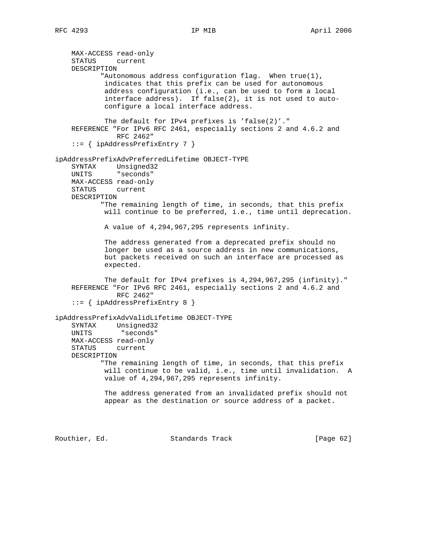MAX-ACCESS read-only STATUS current DESCRIPTION "Autonomous address configuration flag. When true(1), indicates that this prefix can be used for autonomous address configuration (i.e., can be used to form a local interface address). If false(2), it is not used to auto configure a local interface address. The default for IPv4 prefixes is 'false(2)'." REFERENCE "For IPv6 RFC 2461, especially sections 2 and 4.6.2 and RFC 2462" ::= { ipAddressPrefixEntry 7 } ipAddressPrefixAdvPreferredLifetime OBJECT-TYPE SYNTAX Unsigned32 UNITS "seconds" MAX-ACCESS read-only STATUS current DESCRIPTION "The remaining length of time, in seconds, that this prefix will continue to be preferred, i.e., time until deprecation. A value of 4,294,967,295 represents infinity. The address generated from a deprecated prefix should no longer be used as a source address in new communications, but packets received on such an interface are processed as expected. The default for IPv4 prefixes is 4,294,967,295 (infinity)." REFERENCE "For IPv6 RFC 2461, especially sections 2 and 4.6.2 and RFC 2462" ::= { ipAddressPrefixEntry 8 } ipAddressPrefixAdvValidLifetime OBJECT-TYPE SYNTAX Unsigned32 UNITS "seconds" MAX-ACCESS read-only STATUS current DESCRIPTION "The remaining length of time, in seconds, that this prefix will continue to be valid, i.e., time until invalidation. A value of 4,294,967,295 represents infinity. The address generated from an invalidated prefix should not appear as the destination or source address of a packet.

Routhier, Ed. Standards Track [Page 62]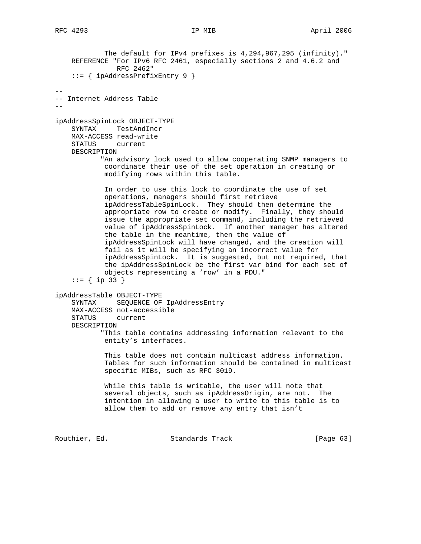The default for IPv4 prefixes is 4,294,967,295 (infinity)." REFERENCE "For IPv6 RFC 2461, especially sections 2 and 4.6.2 and RFC 2462" ::= { ipAddressPrefixEntry 9 } -- -- Internet Address Table - ipAddressSpinLock OBJECT-TYPE SYNTAX TestAndIncr MAX-ACCESS read-write STATUS current DESCRIPTION "An advisory lock used to allow cooperating SNMP managers to coordinate their use of the set operation in creating or modifying rows within this table. In order to use this lock to coordinate the use of set operations, managers should first retrieve ipAddressTableSpinLock. They should then determine the appropriate row to create or modify. Finally, they should issue the appropriate set command, including the retrieved value of ipAddressSpinLock. If another manager has altered the table in the meantime, then the value of ipAddressSpinLock will have changed, and the creation will fail as it will be specifying an incorrect value for ipAddressSpinLock. It is suggested, but not required, that the ipAddressSpinLock be the first var bind for each set of objects representing a 'row' in a PDU." ::= { ip 33 } ipAddressTable OBJECT-TYPE SYNTAX SEQUENCE OF IpAddressEntry MAX-ACCESS not-accessible STATUS current DESCRIPTION "This table contains addressing information relevant to the entity's interfaces. This table does not contain multicast address information. Tables for such information should be contained in multicast specific MIBs, such as RFC 3019. While this table is writable, the user will note that several objects, such as ipAddressOrigin, are not. The intention in allowing a user to write to this table is to allow them to add or remove any entry that isn't Routhier, Ed. 6. Standards Track [Page 63]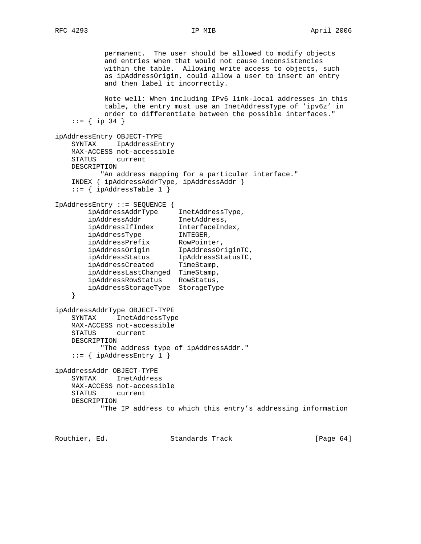permanent. The user should be allowed to modify objects and entries when that would not cause inconsistencies within the table. Allowing write access to objects, such as ipAddressOrigin, could allow a user to insert an entry and then label it incorrectly. Note well: When including IPv6 link-local addresses in this table, the entry must use an InetAddressType of 'ipv6z' in order to differentiate between the possible interfaces." ::=  $\{ \text{ip } 34 \}$ ipAddressEntry OBJECT-TYPE SYNTAX IpAddressEntry MAX-ACCESS not-accessible STATUS current DESCRIPTION "An address mapping for a particular interface." INDEX { ipAddressAddrType, ipAddressAddr }  $::=$  { ipAddressTable 1 } IpAddressEntry ::= SEQUENCE { ipAddressAddrType InetAddressType, ipAddressAddr InetAddress, ipAddressIfIndex InterfaceIndex, ipAddressType INTEGER, ipAddressPrefix RowPointer, ipAddressOrigin IpAddressOriginTC, ipAddressStatus IpAddressStatusTC, ipAddressCreated TimeStamp, ipAddressLastChanged TimeStamp, ipAddressRowStatus RowStatus, ipAddressStorageType StorageType } ipAddressAddrType OBJECT-TYPE SYNTAX InetAddressType MAX-ACCESS not-accessible STATUS current DESCRIPTION "The address type of ipAddressAddr."  $::=$  { ipAddressEntry 1 } ipAddressAddr OBJECT-TYPE SYNTAX InetAddress MAX-ACCESS not-accessible STATUS current DESCRIPTION "The IP address to which this entry's addressing information

Routhier, Ed. 6. Standards Track [Page 64]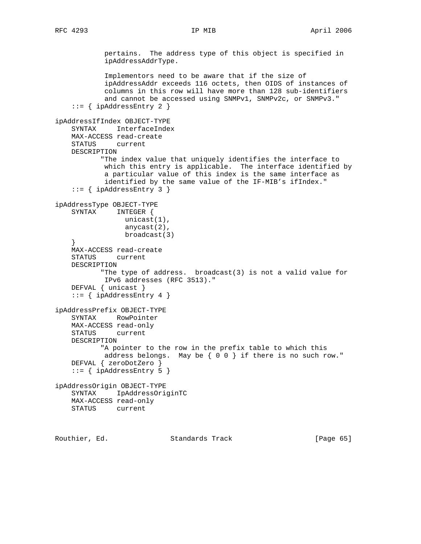pertains. The address type of this object is specified in ipAddressAddrType. Implementors need to be aware that if the size of ipAddressAddr exceeds 116 octets, then OIDS of instances of columns in this row will have more than 128 sub-identifiers and cannot be accessed using SNMPv1, SNMPv2c, or SNMPv3."  $::=$  { ipAddressEntry 2 } ipAddressIfIndex OBJECT-TYPE SYNTAX InterfaceIndex MAX-ACCESS read-create STATUS current DESCRIPTION "The index value that uniquely identifies the interface to which this entry is applicable. The interface identified by a particular value of this index is the same interface as identified by the same value of the IF-MIB's ifIndex." ::= { ipAddressEntry 3 } ipAddressType OBJECT-TYPE SYNTAX INTEGER { unicast(1), anycast(2), broadcast(3) } MAX-ACCESS read-create STATUS current DESCRIPTION "The type of address. broadcast(3) is not a valid value for IPv6 addresses (RFC 3513)." DEFVAL { unicast }  $::=$  { ipAddressEntry 4 } ipAddressPrefix OBJECT-TYPE SYNTAX RowPointer MAX-ACCESS read-only STATUS current DESCRIPTION "A pointer to the row in the prefix table to which this address belongs. May be { 0 0 } if there is no such row." DEFVAL { zeroDotZero } ::= { ipAddressEntry 5 } ipAddressOrigin OBJECT-TYPE SYNTAX IpAddressOriginTC MAX-ACCESS read-only STATUS current

Routhier, Ed. 6. Standards Track [Page 65]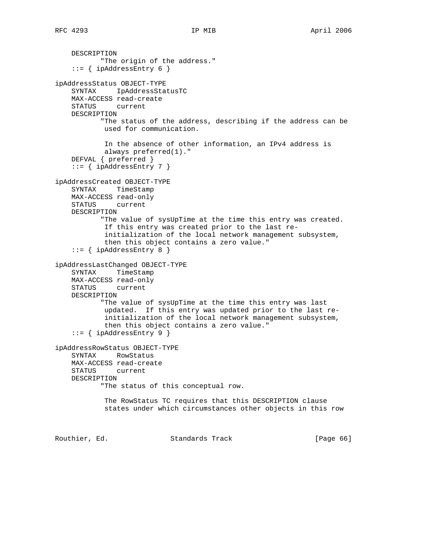```
 DESCRIPTION
            "The origin of the address."
    ::= { ipAddressEntry 6 }
ipAddressStatus OBJECT-TYPE
    SYNTAX IpAddressStatusTC
    MAX-ACCESS read-create
    STATUS current
    DESCRIPTION
           "The status of the address, describing if the address can be
            used for communication.
            In the absence of other information, an IPv4 address is
            always preferred(1)."
     DEFVAL { preferred }
     ::= { ipAddressEntry 7 }
ipAddressCreated OBJECT-TYPE
    SYNTAX TimeStamp
    MAX-ACCESS read-only
    STATUS current
    DESCRIPTION
            "The value of sysUpTime at the time this entry was created.
            If this entry was created prior to the last re-
            initialization of the local network management subsystem,
             then this object contains a zero value."
    ::= { ipAddressEntry 8 }
ipAddressLastChanged OBJECT-TYPE
    SYNTAX TimeStamp
    MAX-ACCESS read-only
    STATUS current
    DESCRIPTION
            "The value of sysUpTime at the time this entry was last
            updated. If this entry was updated prior to the last re-
            initialization of the local network management subsystem,
            then this object contains a zero value."
    ::= { ipAddressEntry 9 }
ipAddressRowStatus OBJECT-TYPE
     SYNTAX RowStatus
    MAX-ACCESS read-create
    STATUS current
    DESCRIPTION
            "The status of this conceptual row.
            The RowStatus TC requires that this DESCRIPTION clause
            states under which circumstances other objects in this row
Routhier, Ed. 6. Standards Track [Page 66]
```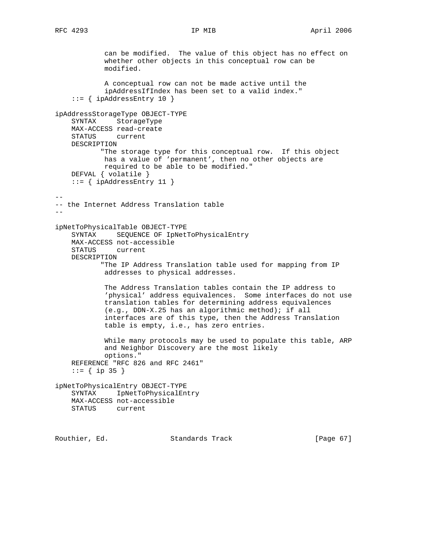can be modified. The value of this object has no effect on whether other objects in this conceptual row can be modified. A conceptual row can not be made active until the ipAddressIfIndex has been set to a valid index." ::= { ipAddressEntry 10 } ipAddressStorageType OBJECT-TYPE SYNTAX StorageType MAX-ACCESS read-create STATUS current DESCRIPTION "The storage type for this conceptual row. If this object has a value of 'permanent', then no other objects are required to be able to be modified." DEFVAL { volatile }  $::=$  { ipAddressEntry 11 } -- -- the Internet Address Translation table - ipNetToPhysicalTable OBJECT-TYPE SYNTAX SEQUENCE OF IpNetToPhysicalEntry MAX-ACCESS not-accessible STATUS current DESCRIPTION "The IP Address Translation table used for mapping from IP addresses to physical addresses. The Address Translation tables contain the IP address to 'physical' address equivalences. Some interfaces do not use translation tables for determining address equivalences (e.g., DDN-X.25 has an algorithmic method); if all interfaces are of this type, then the Address Translation table is empty, i.e., has zero entries. While many protocols may be used to populate this table, ARP and Neighbor Discovery are the most likely options." REFERENCE "RFC 826 and RFC 2461" ::=  $\{ \text{ip } 35 \}$ ipNetToPhysicalEntry OBJECT-TYPE SYNTAX IpNetToPhysicalEntry MAX-ACCESS not-accessible STATUS current

Routhier, Ed. 6. Standards Track [Page 67]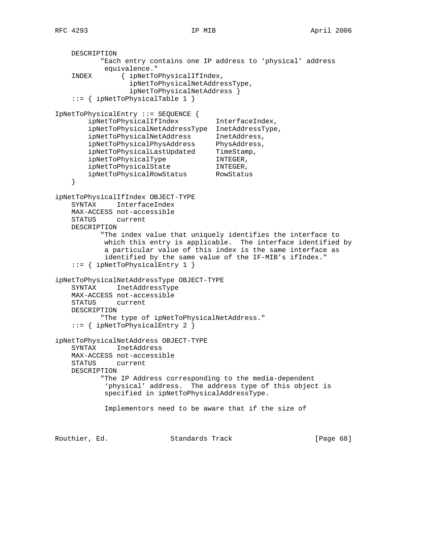DESCRIPTION "Each entry contains one IP address to 'physical' address equivalence." INDEX { ipNetToPhysicalIfIndex, ipNetToPhysicalNetAddressType, ipNetToPhysicalNetAddress } ::= { ipNetToPhysicalTable 1 } IpNetToPhysicalEntry ::= SEQUENCE { ipNetToPhysicalIfIndex InterfaceIndex, ipNetToPhysicalNetAddressType InetAddressType, ipNetToPhysicalNetAddress InetAddress, ipNetToPhysicalPhysAddress PhysAddress, ipNetToPhysicalLastUpdated TimeStamp, ipNetToPhysicalType INTEGER, ipNetToPhysicalState INTEGER, ipNetToPhysicalRowStatus RowStatus } ipNetToPhysicalIfIndex OBJECT-TYPE SYNTAX InterfaceIndex MAX-ACCESS not-accessible STATUS current DESCRIPTION "The index value that uniquely identifies the interface to which this entry is applicable. The interface identified by a particular value of this index is the same interface as identified by the same value of the IF-MIB's ifIndex." ::= { ipNetToPhysicalEntry 1 } ipNetToPhysicalNetAddressType OBJECT-TYPE SYNTAX InetAddressType MAX-ACCESS not-accessible STATUS current DESCRIPTION "The type of ipNetToPhysicalNetAddress." ::= { ipNetToPhysicalEntry 2 } ipNetToPhysicalNetAddress OBJECT-TYPE SYNTAX InetAddress MAX-ACCESS not-accessible STATUS current DESCRIPTION "The IP Address corresponding to the media-dependent 'physical' address. The address type of this object is specified in ipNetToPhysicalAddressType. Implementors need to be aware that if the size of Routhier, Ed. 681 Standards Track 1986 (Page 681)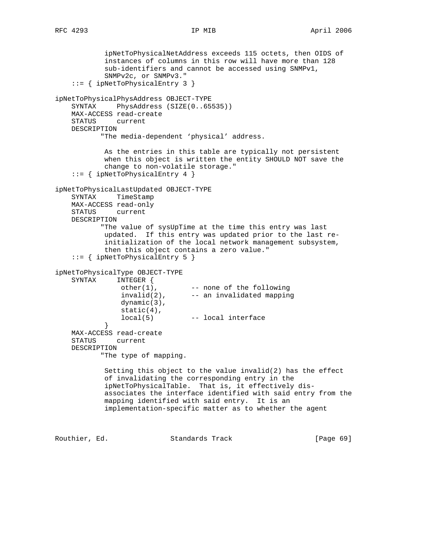ipNetToPhysicalNetAddress exceeds 115 octets, then OIDS of instances of columns in this row will have more than 128 sub-identifiers and cannot be accessed using SNMPv1, SNMPv2c, or SNMPv3." ::= { ipNetToPhysicalEntry 3 } ipNetToPhysicalPhysAddress OBJECT-TYPE SYNTAX PhysAddress (SIZE(0..65535)) MAX-ACCESS read-create STATUS current DESCRIPTION "The media-dependent 'physical' address. As the entries in this table are typically not persistent when this object is written the entity SHOULD NOT save the change to non-volatile storage." ::= { ipNetToPhysicalEntry 4 } ipNetToPhysicalLastUpdated OBJECT-TYPE SYNTAX TimeStamp MAX-ACCESS read-only STATUS current DESCRIPTION "The value of sysUpTime at the time this entry was last updated. If this entry was updated prior to the last re initialization of the local network management subsystem, then this object contains a zero value." ::= { ipNetToPhysicalEntry 5 } ipNetToPhysicalType OBJECT-TYPE INTEGER { other(1), -- none of the following invalid(2), -- an invalidated mapping dynamic(3), static(4), local(5) -- local interface } } MAX-ACCESS read-create STATUS current DESCRIPTION "The type of mapping. Setting this object to the value invalid(2) has the effect of invalidating the corresponding entry in the ipNetToPhysicalTable. That is, it effectively dis associates the interface identified with said entry from the mapping identified with said entry. It is an implementation-specific matter as to whether the agent Routhier, Ed. 691 Standards Track [Page 69]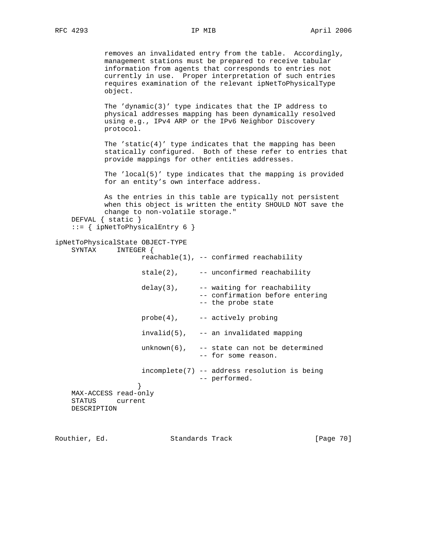removes an invalidated entry from the table. Accordingly, management stations must be prepared to receive tabular information from agents that corresponds to entries not currently in use. Proper interpretation of such entries requires examination of the relevant ipNetToPhysicalType object. The 'dynamic(3)' type indicates that the IP address to physical addresses mapping has been dynamically resolved using e.g., IPv4 ARP or the IPv6 Neighbor Discovery protocol. The 'static(4)' type indicates that the mapping has been statically configured. Both of these refer to entries that provide mappings for other entities addresses. The 'local(5)' type indicates that the mapping is provided for an entity's own interface address. As the entries in this table are typically not persistent when this object is written the entity SHOULD NOT save the change to non-volatile storage." DEFVAL { static } ::= { ipNetToPhysicalEntry 6 } ipNetToPhysicalState OBJECT-TYPE SYNTAX INTEGER { reachable(1), -- confirmed reachability  $state(2)$ , -- unconfirmed reachability  $delay(3)$ ,  $-- waiting for reachability$  -- confirmation before entering -- the probe state  $probe(4)$ ,  $--$  actively probing  $invald(5)$ , -- an invalidated mapping  $unknown(6)$ , -- state can not be determined -- for some reason. incomplete(7) -- address resolution is being

 } MAX-ACCESS read-only STATUS current DESCRIPTION

Routhier, Ed. 6. Standards Track [Page 70]

-- performed.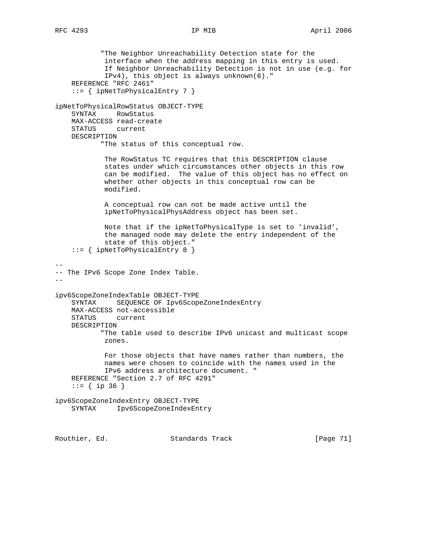"The Neighbor Unreachability Detection state for the interface when the address mapping in this entry is used. If Neighbor Unreachability Detection is not in use (e.g. for IPv4), this object is always unknown(6)." REFERENCE "RFC 2461" ::= { ipNetToPhysicalEntry 7 } ipNetToPhysicalRowStatus OBJECT-TYPE SYNTAX RowStatus MAX-ACCESS read-create STATUS current DESCRIPTION "The status of this conceptual row. The RowStatus TC requires that this DESCRIPTION clause states under which circumstances other objects in this row can be modified. The value of this object has no effect on whether other objects in this conceptual row can be modified. A conceptual row can not be made active until the ipNetToPhysicalPhysAddress object has been set. Note that if the ipNetToPhysicalType is set to 'invalid', the managed node may delete the entry independent of the state of this object." ::= { ipNetToPhysicalEntry 8 } -- -- The IPv6 Scope Zone Index Table.  $$ ipv6ScopeZoneIndexTable OBJECT-TYPE SYNTAX SEQUENCE OF Ipv6ScopeZoneIndexEntry MAX-ACCESS not-accessible STATUS current DESCRIPTION "The table used to describe IPv6 unicast and multicast scope zones. For those objects that have names rather than numbers, the names were chosen to coincide with the names used in the IPv6 address architecture document. " REFERENCE "Section 2.7 of RFC 4291"  $::=$  { ip 36 } ipv6ScopeZoneIndexEntry OBJECT-TYPE SYNTAX Ipv6ScopeZoneIndexEntry Routhier, Ed. 6. Standards Track [Page 71]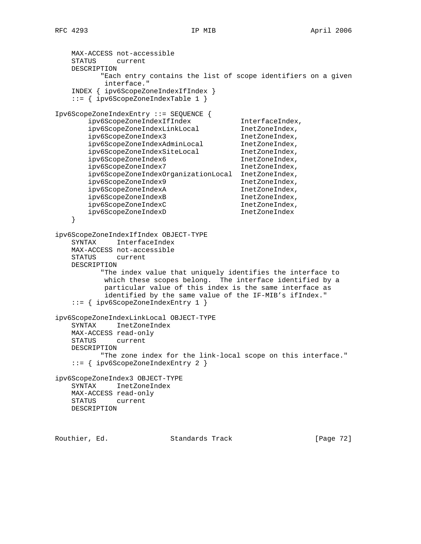```
 MAX-ACCESS not-accessible
    STATUS current
    DESCRIPTION
          "Each entry contains the list of scope identifiers on a given
           interface."
    INDEX { ipv6ScopeZoneIndexIfIndex }
    ::= { ipv6ScopeZoneIndexTable 1 }
Ipv6ScopeZoneIndexEntry ::= SEQUENCE {
        ipv6ScopeZoneIndexIfIndex InterfaceIndex,
        ipv6ScopeZoneIndexLinkLocal InetZoneIndex,
 ipv6ScopeZoneIndex3 InetZoneIndex,
 ipv6ScopeZoneIndexAdminLocal InetZoneIndex,
 ipv6ScopeZoneIndexSiteLocal InetZoneIndex,
 ipv6ScopeZoneIndex6 InetZoneIndex,
        ipv6ScopeZoneIndex7 InetZoneIndex,
        ipv6ScopeZoneIndexOrganizationLocal InetZoneIndex,
       ipv6ScopeZoneIndex9 InetZoneIndex,
       ipv6ScopeZoneIndexA InetZoneIndex,
       ipv6ScopeZoneIndexB InetZoneIndex,
       ipv6ScopeZoneIndexC InetZoneIndex,
       ipv6ScopeZoneIndexD InetZoneIndex
    }
ipv6ScopeZoneIndexIfIndex OBJECT-TYPE
    SYNTAX InterfaceIndex
    MAX-ACCESS not-accessible
    STATUS current
    DESCRIPTION
          "The index value that uniquely identifies the interface to
           which these scopes belong. The interface identified by a
           particular value of this index is the same interface as
           identified by the same value of the IF-MIB's ifIndex."
    ::= { ipv6ScopeZoneIndexEntry 1 }
ipv6ScopeZoneIndexLinkLocal OBJECT-TYPE
    SYNTAX InetZoneIndex
    MAX-ACCESS read-only
    STATUS current
    DESCRIPTION
          "The zone index for the link-local scope on this interface."
    ::= { ipv6ScopeZoneIndexEntry 2 }
ipv6ScopeZoneIndex3 OBJECT-TYPE
    SYNTAX InetZoneIndex
    MAX-ACCESS read-only
    STATUS current
    DESCRIPTION
Routhier, Ed. 6. Standards Track [Page 72]
```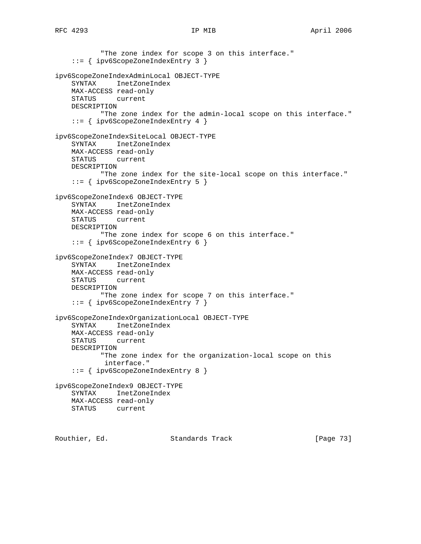```
 "The zone index for scope 3 on this interface."
     ::= { ipv6ScopeZoneIndexEntry 3 }
ipv6ScopeZoneIndexAdminLocal OBJECT-TYPE
     SYNTAX InetZoneIndex
    MAX-ACCESS read-only
    STATUS current
    DESCRIPTION
           "The zone index for the admin-local scope on this interface."
     ::= { ipv6ScopeZoneIndexEntry 4 }
ipv6ScopeZoneIndexSiteLocal OBJECT-TYPE
     SYNTAX InetZoneIndex
    MAX-ACCESS read-only
    STATUS current
    DESCRIPTION
           "The zone index for the site-local scope on this interface."
     ::= { ipv6ScopeZoneIndexEntry 5 }
ipv6ScopeZoneIndex6 OBJECT-TYPE
    SYNTAX InetZoneIndex
    MAX-ACCESS read-only
    STATUS current
    DESCRIPTION
            "The zone index for scope 6 on this interface."
     ::= { ipv6ScopeZoneIndexEntry 6 }
ipv6ScopeZoneIndex7 OBJECT-TYPE
     SYNTAX InetZoneIndex
    MAX-ACCESS read-only
    STATUS current
    DESCRIPTION
            "The zone index for scope 7 on this interface."
     ::= { ipv6ScopeZoneIndexEntry 7 }
ipv6ScopeZoneIndexOrganizationLocal OBJECT-TYPE
     SYNTAX InetZoneIndex
    MAX-ACCESS read-only
    STATUS current
    DESCRIPTION
           "The zone index for the organization-local scope on this
            interface."
     ::= { ipv6ScopeZoneIndexEntry 8 }
ipv6ScopeZoneIndex9 OBJECT-TYPE
    SYNTAX InetZoneIndex
    MAX-ACCESS read-only
    STATUS current
```
Routhier, Ed. Standards Track [Page 73]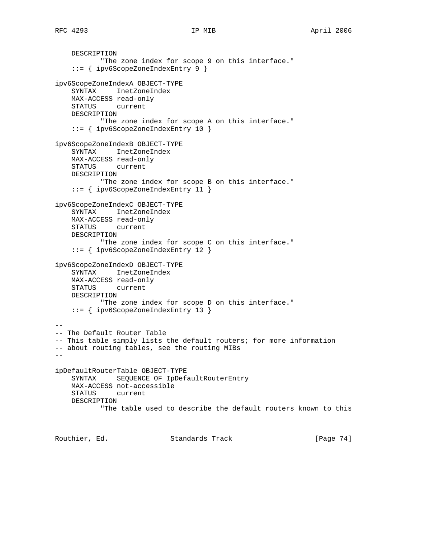DESCRIPTION

```
 "The zone index for scope 9 on this interface."
     ::= { ipv6ScopeZoneIndexEntry 9 }
ipv6ScopeZoneIndexA OBJECT-TYPE
    SYNTAX InetZoneIndex
    MAX-ACCESS read-only
    STATUS current
    DESCRIPTION
            "The zone index for scope A on this interface."
     ::= { ipv6ScopeZoneIndexEntry 10 }
ipv6ScopeZoneIndexB OBJECT-TYPE
     SYNTAX InetZoneIndex
    MAX-ACCESS read-only
     STATUS current
    DESCRIPTION
           "The zone index for scope B on this interface."
     ::= { ipv6ScopeZoneIndexEntry 11 }
ipv6ScopeZoneIndexC OBJECT-TYPE
     SYNTAX InetZoneIndex
    MAX-ACCESS read-only
    STATUS current
    DESCRIPTION
           "The zone index for scope C on this interface."
     ::= { ipv6ScopeZoneIndexEntry 12 }
ipv6ScopeZoneIndexD OBJECT-TYPE
    SYNTAX InetZoneIndex
    MAX-ACCESS read-only
    STATUS current
    DESCRIPTION
           "The zone index for scope D on this interface."
     ::= { ipv6ScopeZoneIndexEntry 13 }
--- The Default Router Table
-- This table simply lists the default routers; for more information
-- about routing tables, see the routing MIBs
--
ipDefaultRouterTable OBJECT-TYPE
    SYNTAX SEQUENCE OF IpDefaultRouterEntry
    MAX-ACCESS not-accessible
    STATUS current
    DESCRIPTION
            "The table used to describe the default routers known to this
```
Routhier, Ed. 6. Standards Track [Page 74]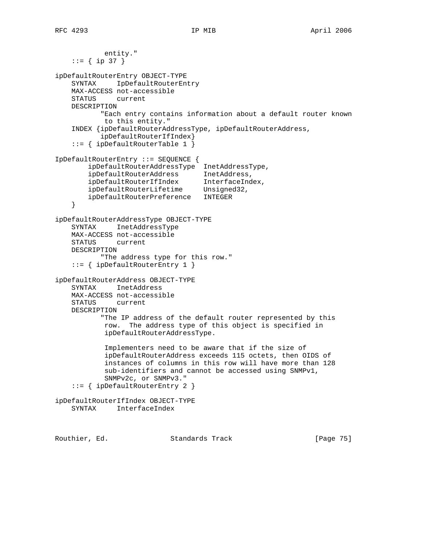```
 entity."
     ::= { ip 37 }
ipDefaultRouterEntry OBJECT-TYPE
    SYNTAX IpDefaultRouterEntry
    MAX-ACCESS not-accessible
    STATUS current
    DESCRIPTION
           "Each entry contains information about a default router known
            to this entity."
     INDEX {ipDefaultRouterAddressType, ipDefaultRouterAddress,
           ipDefaultRouterIfIndex}
     ::= { ipDefaultRouterTable 1 }
IpDefaultRouterEntry ::= SEQUENCE {
        ipDefaultRouterAddressType InetAddressType,
 ipDefaultRouterAddress InetAddress,
 ipDefaultRouterIfIndex InterfaceIndex,
 ipDefaultRouterLifetime Unsigned32,
         ipDefaultRouterPreference INTEGER
     }
ipDefaultRouterAddressType OBJECT-TYPE
    SYNTAX InetAddressType
    MAX-ACCESS not-accessible
    STATUS current
    DESCRIPTION
           "The address type for this row."
     ::= { ipDefaultRouterEntry 1 }
ipDefaultRouterAddress OBJECT-TYPE
    SYNTAX InetAddress
    MAX-ACCESS not-accessible
    STATUS current
    DESCRIPTION
            "The IP address of the default router represented by this
            row. The address type of this object is specified in
            ipDefaultRouterAddressType.
            Implementers need to be aware that if the size of
            ipDefaultRouterAddress exceeds 115 octets, then OIDS of
            instances of columns in this row will have more than 128
            sub-identifiers and cannot be accessed using SNMPv1,
            SNMPv2c, or SNMPv3."
     ::= { ipDefaultRouterEntry 2 }
ipDefaultRouterIfIndex OBJECT-TYPE
    SYNTAX InterfaceIndex
```
Routhier, Ed. 6. Standards Track [Page 75]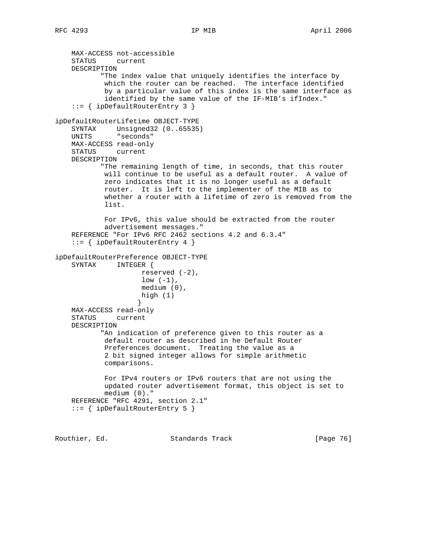MAX-ACCESS not-accessible STATUS current DESCRIPTION "The index value that uniquely identifies the interface by which the router can be reached. The interface identified by a particular value of this index is the same interface as identified by the same value of the IF-MIB's ifIndex." ::= { ipDefaultRouterEntry 3 } ipDefaultRouterLifetime OBJECT-TYPE SYNTAX Unsigned32 (0..65535) UNITS "seconds" MAX-ACCESS read-only STATUS current DESCRIPTION "The remaining length of time, in seconds, that this router will continue to be useful as a default router. A value of zero indicates that it is no longer useful as a default router. It is left to the implementer of the MIB as to whether a router with a lifetime of zero is removed from the list. For IPv6, this value should be extracted from the router advertisement messages." REFERENCE "For IPv6 RFC 2462 sections 4.2 and 6.3.4" ::= { ipDefaultRouterEntry 4 } ipDefaultRouterPreference OBJECT-TYPE SYNTAX INTEGER { reserved  $(-2)$ ,  $low (-1)$ , medium (0), high (1) } MAX-ACCESS read-only STATUS current DESCRIPTION "An indication of preference given to this router as a default router as described in he Default Router Preferences document. Treating the value as a 2 bit signed integer allows for simple arithmetic comparisons. For IPv4 routers or IPv6 routers that are not using the updated router advertisement format, this object is set to medium (0)." REFERENCE "RFC 4291, section 2.1" ::= { ipDefaultRouterEntry 5 }

Routhier, Ed. 6. Standards Track [Page 76]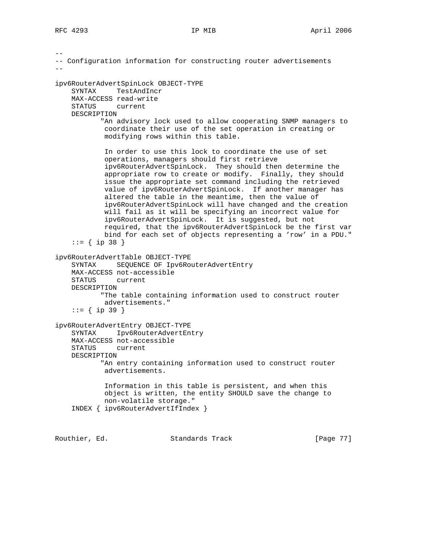-- -- Configuration information for constructing router advertisements - ipv6RouterAdvertSpinLock OBJECT-TYPE SYNTAX TestAndIncr MAX-ACCESS read-write STATUS current DESCRIPTION "An advisory lock used to allow cooperating SNMP managers to coordinate their use of the set operation in creating or modifying rows within this table. In order to use this lock to coordinate the use of set operations, managers should first retrieve ipv6RouterAdvertSpinLock. They should then determine the appropriate row to create or modify. Finally, they should issue the appropriate set command including the retrieved value of ipv6RouterAdvertSpinLock. If another manager has altered the table in the meantime, then the value of ipv6RouterAdvertSpinLock will have changed and the creation will fail as it will be specifying an incorrect value for ipv6RouterAdvertSpinLock. It is suggested, but not required, that the ipv6RouterAdvertSpinLock be the first var bind for each set of objects representing a 'row' in a PDU."  $::=$  { ip 38 } ipv6RouterAdvertTable OBJECT-TYPE SYNTAX SEQUENCE OF Ipv6RouterAdvertEntry MAX-ACCESS not-accessible STATUS current DESCRIPTION "The table containing information used to construct router advertisements." ::= { ip 39 } ipv6RouterAdvertEntry OBJECT-TYPE SYNTAX Ipv6RouterAdvertEntry MAX-ACCESS not-accessible STATUS current DESCRIPTION "An entry containing information used to construct router advertisements. Information in this table is persistent, and when this object is written, the entity SHOULD save the change to non-volatile storage." INDEX { ipv6RouterAdvertIfIndex }

Routhier, Ed. Standards Track [Page 77]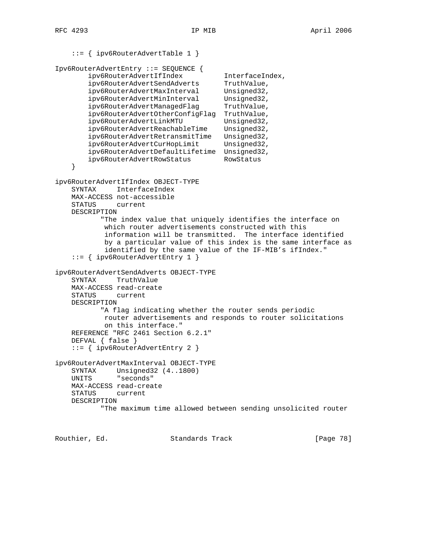```
 ::= { ipv6RouterAdvertTable 1 }
```

```
Ipv6RouterAdvertEntry ::= SEQUENCE {
        ipv6RouterAdvertIfIndex InterfaceIndex,<br>ipv6RouterAdvertSendAdverts TruthValue,<br>ipv6RouterAdvertMaxInterval Unsigned32,
        ipv6RouterAdvertSendAdverts
        ipv6RouterAdvertMaxInterval
 ipv6RouterAdvertMinInterval Unsigned32,
ipv6RouterAdvertManagedFlag TruthValue,
         ipv6RouterAdvertOtherConfigFlag TruthValue,
        ipv6RouterAdvertLinkMTU Unsigned32,
         ipv6RouterAdvertReachableTime Unsigned32,
        ipv6RouterAdvertRetransmitTime Unsigned32,<br>ipv6RouterAdvertCurHopLimit Unsigned32,
        ipv6RouterAdvertCurHopLimit
         ipv6RouterAdvertDefaultLifetime Unsigned32,
         ipv6RouterAdvertRowStatus RowStatus
     }
ipv6RouterAdvertIfIndex OBJECT-TYPE
     SYNTAX InterfaceIndex
     MAX-ACCESS not-accessible
     STATUS current
     DESCRIPTION
            "The index value that uniquely identifies the interface on
             which router advertisements constructed with this
             information will be transmitted. The interface identified
             by a particular value of this index is the same interface as
             identified by the same value of the IF-MIB's ifIndex."
     ::= { ipv6RouterAdvertEntry 1 }
ipv6RouterAdvertSendAdverts OBJECT-TYPE
     SYNTAX TruthValue
     MAX-ACCESS read-create
     STATUS current
     DESCRIPTION
            "A flag indicating whether the router sends periodic
            router advertisements and responds to router solicitations
             on this interface."
     REFERENCE "RFC 2461 Section 6.2.1"
     DEFVAL { false }
     ::= { ipv6RouterAdvertEntry 2 }
ipv6RouterAdvertMaxInterval OBJECT-TYPE
     SYNTAX Unsigned32 (4..1800)
     UNITS "seconds"
     MAX-ACCESS read-create
     STATUS current
     DESCRIPTION
            "The maximum time allowed between sending unsolicited router
```
Routhier, Ed. 6. Standards Track [Page 78]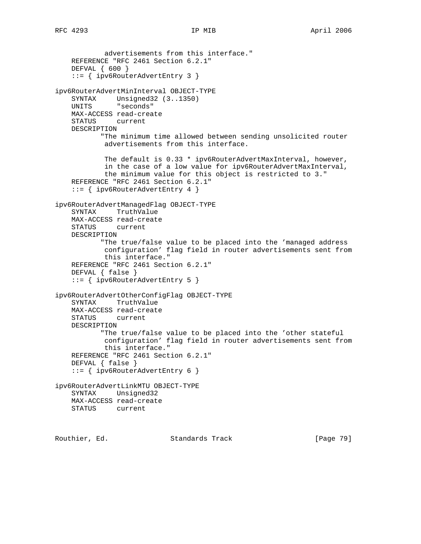advertisements from this interface." REFERENCE "RFC 2461 Section 6.2.1" DEFVAL { 600 } ::= { ipv6RouterAdvertEntry 3 } ipv6RouterAdvertMinInterval OBJECT-TYPE SYNTAX Unsigned32 (3..1350) UNITS "seconds" MAX-ACCESS read-create STATUS current DESCRIPTION "The minimum time allowed between sending unsolicited router advertisements from this interface. The default is 0.33 \* ipv6RouterAdvertMaxInterval, however, in the case of a low value for ipv6RouterAdvertMaxInterval, the minimum value for this object is restricted to 3." REFERENCE "RFC 2461 Section 6.2.1" ::= { ipv6RouterAdvertEntry 4 } ipv6RouterAdvertManagedFlag OBJECT-TYPE SYNTAX TruthValue MAX-ACCESS read-create STATUS current DESCRIPTION "The true/false value to be placed into the 'managed address configuration' flag field in router advertisements sent from this interface." REFERENCE "RFC 2461 Section 6.2.1" DEFVAL { false } ::= { ipv6RouterAdvertEntry 5 } ipv6RouterAdvertOtherConfigFlag OBJECT-TYPE SYNTAX TruthValue MAX-ACCESS read-create STATUS current DESCRIPTION "The true/false value to be placed into the 'other stateful configuration' flag field in router advertisements sent from this interface." REFERENCE "RFC 2461 Section 6.2.1" DEFVAL { false } ::= { ipv6RouterAdvertEntry 6 } ipv6RouterAdvertLinkMTU OBJECT-TYPE SYNTAX Unsigned32 MAX-ACCESS read-create STATUS current

Routhier, Ed. 6. Standards Track [Page 79]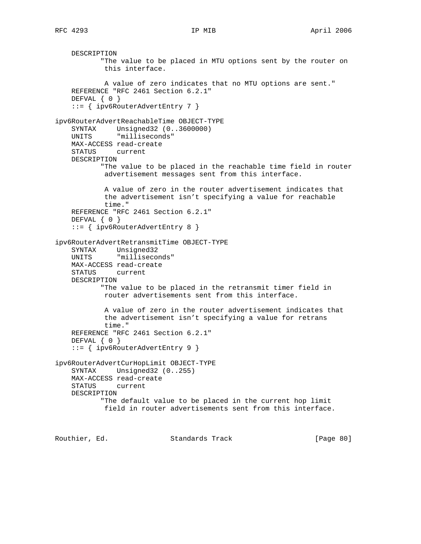```
 DESCRIPTION
            "The value to be placed in MTU options sent by the router on
            this interface.
            A value of zero indicates that no MTU options are sent."
    REFERENCE "RFC 2461 Section 6.2.1"
    DEFVAL { 0 }
     ::= { ipv6RouterAdvertEntry 7 }
ipv6RouterAdvertReachableTime OBJECT-TYPE
 SYNTAX Unsigned32 (0..3600000)
 UNITS "milliseconds"
    MAX-ACCESS read-create
     STATUS current
    DESCRIPTION
           "The value to be placed in the reachable time field in router
            advertisement messages sent from this interface.
            A value of zero in the router advertisement indicates that
            the advertisement isn't specifying a value for reachable
            time."
    REFERENCE "RFC 2461 Section 6.2.1"
    DEFVAL { 0 }
     ::= { ipv6RouterAdvertEntry 8 }
ipv6RouterAdvertRetransmitTime OBJECT-TYPE
 SYNTAX Unsigned32
 UNITS "milliseconds"
    MAX-ACCESS read-create
    STATUS current
    DESCRIPTION
           "The value to be placed in the retransmit timer field in
            router advertisements sent from this interface.
            A value of zero in the router advertisement indicates that
            the advertisement isn't specifying a value for retrans
            time."
    REFERENCE "RFC 2461 Section 6.2.1"
    DEFVAL { 0 }
     ::= { ipv6RouterAdvertEntry 9 }
ipv6RouterAdvertCurHopLimit OBJECT-TYPE
    SYNTAX Unsigned32 (0..255)
    MAX-ACCESS read-create
    STATUS current
    DESCRIPTION
            "The default value to be placed in the current hop limit
            field in router advertisements sent from this interface.
```
Routhier, Ed. 6. Standards Track [Page 80]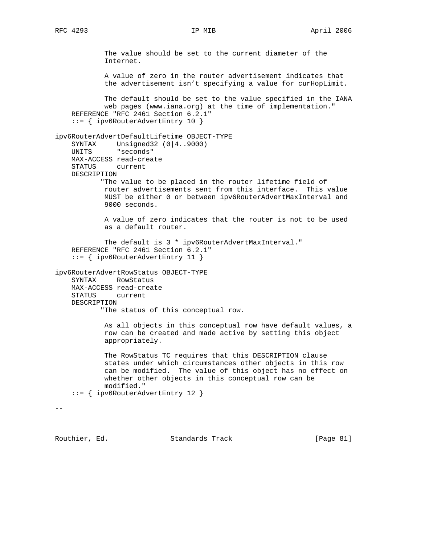The value should be set to the current diameter of the Internet. A value of zero in the router advertisement indicates that the advertisement isn't specifying a value for curHopLimit. The default should be set to the value specified in the IANA web pages (www.iana.org) at the time of implementation." REFERENCE "RFC 2461 Section 6.2.1" ::= { ipv6RouterAdvertEntry 10 } ipv6RouterAdvertDefaultLifetime OBJECT-TYPE SYNTAX Unsigned32 (0|4..9000) UNITS "seconds" MAX-ACCESS read-create STATUS current DESCRIPTION "The value to be placed in the router lifetime field of router advertisements sent from this interface. This value MUST be either 0 or between ipv6RouterAdvertMaxInterval and 9000 seconds. A value of zero indicates that the router is not to be used as a default router. The default is 3 \* ipv6RouterAdvertMaxInterval." REFERENCE "RFC 2461 Section 6.2.1" ::= { ipv6RouterAdvertEntry 11 } ipv6RouterAdvertRowStatus OBJECT-TYPE SYNTAX RowStatus MAX-ACCESS read-create STATUS current DESCRIPTION "The status of this conceptual row. As all objects in this conceptual row have default values, a row can be created and made active by setting this object appropriately. The RowStatus TC requires that this DESCRIPTION clause states under which circumstances other objects in this row can be modified. The value of this object has no effect on whether other objects in this conceptual row can be modified." ::= { ipv6RouterAdvertEntry 12 }  $- -$ 

Routhier, Ed. 6. Standards Track [Page 81]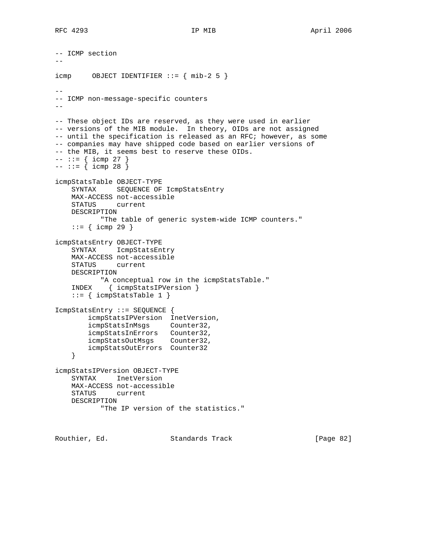```
-- ICMP section
- -icmp OBJECT IDENTIFFIER :: = { mib-2 5 }--
-- ICMP non-message-specific counters
-\,--- These object IDs are reserved, as they were used in earlier
-- versions of the MIB module. In theory, OIDs are not assigned
-- until the specification is released as an RFC; however, as some
-- companies may have shipped code based on earlier versions of
-- the MIB, it seems best to reserve these OIDs.
--- := { i comp 27 }--- := \{ \text{icmp } 28 \}icmpStatsTable OBJECT-TYPE
    SYNTAX SEQUENCE OF IcmpStatsEntry
    MAX-ACCESS not-accessible
    STATUS current
    DESCRIPTION
           "The table of generic system-wide ICMP counters."
   ::= { icmp 29 }
icmpStatsEntry OBJECT-TYPE
    SYNTAX IcmpStatsEntry
    MAX-ACCESS not-accessible
    STATUS current
    DESCRIPTION
           "A conceptual row in the icmpStatsTable."
    INDEX { icmpStatsIPVersion }
    ::= { icmpStatsTable 1 }
IcmpStatsEntry ::= SEQUENCE {
        icmpStatsIPVersion InetVersion,
        icmpStatsInMsgs Counter32,
 icmpStatsInErrors Counter32,
 icmpStatsOutMsgs Counter32,
        icmpStatsOutErrors Counter32
     }
icmpStatsIPVersion OBJECT-TYPE
    SYNTAX InetVersion
    MAX-ACCESS not-accessible
    STATUS current
    DESCRIPTION
           "The IP version of the statistics."
```
Routhier, Ed. 6. Standards Track [Page 82]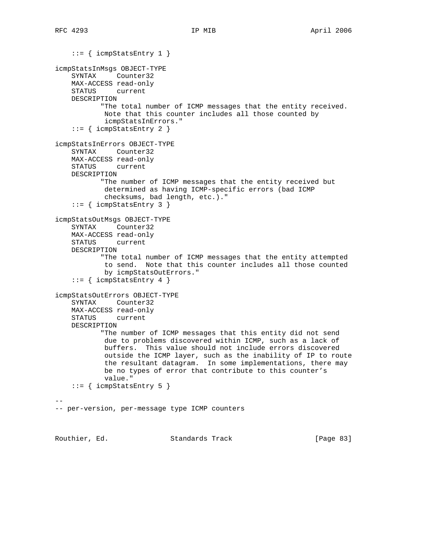```
 ::= { icmpStatsEntry 1 }
icmpStatsInMsgs OBJECT-TYPE
    SYNTAX Counter32
    MAX-ACCESS read-only
    STATUS current
    DESCRIPTION
            "The total number of ICMP messages that the entity received.
            Note that this counter includes all those counted by
            icmpStatsInErrors."
     ::= { icmpStatsEntry 2 }
icmpStatsInErrors OBJECT-TYPE
     SYNTAX Counter32
    MAX-ACCESS read-only
     STATUS current
    DESCRIPTION
            "The number of ICMP messages that the entity received but
            determined as having ICMP-specific errors (bad ICMP
             checksums, bad length, etc.)."
     ::= { icmpStatsEntry 3 }
icmpStatsOutMsgs OBJECT-TYPE
    SYNTAX Counter32
    MAX-ACCESS read-only
    STATUS current
    DESCRIPTION
            "The total number of ICMP messages that the entity attempted
            to send. Note that this counter includes all those counted
            by icmpStatsOutErrors."
    ::= { icmpStatsEntry 4 }
icmpStatsOutErrors OBJECT-TYPE
    SYNTAX Counter32
    MAX-ACCESS read-only
    STATUS current
    DESCRIPTION
            "The number of ICMP messages that this entity did not send
            due to problems discovered within ICMP, such as a lack of
            buffers. This value should not include errors discovered
             outside the ICMP layer, such as the inability of IP to route
             the resultant datagram. In some implementations, there may
            be no types of error that contribute to this counter's
            value."
    ::= { icmpStatsEntry 5 }
--
-- per-version, per-message type ICMP counters
```
Routhier, Ed. 6. Standards Track [Page 83]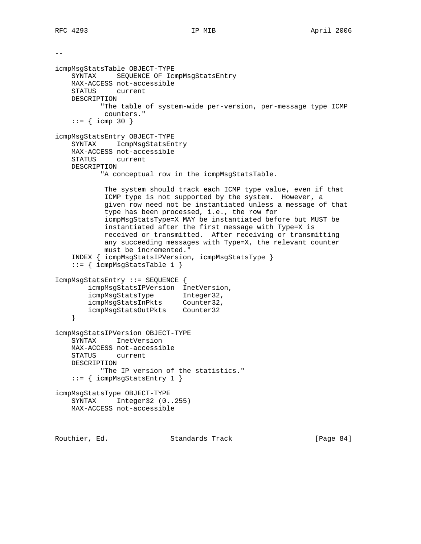```
-icmpMsgStatsTable OBJECT-TYPE
    SYNTAX SEQUENCE OF IcmpMsgStatsEntry
    MAX-ACCESS not-accessible
    STATUS current
    DESCRIPTION
            "The table of system-wide per-version, per-message type ICMP
            counters."
    ::= { icmp 30 }
icmpMsgStatsEntry OBJECT-TYPE
    SYNTAX IcmpMsgStatsEntry
    MAX-ACCESS not-accessible
    STATUS current
    DESCRIPTION
            "A conceptual row in the icmpMsgStatsTable.
            The system should track each ICMP type value, even if that
            ICMP type is not supported by the system. However, a
            given row need not be instantiated unless a message of that
            type has been processed, i.e., the row for
            icmpMsgStatsType=X MAY be instantiated before but MUST be
            instantiated after the first message with Type=X is
            received or transmitted. After receiving or transmitting
            any succeeding messages with Type=X, the relevant counter
            must be incremented."
     INDEX { icmpMsgStatsIPVersion, icmpMsgStatsType }
     ::= { icmpMsgStatsTable 1 }
IcmpMsgStatsEntry ::= SEQUENCE {
        icmpMsgStatsIPVersion InetVersion,
 icmpMsgStatsType Integer32,
 icmpMsgStatsInPkts Counter32,
 icmpMsgStatsOutPkts Counter32
     }
icmpMsgStatsIPVersion OBJECT-TYPE
    SYNTAX InetVersion
    MAX-ACCESS not-accessible
    STATUS current
    DESCRIPTION
           "The IP version of the statistics."
     ::= { icmpMsgStatsEntry 1 }
icmpMsgStatsType OBJECT-TYPE
    SYNTAX Integer32 (0..255)
    MAX-ACCESS not-accessible
```
Routhier, Ed. 6. Standards Track [Page 84]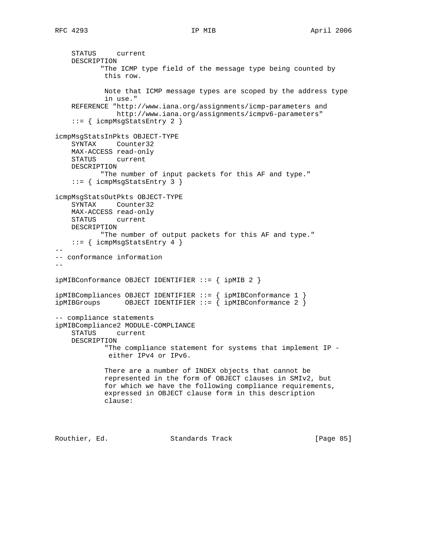```
 STATUS current
    DESCRIPTION
            "The ICMP type field of the message type being counted by
            this row.
            Note that ICMP message types are scoped by the address type
            in use."
     REFERENCE "http://www.iana.org/assignments/icmp-parameters and
               http://www.iana.org/assignments/icmpv6-parameters"
     ::= { icmpMsgStatsEntry 2 }
icmpMsgStatsInPkts OBJECT-TYPE
     SYNTAX Counter32
    MAX-ACCESS read-only
    STATUS current
    DESCRIPTION
           "The number of input packets for this AF and type."
     ::= { icmpMsgStatsEntry 3 }
icmpMsgStatsOutPkts OBJECT-TYPE
    SYNTAX Counter32
    MAX-ACCESS read-only
    STATUS current
    DESCRIPTION
            "The number of output packets for this AF and type."
    ::= { icmpMsgStatsEntry 4 }
--
-- conformance information
-ipMIBConformance OBJECT IDENTIFIER ::= { ipMIB 2 }
ipMIBCompliances OBJECT IDENTIFIER ::= { ipMIBConformance 1 }
ipMIBGroups OBJECT IDENTIFIER ::= { ipMIBConformance 2 }
-- compliance statements
ipMIBCompliance2 MODULE-COMPLIANCE
    STATUS current
    DESCRIPTION
             "The compliance statement for systems that implement IP -
             either IPv4 or IPv6.
            There are a number of INDEX objects that cannot be
            represented in the form of OBJECT clauses in SMIv2, but
            for which we have the following compliance requirements,
            expressed in OBJECT clause form in this description
            clause:
Routhier, Ed. Standards Track [Page 85]
```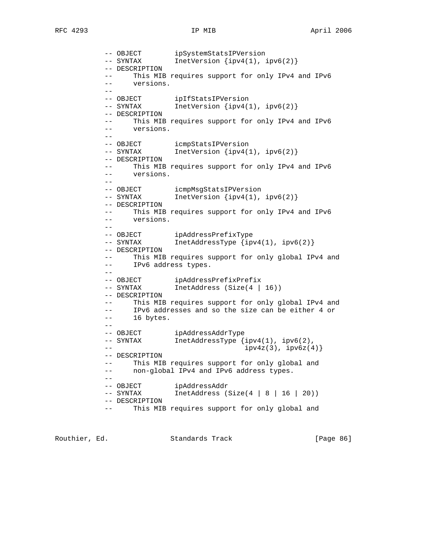-- OBJECT ipSystemStatsIPVersion -- SYNTAX InetVersion {ipv4(1), ipv6(2)} -- DESCRIPTION -- This MIB requires support for only IPv4 and IPv6 -- versions. -- -- OBJECT ipIfStatsIPVersion -- SYNTAX InetVersion {ipv4(1), ipv6(2)} -- DESCRIPTION This MIB requires support for only IPv4 and IPv6 -- versions. -- -- OBJECT icmpStatsIPVersion -- SYNTAX InetVersion {ipv4(1), ipv6(2)} -- DESCRIPTION This MIB requires support for only IPv4 and IPv6 -- versions. -- -- OBJECT icmpMsgStatsIPVersion -- SYNTAX InetVersion {ipv4(1), ipv6(2)} -- DESCRIPTION -- This MIB requires support for only IPv4 and IPv6 -- versions.  $-$  -- OBJECT ipAddressPrefixType -- SYNTAX InetAddressType {ipv4(1), ipv6(2)} -- DESCRIPTION -- This MIB requires support for only global IPv4 and -- IPv6 address types. -- -- OBJECT ipAddressPrefixPrefix -- SYNTAX InetAddress (Size(4 | 16)) -- DESCRIPTION -- This MIB requires support for only global IPv4 and -- IPv6 addresses and so the size can be either 4 or -- 16 bytes. -- -- OBJECT ipAddressAddrType -- SYNTAX InetAddressType {ipv4(1), ipv6(2), -- ipv4z(3), ipv6z(4)} -- DESCRIPTION -- This MIB requires support for only global and -- non-global IPv4 and IPv6 address types. -- -- OBJECT ipAddressAddr InetAddress (Size $(4 | 8 | 16 | 20)$ ) -- DESCRIPTION -- This MIB requires support for only global and

Routhier, Ed. 6. Standards Track [Page 86]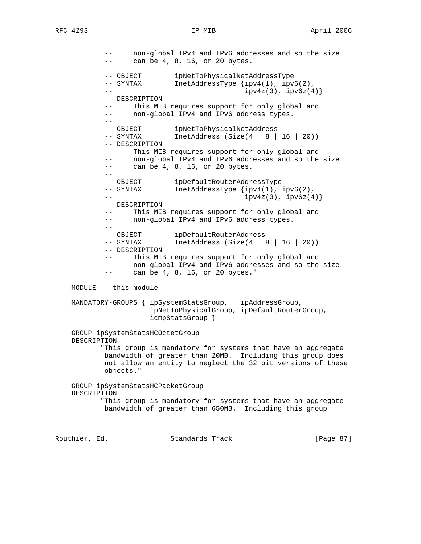-- non-global IPv4 and IPv6 addresses and so the size -- can be 4, 8, 16, or 20 bytes. -- -- OBJECT ipNetToPhysicalNetAddressType<br>-- SYNTAX InetAddressType {ipv4(1), ipv  $IntAddressType {ipv4(1), ipv6(2)},$  $-$  ipv4z(3),  $ipv4z(3)$ ,  $ipv6z(4)$ } -- DESCRIPTION -- This MIB requires support for only global and -- non-global IPv4 and IPv6 address types.  $-$ -- OBJECT ipNetToPhysicalNetAddress<br>-- SYNTAX InetAddress (Size(4 | 8 |  $IntAddress (Size(4 | 8 | 16 | 20))$  -- DESCRIPTION -- This MIB requires support for only global and -- non-global IPv4 and IPv6 addresses and so the size -- can be 4, 8, 16, or 20 bytes. -- -- OBJECT ipDefaultRouterAddressType<br>-- SYNTAX InetAddressType {ipv4(1),  $IntAddressType \{ipv4(1), ipv6(2),$  $\frac{1}{2}$  -- ipv4z(3), ipv6z(4)} -- DESCRIPTION -- This MIB requires support for only global and -- non-global IPv4 and IPv6 address types. -- -- OBJECT ipDefaultRouterAddress<br>-- SYNTAX InetAddress (Size(4)  $IntAddress (Size(4 | 8 | 16 | 20))$  -- DESCRIPTION -- This MIB requires support for only global and -- non-global IPv4 and IPv6 addresses and so the size -- can be 4, 8, 16, or 20 bytes." MODULE -- this module MANDATORY-GROUPS { ipSystemStatsGroup, ipAddressGroup, ipNetToPhysicalGroup, ipDefaultRouterGroup, icmpStatsGroup } GROUP ipSystemStatsHCOctetGroup DESCRIPTION "This group is mandatory for systems that have an aggregate bandwidth of greater than 20MB. Including this group does not allow an entity to neglect the 32 bit versions of these objects." GROUP ipSystemStatsHCPacketGroup DESCRIPTION "This group is mandatory for systems that have an aggregate bandwidth of greater than 650MB. Including this group

Routhier, Ed. 6. Standards Track [Page 87]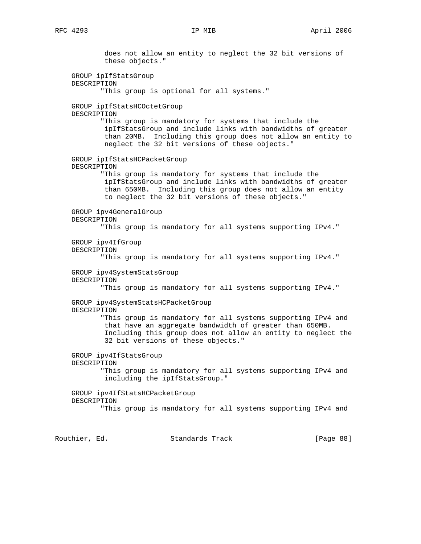does not allow an entity to neglect the 32 bit versions of these objects." GROUP ipIfStatsGroup DESCRIPTION "This group is optional for all systems." GROUP ipIfStatsHCOctetGroup DESCRIPTION "This group is mandatory for systems that include the ipIfStatsGroup and include links with bandwidths of greater than 20MB. Including this group does not allow an entity to neglect the 32 bit versions of these objects." GROUP ipIfStatsHCPacketGroup DESCRIPTION "This group is mandatory for systems that include the ipIfStatsGroup and include links with bandwidths of greater than 650MB. Including this group does not allow an entity to neglect the 32 bit versions of these objects." GROUP ipv4GeneralGroup DESCRIPTION "This group is mandatory for all systems supporting IPv4." GROUP ipv4IfGroup DESCRIPTION "This group is mandatory for all systems supporting IPv4." GROUP ipv4SystemStatsGroup DESCRIPTION "This group is mandatory for all systems supporting IPv4." GROUP ipv4SystemStatsHCPacketGroup DESCRIPTION "This group is mandatory for all systems supporting IPv4 and that have an aggregate bandwidth of greater than 650MB. Including this group does not allow an entity to neglect the 32 bit versions of these objects." GROUP ipv4IfStatsGroup DESCRIPTION "This group is mandatory for all systems supporting IPv4 and including the ipIfStatsGroup." GROUP ipv4IfStatsHCPacketGroup DESCRIPTION "This group is mandatory for all systems supporting IPv4 and

Routhier, Ed. Standards Track [Page 88]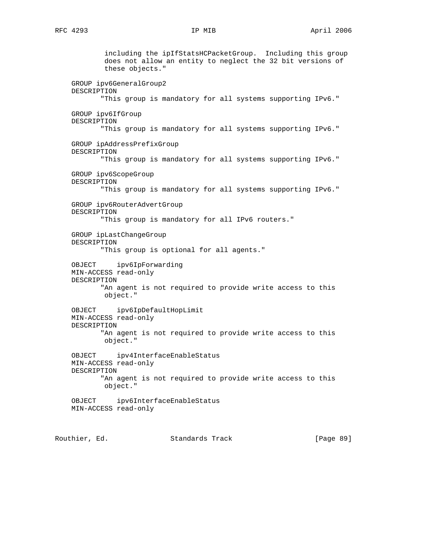including the ipIfStatsHCPacketGroup. Including this group does not allow an entity to neglect the 32 bit versions of these objects." GROUP ipv6GeneralGroup2 DESCRIPTION "This group is mandatory for all systems supporting IPv6." GROUP ipv6IfGroup DESCRIPTION "This group is mandatory for all systems supporting IPv6." GROUP ipAddressPrefixGroup DESCRIPTION "This group is mandatory for all systems supporting IPv6." GROUP ipv6ScopeGroup DESCRIPTION "This group is mandatory for all systems supporting IPv6." GROUP ipv6RouterAdvertGroup DESCRIPTION "This group is mandatory for all IPv6 routers." GROUP ipLastChangeGroup DESCRIPTION "This group is optional for all agents." OBJECT ipv6IpForwarding MIN-ACCESS read-only DESCRIPTION "An agent is not required to provide write access to this object." OBJECT ipv6IpDefaultHopLimit MIN-ACCESS read-only DESCRIPTION "An agent is not required to provide write access to this object." OBJECT ipv4InterfaceEnableStatus MIN-ACCESS read-only DESCRIPTION "An agent is not required to provide write access to this object." OBJECT ipv6InterfaceEnableStatus MIN-ACCESS read-only

Routhier, Ed. 6. Standards Track [Page 89]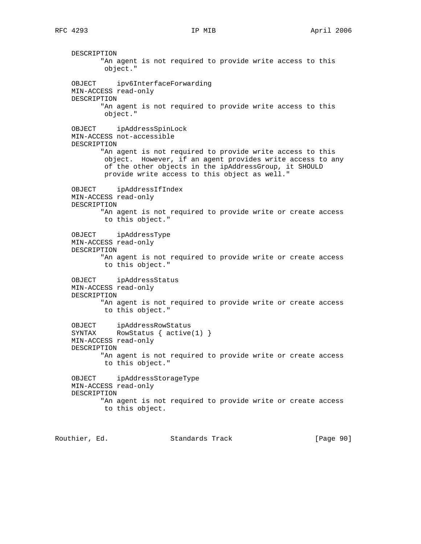DESCRIPTION "An agent is not required to provide write access to this object." OBJECT ipv6InterfaceForwarding MIN-ACCESS read-only DESCRIPTION "An agent is not required to provide write access to this object." OBJECT ipAddressSpinLock MIN-ACCESS not-accessible DESCRIPTION "An agent is not required to provide write access to this object. However, if an agent provides write access to any of the other objects in the ipAddressGroup, it SHOULD provide write access to this object as well." OBJECT ipAddressIfIndex MIN-ACCESS read-only DESCRIPTION "An agent is not required to provide write or create access to this object." OBJECT ipAddressType MIN-ACCESS read-only DESCRIPTION "An agent is not required to provide write or create access to this object." OBJECT ipAddressStatus MIN-ACCESS read-only DESCRIPTION "An agent is not required to provide write or create access to this object." OBJECT ipAddressRowStatus SYNTAX RowStatus { active(1) } MIN-ACCESS read-only DESCRIPTION "An agent is not required to provide write or create access to this object." OBJECT ipAddressStorageType MIN-ACCESS read-only DESCRIPTION "An agent is not required to provide write or create access to this object.

Routhier, Ed. 6. Standards Track [Page 90]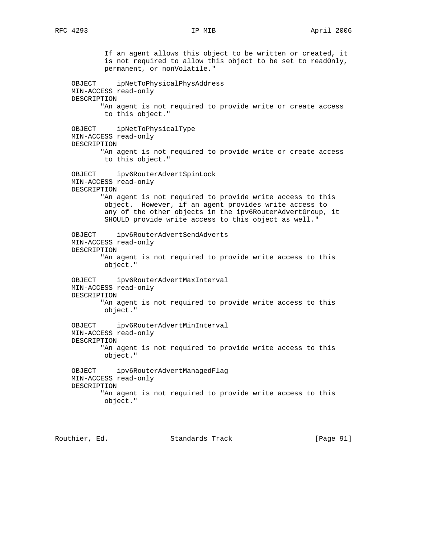If an agent allows this object to be written or created, it is not required to allow this object to be set to readOnly, permanent, or nonVolatile." OBJECT ipNetToPhysicalPhysAddress MIN-ACCESS read-only DESCRIPTION "An agent is not required to provide write or create access to this object." OBJECT ipNetToPhysicalType MIN-ACCESS read-only DESCRIPTION "An agent is not required to provide write or create access to this object." OBJECT ipv6RouterAdvertSpinLock MIN-ACCESS read-only DESCRIPTION "An agent is not required to provide write access to this object. However, if an agent provides write access to any of the other objects in the ipv6RouterAdvertGroup, it SHOULD provide write access to this object as well." OBJECT ipv6RouterAdvertSendAdverts MIN-ACCESS read-only DESCRIPTION "An agent is not required to provide write access to this object." OBJECT ipv6RouterAdvertMaxInterval MIN-ACCESS read-only DESCRIPTION "An agent is not required to provide write access to this object." OBJECT ipv6RouterAdvertMinInterval MIN-ACCESS read-only DESCRIPTION "An agent is not required to provide write access to this object." OBJECT ipv6RouterAdvertManagedFlag MIN-ACCESS read-only DESCRIPTION "An agent is not required to provide write access to this object."

Routhier, Ed. 6. Standards Track [Page 91]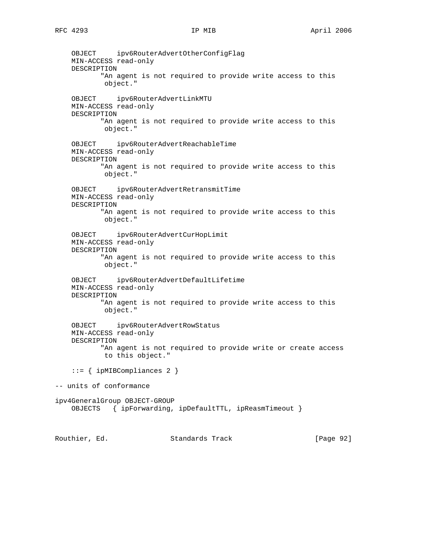OBJECT ipv6RouterAdvertOtherConfigFlag MIN-ACCESS read-only DESCRIPTION "An agent is not required to provide write access to this object." OBJECT ipv6RouterAdvertLinkMTU MIN-ACCESS read-only DESCRIPTION "An agent is not required to provide write access to this object." OBJECT ipv6RouterAdvertReachableTime MIN-ACCESS read-only DESCRIPTION "An agent is not required to provide write access to this object." OBJECT ipv6RouterAdvertRetransmitTime MIN-ACCESS read-only DESCRIPTION "An agent is not required to provide write access to this object." OBJECT ipv6RouterAdvertCurHopLimit MIN-ACCESS read-only DESCRIPTION "An agent is not required to provide write access to this object." OBJECT ipv6RouterAdvertDefaultLifetime MIN-ACCESS read-only DESCRIPTION "An agent is not required to provide write access to this object." OBJECT ipv6RouterAdvertRowStatus MIN-ACCESS read-only DESCRIPTION "An agent is not required to provide write or create access to this object." ::= { ipMIBCompliances 2 } -- units of conformance ipv4GeneralGroup OBJECT-GROUP OBJECTS { ipForwarding, ipDefaultTTL, ipReasmTimeout } Routhier, Ed. 6. Standards Track [Page 92]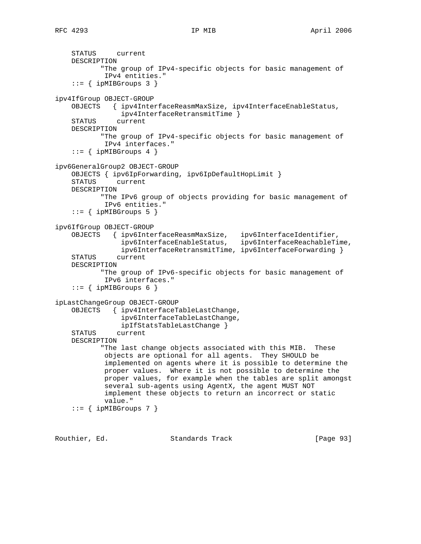```
 STATUS current
    DESCRIPTION
            "The group of IPv4-specific objects for basic management of
            IPv4 entities."
    ::= { ipMIBGroups 3 }
ipv4IfGroup OBJECT-GROUP
    OBJECTS { ipv4InterfaceReasmMaxSize, ipv4InterfaceEnableStatus,
                ipv4InterfaceRetransmitTime }
     STATUS current
    DESCRIPTION
            "The group of IPv4-specific objects for basic management of
            IPv4 interfaces."
    ::= { ipMIBGroups 4 }
ipv6GeneralGroup2 OBJECT-GROUP
    OBJECTS { ipv6IpForwarding, ipv6IpDefaultHopLimit }
    STATUS current
    DESCRIPTION
           "The IPv6 group of objects providing for basic management of
            IPv6 entities."
    ::= { ipMIBGroups 5 }
ipv6IfGroup OBJECT-GROUP
 OBJECTS { ipv6InterfaceReasmMaxSize, ipv6InterfaceIdentifier,
 ipv6InterfaceEnableStatus, ipv6InterfaceReachableTime,
 ipv6InterfaceRetransmitTime, ipv6InterfaceForwarding }
     STATUS current
    DESCRIPTION
            "The group of IPv6-specific objects for basic management of
            IPv6 interfaces."
    ::= { ipMIBGroups 6 }
ipLastChangeGroup OBJECT-GROUP
    OBJECTS { ipv4InterfaceTableLastChange,
                ipv6InterfaceTableLastChange,
                ipIfStatsTableLastChange }
    STATUS current
    DESCRIPTION
            "The last change objects associated with this MIB. These
            objects are optional for all agents. They SHOULD be
            implemented on agents where it is possible to determine the
            proper values. Where it is not possible to determine the
            proper values, for example when the tables are split amongst
            several sub-agents using AgentX, the agent MUST NOT
            implement these objects to return an incorrect or static
            value."
    ::= { ipMIBGroups 7 }
```
Routhier, Ed. 6. Standards Track [Page 93]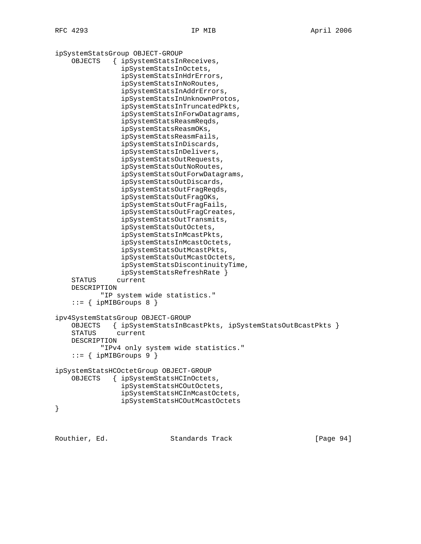ipSystemStatsGroup OBJECT-GROUP OBJECTS { ipSystemStatsInReceives, ipSystemStatsInOctets, ipSystemStatsInHdrErrors, ipSystemStatsInNoRoutes, ipSystemStatsInAddrErrors, ipSystemStatsInUnknownProtos, ipSystemStatsInTruncatedPkts, ipSystemStatsInForwDatagrams, ipSystemStatsReasmReqds, ipSystemStatsReasmOKs, ipSystemStatsReasmFails, ipSystemStatsInDiscards, ipSystemStatsInDelivers, ipSystemStatsOutRequests, ipSystemStatsOutNoRoutes, ipSystemStatsOutForwDatagrams, ipSystemStatsOutDiscards, ipSystemStatsOutFragReqds, ipSystemStatsOutFragOKs, ipSystemStatsOutFragFails, ipSystemStatsOutFragCreates, ipSystemStatsOutTransmits, ipSystemStatsOutOctets, ipSystemStatsInMcastPkts, ipSystemStatsInMcastOctets, ipSystemStatsOutMcastPkts, ipSystemStatsOutMcastOctets, ipSystemStatsDiscontinuityTime, ipSystemStatsRefreshRate } STATUS current DESCRIPTION "IP system wide statistics."  $::=$  { ipMIBGroups 8 } ipv4SystemStatsGroup OBJECT-GROUP OBJECTS { ipSystemStatsInBcastPkts, ipSystemStatsOutBcastPkts } STATUS current DESCRIPTION "IPv4 only system wide statistics."  $::=$  { ipMIBGroups 9 } ipSystemStatsHCOctetGroup OBJECT-GROUP OBJECTS { ipSystemStatsHCInOctets, ipSystemStatsHCOutOctets, ipSystemStatsHCInMcastOctets, ipSystemStatsHCOutMcastOctets }

Routhier, Ed. 6. Standards Track [Page 94]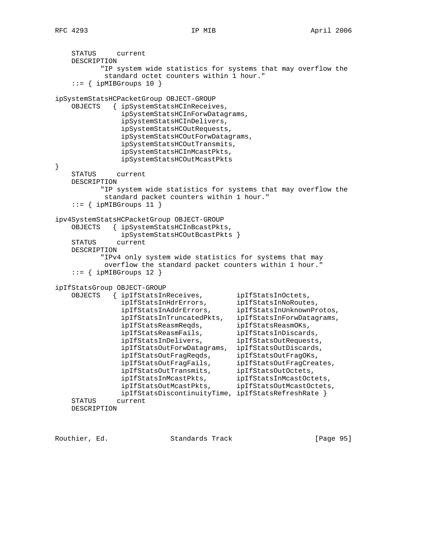```
 STATUS current
    DESCRIPTION
          "IP system wide statistics for systems that may overflow the
           standard octet counters within 1 hour."
   ::= { ipMIBGroups 10 }
ipSystemStatsHCPacketGroup OBJECT-GROUP
    OBJECTS { ipSystemStatsHCInReceives,
               ipSystemStatsHCInForwDatagrams,
               ipSystemStatsHCInDelivers,
               ipSystemStatsHCOutRequests,
               ipSystemStatsHCOutForwDatagrams,
               ipSystemStatsHCOutTransmits,
               ipSystemStatsHCInMcastPkts,
               ipSystemStatsHCOutMcastPkts
}
    STATUS current
    DESCRIPTION
          "IP system wide statistics for systems that may overflow the
           standard packet counters within 1 hour."
   ::= { ipMIBGroups 11 }
ipv4SystemStatsHCPacketGroup OBJECT-GROUP
    OBJECTS { ipSystemStatsHCInBcastPkts,
               ipSystemStatsHCOutBcastPkts }
    STATUS current
    DESCRIPTION
           "IPv4 only system wide statistics for systems that may
           overflow the standard packet counters within 1 hour."
   ::= { ipMIBGroups 12 }
ipIfStatsGroup OBJECT-GROUP
    OBJECTS { ipIfStatsInReceives, ipIfStatsInOctets,
 ipIfStatsInHdrErrors, ipIfStatsInNoRoutes,
 ipIfStatsInAddrErrors, ipIfStatsInUnknownProtos,
 ipIfStatsInTruncatedPkts, ipIfStatsInForwDatagrams,
 ipIfStatsReasmReqds, ipIfStatsReasmOKs,
 ipIfStatsReasmFails, ipIfStatsInDiscards,
 ipIfStatsInDelivers, ipIfStatsOutRequests,
               ipIfStatsOutForwDatagrams, ipIfStatsOutDiscards,
 ipIfStatsOutFragReqds, ipIfStatsOutFragOKs,
 ipIfStatsOutFragFails, ipIfStatsOutFragCreates,
 ipIfStatsOutTransmits, ipIfStatsOutOctets,
 ipIfStatsInMcastPkts, ipIfStatsInMcastOctets,
 ipIfStatsOutMcastPkts, ipIfStatsOutMcastOctets,
               ipIfStatsDiscontinuityTime, ipIfStatsRefreshRate }
    STATUS current
    DESCRIPTION
```
Routhier, Ed. 6. Standards Track [Page 95]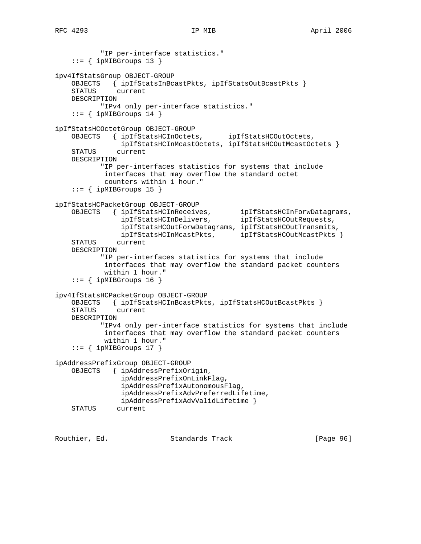```
 "IP per-interface statistics."
    ::= { ipMIBGroups 13 }
ipv4IfStatsGroup OBJECT-GROUP
     OBJECTS { ipIfStatsInBcastPkts, ipIfStatsOutBcastPkts }
     STATUS current
    DESCRIPTION
            "IPv4 only per-interface statistics."
    ::= { ipMIBGroups 14 }
ipIfStatsHCOctetGroup OBJECT-GROUP
     OBJECTS { ipIfStatsHCInOctets, ipIfStatsHCOutOctets,
                 ipIfStatsHCInMcastOctets, ipIfStatsHCOutMcastOctets }
     STATUS current
    DESCRIPTION
            "IP per-interfaces statistics for systems that include
             interfaces that may overflow the standard octet
             counters within 1 hour."
    ::= { ipMIBGroups 15 }
ipIfStatsHCPacketGroup OBJECT-GROUP<br>OBJECTS { ipIfStatsHCInReceives,
 OBJECTS { ipIfStatsHCInReceives, ipIfStatsHCInForwDatagrams,
 ipIfStatsHCInDelivers, ipIfStatsHCOutRequests,
                 ipIfStatsHCOutForwDatagrams, ipIfStatsHCOutTransmits,
                ipIfStatsHCInMcastPkts, ipIfStatsHCOutMcastPkts }
     STATUS current
    DESCRIPTION
            "IP per-interfaces statistics for systems that include
             interfaces that may overflow the standard packet counters
             within 1 hour."
    ::= { ipMIBGroups 16 }
ipv4IfStatsHCPacketGroup OBJECT-GROUP
     OBJECTS { ipIfStatsHCInBcastPkts, ipIfStatsHCOutBcastPkts }
     STATUS current
    DESCRIPTION
            "IPv4 only per-interface statistics for systems that include
             interfaces that may overflow the standard packet counters
             within 1 hour."
    ::= { ipMIBGroups 17 }
ipAddressPrefixGroup OBJECT-GROUP
     OBJECTS { ipAddressPrefixOrigin,
                 ipAddressPrefixOnLinkFlag,
                 ipAddressPrefixAutonomousFlag,
                 ipAddressPrefixAdvPreferredLifetime,
                 ipAddressPrefixAdvValidLifetime }
     STATUS current
```
Routhier, Ed. 6. Standards Track [Page 96]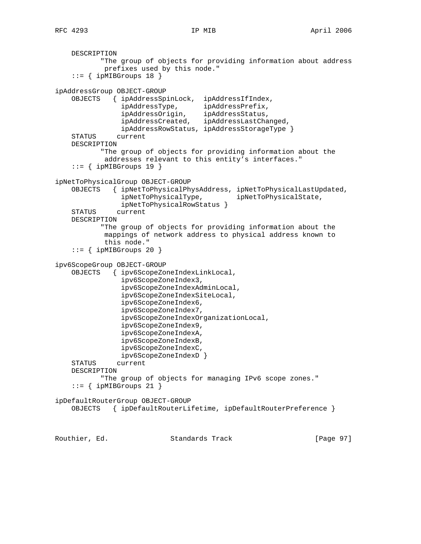```
 DESCRIPTION
            "The group of objects for providing information about address
            prefixes used by this node."
     ::= { ipMIBGroups 18 }
ipAddressGroup OBJECT-GROUP
    OBJECTS { ipAddressSpinLock, ipAddressIfIndex,
 ipAddressType, ipAddressPrefix,
 ipAddressOrigin, ipAddressStatus,
                ipAddressCreated, ipAddressLastChanged,
                ipAddressRowStatus, ipAddressStorageType }
     STATUS current
    DESCRIPTION
           "The group of objects for providing information about the
            addresses relevant to this entity's interfaces."
    ::= { ipMIBGroups 19 }
ipNetToPhysicalGroup OBJECT-GROUP
    OBJECTS { ipNetToPhysicalPhysAddress, ipNetToPhysicalLastUpdated,
               ipNetToPhysicalType, ipNetToPhysicalState,
                ipNetToPhysicalRowStatus }
     STATUS current
    DESCRIPTION
           "The group of objects for providing information about the
            mappings of network address to physical address known to
            this node."
    ::= { ipMIBGroups 20 }
ipv6ScopeGroup OBJECT-GROUP
     OBJECTS { ipv6ScopeZoneIndexLinkLocal,
                ipv6ScopeZoneIndex3,
                ipv6ScopeZoneIndexAdminLocal,
                ipv6ScopeZoneIndexSiteLocal,
                ipv6ScopeZoneIndex6,
                ipv6ScopeZoneIndex7,
                ipv6ScopeZoneIndexOrganizationLocal,
                ipv6ScopeZoneIndex9,
                ipv6ScopeZoneIndexA,
                ipv6ScopeZoneIndexB,
                ipv6ScopeZoneIndexC,
                ipv6ScopeZoneIndexD }
    STATUS current
    DESCRIPTION
           "The group of objects for managing IPv6 scope zones."
    ::= { ipMIBGroups 21 }
ipDefaultRouterGroup OBJECT-GROUP
    OBJECTS { ipDefaultRouterLifetime, ipDefaultRouterPreference }
Routhier, Ed. 6. Standards Track [Page 97]
```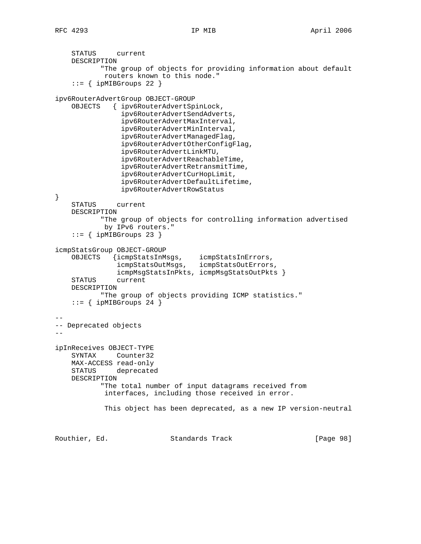```
 STATUS current
    DESCRIPTION
            "The group of objects for providing information about default
            routers known to this node."
    ::= { ipMIBGroups 22 }
ipv6RouterAdvertGroup OBJECT-GROUP
    OBJECTS { ipv6RouterAdvertSpinLock,
                ipv6RouterAdvertSendAdverts,
                ipv6RouterAdvertMaxInterval,
                ipv6RouterAdvertMinInterval,
                ipv6RouterAdvertManagedFlag,
                ipv6RouterAdvertOtherConfigFlag,
                ipv6RouterAdvertLinkMTU,
                ipv6RouterAdvertReachableTime,
                ipv6RouterAdvertRetransmitTime,
                ipv6RouterAdvertCurHopLimit,
                ipv6RouterAdvertDefaultLifetime,
                ipv6RouterAdvertRowStatus
}
    STATUS current
    DESCRIPTION
            "The group of objects for controlling information advertised
            by IPv6 routers."
     ::= { ipMIBGroups 23 }
icmpStatsGroup OBJECT-GROUP
 OBJECTS {icmpStatsInMsgs, icmpStatsInErrors,
 icmpStatsOutMsgs, icmpStatsOutErrors,
               icmpMsgStatsInPkts, icmpMsgStatsOutPkts }
    STATUS current
    DESCRIPTION
            "The group of objects providing ICMP statistics."
    ::= { ipMIBGroups 24 }
--
-- Deprecated objects
--
ipInReceives OBJECT-TYPE
            Counter32
    MAX-ACCESS read-only
    STATUS deprecated
    DESCRIPTION
           "The total number of input datagrams received from
            interfaces, including those received in error.
            This object has been deprecated, as a new IP version-neutral
Routhier, Ed. 6. Standards Track [Page 98]
```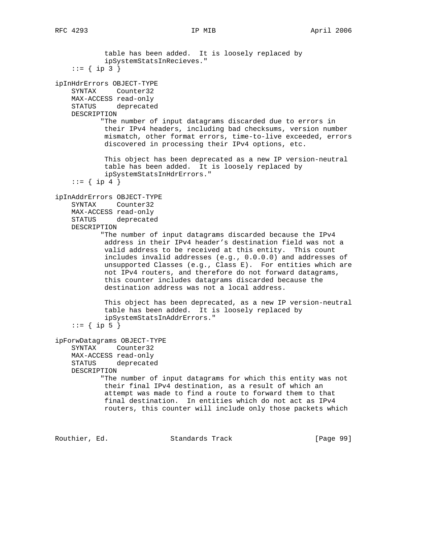table has been added. It is loosely replaced by ipSystemStatsInRecieves."  $::= \{ ip 3 \}$ ipInHdrErrors OBJECT-TYPE SYNTAX Counter32 MAX-ACCESS read-only STATUS deprecated DESCRIPTION "The number of input datagrams discarded due to errors in their IPv4 headers, including bad checksums, version number mismatch, other format errors, time-to-live exceeded, errors discovered in processing their IPv4 options, etc. This object has been deprecated as a new IP version-neutral table has been added. It is loosely replaced by ipSystemStatsInHdrErrors." ::=  $\{ \text{ip } 4 \}$ ipInAddrErrors OBJECT-TYPE SYNTAX Counter32 MAX-ACCESS read-only STATUS deprecated DESCRIPTION "The number of input datagrams discarded because the IPv4 address in their IPv4 header's destination field was not a valid address to be received at this entity. This count includes invalid addresses (e.g., 0.0.0.0) and addresses of unsupported Classes (e.g., Class E). For entities which are not IPv4 routers, and therefore do not forward datagrams, this counter includes datagrams discarded because the destination address was not a local address. This object has been deprecated, as a new IP version-neutral table has been added. It is loosely replaced by ipSystemStatsInAddrErrors." ::=  $\{ \text{ip } 5 \}$ ipForwDatagrams OBJECT-TYPE SYNTAX Counter32 MAX-ACCESS read-only STATUS deprecated DESCRIPTION "The number of input datagrams for which this entity was not their final IPv4 destination, as a result of which an attempt was made to find a route to forward them to that final destination. In entities which do not act as IPv4 routers, this counter will include only those packets which

Routhier, Ed. 6. Standards Track [Page 99]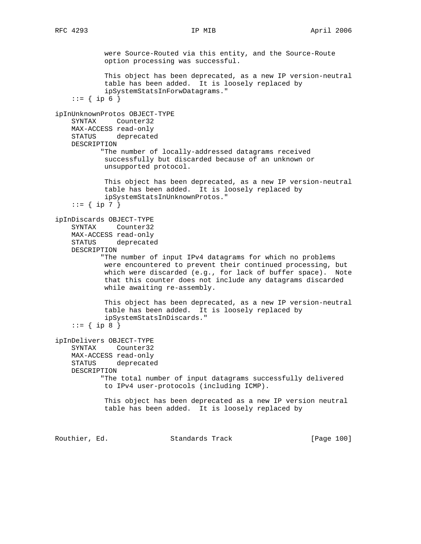were Source-Routed via this entity, and the Source-Route option processing was successful. This object has been deprecated, as a new IP version-neutral table has been added. It is loosely replaced by ipSystemStatsInForwDatagrams."  $::= \{ ip 6 \}$ ipInUnknownProtos OBJECT-TYPE SYNTAX Counter32 MAX-ACCESS read-only STATUS deprecated DESCRIPTION "The number of locally-addressed datagrams received successfully but discarded because of an unknown or unsupported protocol. This object has been deprecated, as a new IP version-neutral table has been added. It is loosely replaced by ipSystemStatsInUnknownProtos." ::=  $\{ \text{ip } 7 \}$ ipInDiscards OBJECT-TYPE SYNTAX Counter32 MAX-ACCESS read-only STATUS deprecated DESCRIPTION "The number of input IPv4 datagrams for which no problems were encountered to prevent their continued processing, but which were discarded (e.g., for lack of buffer space). Note that this counter does not include any datagrams discarded while awaiting re-assembly. This object has been deprecated, as a new IP version-neutral table has been added. It is loosely replaced by ipSystemStatsInDiscards." ::=  $\{ \text{ip } 8 \}$ ipInDelivers OBJECT-TYPE SYNTAX Counter32 MAX-ACCESS read-only STATUS deprecated DESCRIPTION "The total number of input datagrams successfully delivered to IPv4 user-protocols (including ICMP). This object has been deprecated as a new IP version neutral table has been added. It is loosely replaced by Routhier, Ed. 6. Standards Track [Page 100]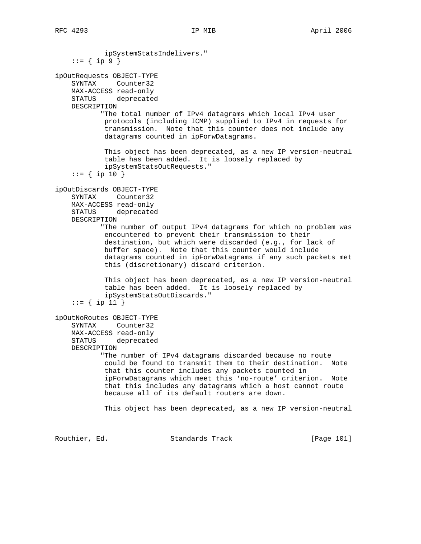ipSystemStatsIndelivers."  $::= \{ \text{ ip } 9 \}$ ipOutRequests OBJECT-TYPE SYNTAX Counter32 MAX-ACCESS read-only STATUS deprecated DESCRIPTION "The total number of IPv4 datagrams which local IPv4 user protocols (including ICMP) supplied to IPv4 in requests for transmission. Note that this counter does not include any datagrams counted in ipForwDatagrams. This object has been deprecated, as a new IP version-neutral table has been added. It is loosely replaced by ipSystemStatsOutRequests."  $::=$  { ip 10 } ipOutDiscards OBJECT-TYPE SYNTAX Counter32 MAX-ACCESS read-only STATUS deprecated DESCRIPTION "The number of output IPv4 datagrams for which no problem was encountered to prevent their transmission to their destination, but which were discarded (e.g., for lack of buffer space). Note that this counter would include datagrams counted in ipForwDatagrams if any such packets met this (discretionary) discard criterion. This object has been deprecated, as a new IP version-neutral table has been added. It is loosely replaced by ipSystemStatsOutDiscards." ::=  $\{ \text{ ip } 11 \}$ ipOutNoRoutes OBJECT-TYPE SYNTAX Counter32 MAX-ACCESS read-only STATUS deprecated DESCRIPTION "The number of IPv4 datagrams discarded because no route could be found to transmit them to their destination. Note that this counter includes any packets counted in ipForwDatagrams which meet this 'no-route' criterion. Note that this includes any datagrams which a host cannot route because all of its default routers are down. This object has been deprecated, as a new IP version-neutral

Routhier, Ed. 6. Standards Track [Page 101]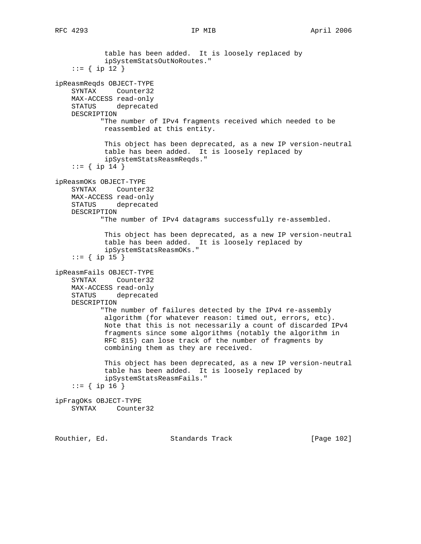table has been added. It is loosely replaced by ipSystemStatsOutNoRoutes." ::= { ip 12 } ipReasmReqds OBJECT-TYPE SYNTAX Counter32 MAX-ACCESS read-only STATUS deprecated DESCRIPTION "The number of IPv4 fragments received which needed to be reassembled at this entity. This object has been deprecated, as a new IP version-neutral table has been added. It is loosely replaced by ipSystemStatsReasmReqds." ::=  $\{ \text{ip } 14 \}$ ipReasmOKs OBJECT-TYPE SYNTAX Counter32 MAX-ACCESS read-only STATUS deprecated DESCRIPTION "The number of IPv4 datagrams successfully re-assembled. This object has been deprecated, as a new IP version-neutral table has been added. It is loosely replaced by ipSystemStatsReasmOKs." ::=  $\{ \text{ip } 15 \}$ ipReasmFails OBJECT-TYPE SYNTAX Counter32 MAX-ACCESS read-only STATUS deprecated DESCRIPTION "The number of failures detected by the IPv4 re-assembly algorithm (for whatever reason: timed out, errors, etc). Note that this is not necessarily a count of discarded IPv4 fragments since some algorithms (notably the algorithm in RFC 815) can lose track of the number of fragments by combining them as they are received. This object has been deprecated, as a new IP version-neutral table has been added. It is loosely replaced by ipSystemStatsReasmFails."  $::=$  { ip 16 } ipFragOKs OBJECT-TYPE SYNTAX Counter32

Routhier, Ed. 6. Standards Track [Page 102]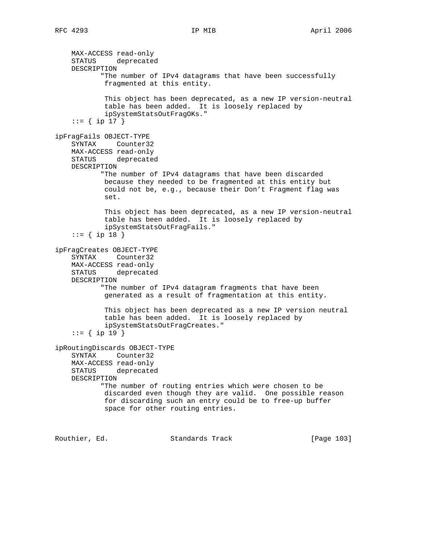MAX-ACCESS read-only STATUS deprecated DESCRIPTION "The number of IPv4 datagrams that have been successfully fragmented at this entity. This object has been deprecated, as a new IP version-neutral table has been added. It is loosely replaced by ipSystemStatsOutFragOKs." ::= { ip 17 } ipFragFails OBJECT-TYPE SYNTAX Counter32 MAX-ACCESS read-only STATUS deprecated DESCRIPTION "The number of IPv4 datagrams that have been discarded because they needed to be fragmented at this entity but could not be, e.g., because their Don't Fragment flag was set. This object has been deprecated, as a new IP version-neutral table has been added. It is loosely replaced by ipSystemStatsOutFragFails."  $::=$  { ip 18 } ipFragCreates OBJECT-TYPE SYNTAX Counter32 MAX-ACCESS read-only STATUS deprecated DESCRIPTION "The number of IPv4 datagram fragments that have been generated as a result of fragmentation at this entity. This object has been deprecated as a new IP version neutral table has been added. It is loosely replaced by ipSystemStatsOutFragCreates."  $::=$  { ip 19 } ipRoutingDiscards OBJECT-TYPE SYNTAX Counter32 MAX-ACCESS read-only STATUS deprecated DESCRIPTION "The number of routing entries which were chosen to be discarded even though they are valid. One possible reason for discarding such an entry could be to free-up buffer space for other routing entries.

Routhier, Ed. Standards Track [Page 103]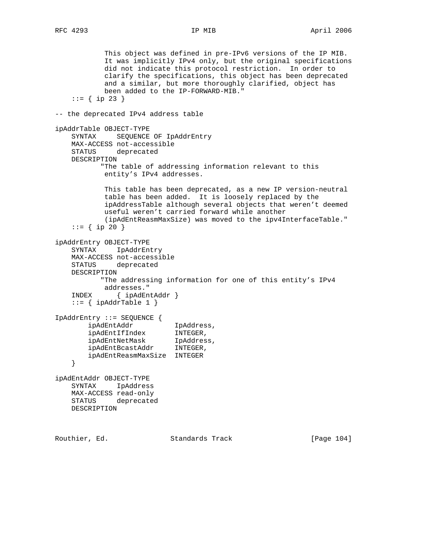This object was defined in pre-IPv6 versions of the IP MIB. It was implicitly IPv4 only, but the original specifications did not indicate this protocol restriction. In order to clarify the specifications, this object has been deprecated and a similar, but more thoroughly clarified, object has been added to the IP-FORWARD-MIB." ::=  $\{ \text{ip } 23 \}$ -- the deprecated IPv4 address table ipAddrTable OBJECT-TYPE SYNTAX SEQUENCE OF IpAddrEntry MAX-ACCESS not-accessible STATUS deprecated DESCRIPTION "The table of addressing information relevant to this entity's IPv4 addresses. This table has been deprecated, as a new IP version-neutral table has been added. It is loosely replaced by the ipAddressTable although several objects that weren't deemed useful weren't carried forward while another (ipAdEntReasmMaxSize) was moved to the ipv4InterfaceTable."  $::=$  { ip 20 } ipAddrEntry OBJECT-TYPE SYNTAX IpAddrEntry MAX-ACCESS not-accessible STATUS deprecated DESCRIPTION "The addressing information for one of this entity's IPv4 addresses." INDEX { ipAdEntAddr }  $::=$  { ipAddrTable 1 } IpAddrEntry ::= SEQUENCE { ipAdEntAddr IpAddress,<br>ipAdEntIfIndex INTEGER,<br>ipAdEntNetMask IpAddress, ipAdEntIfIndex INTEGER, ipAdEntNetMask IpAddress, ipAdEntBcastAddr INTEGER, ipAdEntReasmMaxSize INTEGER } ipAdEntAddr OBJECT-TYPE SYNTAX IpAddress MAX-ACCESS read-only STATUS deprecated DESCRIPTION

Routhier, Ed. Standards Track [Page 104]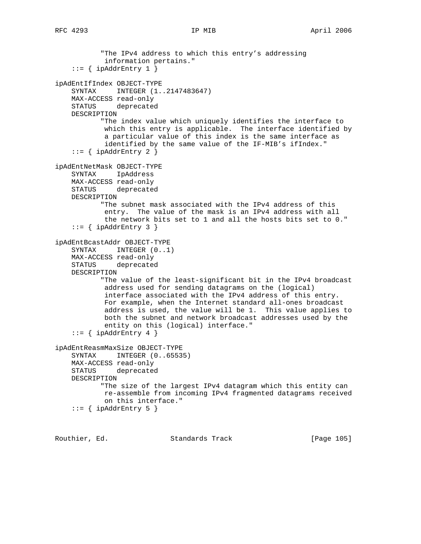```
 "The IPv4 address to which this entry's addressing
             information pertains."
    ::= { ipAddrEntry 1 }
ipAdEntIfIndex OBJECT-TYPE
     SYNTAX INTEGER (1..2147483647)
    MAX-ACCESS read-only
    STATUS deprecated
    DESCRIPTION
            "The index value which uniquely identifies the interface to
            which this entry is applicable. The interface identified by
             a particular value of this index is the same interface as
             identified by the same value of the IF-MIB's ifIndex."
    ::= { ipAddrEntry 2 }
ipAdEntNetMask OBJECT-TYPE
    SYNTAX IpAddress
    MAX-ACCESS read-only
    STATUS deprecated
    DESCRIPTION
            "The subnet mask associated with the IPv4 address of this
             entry. The value of the mask is an IPv4 address with all
             the network bits set to 1 and all the hosts bits set to 0."
    ::= { ipAddrEntry 3 }
ipAdEntBcastAddr OBJECT-TYPE
     SYNTAX INTEGER (0..1)
    MAX-ACCESS read-only
     STATUS deprecated
    DESCRIPTION
            "The value of the least-significant bit in the IPv4 broadcast
            address used for sending datagrams on the (logical)
             interface associated with the IPv4 address of this entry.
            For example, when the Internet standard all-ones broadcast
            address is used, the value will be 1. This value applies to
            both the subnet and network broadcast addresses used by the
             entity on this (logical) interface."
    ::= { ipAddrEntry 4 }
ipAdEntReasmMaxSize OBJECT-TYPE
     SYNTAX INTEGER (0..65535)
    MAX-ACCESS read-only
    STATUS deprecated
    DESCRIPTION
            "The size of the largest IPv4 datagram which this entity can
            re-assemble from incoming IPv4 fragmented datagrams received
            on this interface."
    ::= { ipAddrEntry 5 }
```
Routhier, Ed. 6. Standards Track [Page 105]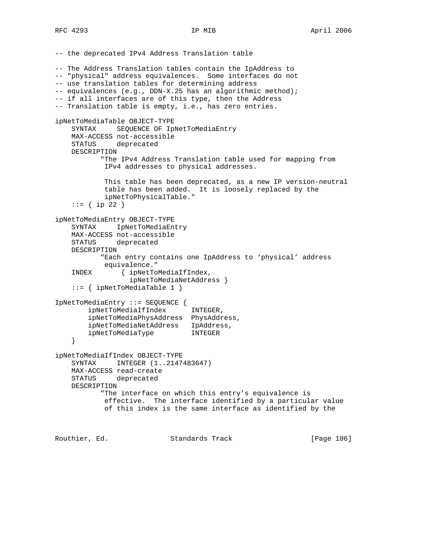-- the deprecated IPv4 Address Translation table -- The Address Translation tables contain the IpAddress to -- "physical" address equivalences. Some interfaces do not -- use translation tables for determining address -- equivalences (e.g., DDN-X.25 has an algorithmic method); -- if all interfaces are of this type, then the Address -- Translation table is empty, i.e., has zero entries. ipNetToMediaTable OBJECT-TYPE SYNTAX SEQUENCE OF IpNetToMediaEntry MAX-ACCESS not-accessible STATUS deprecated DESCRIPTION "The IPv4 Address Translation table used for mapping from IPv4 addresses to physical addresses. This table has been deprecated, as a new IP version-neutral table has been added. It is loosely replaced by the ipNetToPhysicalTable." ::=  $\{ \text{ip } 22 \}$ ipNetToMediaEntry OBJECT-TYPE SYNTAX IpNetToMediaEntry MAX-ACCESS not-accessible STATUS deprecated DESCRIPTION "Each entry contains one IpAddress to 'physical' address equivalence." INDEX { ipNetToMediaIfIndex, ipNetToMediaNetAddress } ::= { ipNetToMediaTable 1 } IpNetToMediaEntry ::= SEQUENCE { ipNetToMediaIfIndex INTEGER, ipNetToMediaPhysAddress PhysAddress, ipNetToMediaNetAddress IpAddress, ipNetToMediaType INTEGER } ipNetToMediaIfIndex OBJECT-TYPE SYNTAX INTEGER (1..2147483647) MAX-ACCESS read-create STATUS deprecated DESCRIPTION "The interface on which this entry's equivalence is effective. The interface identified by a particular value of this index is the same interface as identified by the

Routhier, Ed. 6. Standards Track [Page 106]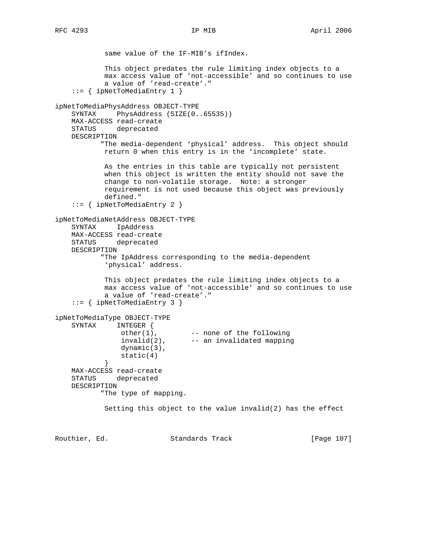same value of the IF-MIB's ifIndex. This object predates the rule limiting index objects to a max access value of 'not-accessible' and so continues to use a value of 'read-create'." ::= { ipNetToMediaEntry 1 } ipNetToMediaPhysAddress OBJECT-TYPE SYNTAX PhysAddress (SIZE(0..65535)) MAX-ACCESS read-create STATUS deprecated DESCRIPTION "The media-dependent 'physical' address. This object should return 0 when this entry is in the 'incomplete' state. As the entries in this table are typically not persistent when this object is written the entity should not save the change to non-volatile storage. Note: a stronger requirement is not used because this object was previously defined." ::= { ipNetToMediaEntry 2 } ipNetToMediaNetAddress OBJECT-TYPE SYNTAX IpAddress MAX-ACCESS read-create STATUS deprecated DESCRIPTION "The IpAddress corresponding to the media-dependent 'physical' address. This object predates the rule limiting index objects to a max access value of 'not-accessible' and so continues to use a value of 'read-create'." ::= { ipNetToMediaEntry 3 } ipNetToMediaType OBJECT-TYPE SYNTAX INTEGER { other(1), -- none of the following  $invald(2)$ ,  $---$  an invalidated mapping dynamic(3),  $static(4)$  } MAX-ACCESS read-create STATUS deprecated DESCRIPTION "The type of mapping. Setting this object to the value invalid(2) has the effect

Routhier, Ed. Standards Track [Page 107]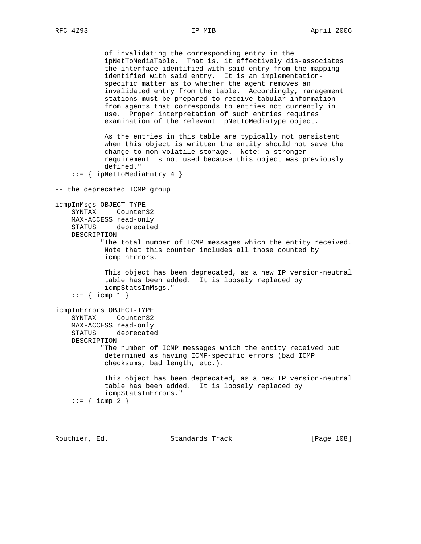of invalidating the corresponding entry in the ipNetToMediaTable. That is, it effectively dis-associates the interface identified with said entry from the mapping identified with said entry. It is an implementation specific matter as to whether the agent removes an invalidated entry from the table. Accordingly, management stations must be prepared to receive tabular information from agents that corresponds to entries not currently in use. Proper interpretation of such entries requires examination of the relevant ipNetToMediaType object. As the entries in this table are typically not persistent when this object is written the entity should not save the change to non-volatile storage. Note: a stronger requirement is not used because this object was previously defined." ::= { ipNetToMediaEntry 4 } -- the deprecated ICMP group icmpInMsgs OBJECT-TYPE SYNTAX Counter32 MAX-ACCESS read-only STATUS deprecated DESCRIPTION "The total number of ICMP messages which the entity received. Note that this counter includes all those counted by icmpInErrors. This object has been deprecated, as a new IP version-neutral table has been added. It is loosely replaced by icmpStatsInMsgs."  $::=$  { icmp 1 } icmpInErrors OBJECT-TYPE SYNTAX Counter32 MAX-ACCESS read-only STATUS deprecated DESCRIPTION "The number of ICMP messages which the entity received but determined as having ICMP-specific errors (bad ICMP checksums, bad length, etc.). This object has been deprecated, as a new IP version-neutral table has been added. It is loosely replaced by icmpStatsInErrors."  $::=$  { icmp 2 }

Routhier, Ed. Standards Track [Page 108]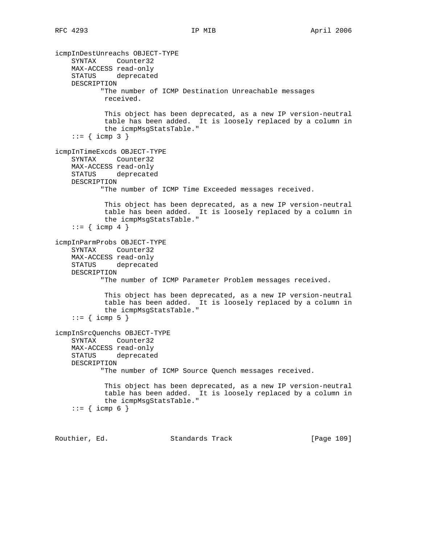icmpInDestUnreachs OBJECT-TYPE SYNTAX Counter32 MAX-ACCESS read-only STATUS deprecated DESCRIPTION "The number of ICMP Destination Unreachable messages received. This object has been deprecated, as a new IP version-neutral table has been added. It is loosely replaced by a column in the icmpMsgStatsTable."  $::=$  { icmp 3 } icmpInTimeExcds OBJECT-TYPE SYNTAX Counter32 MAX-ACCESS read-only STATUS deprecated DESCRIPTION "The number of ICMP Time Exceeded messages received. This object has been deprecated, as a new IP version-neutral table has been added. It is loosely replaced by a column in the icmpMsgStatsTable."  $::=$  { icmp 4 } icmpInParmProbs OBJECT-TYPE SYNTAX Counter32 MAX-ACCESS read-only STATUS deprecated DESCRIPTION "The number of ICMP Parameter Problem messages received. This object has been deprecated, as a new IP version-neutral table has been added. It is loosely replaced by a column in the icmpMsgStatsTable."  $::=$  { icmp 5 } icmpInSrcQuenchs OBJECT-TYPE SYNTAX Counter32 MAX-ACCESS read-only STATUS deprecated DESCRIPTION "The number of ICMP Source Quench messages received. This object has been deprecated, as a new IP version-neutral table has been added. It is loosely replaced by a column in the icmpMsgStatsTable."  $::= {$  icmp 6 }

Routhier, Ed. Standards Track [Page 109]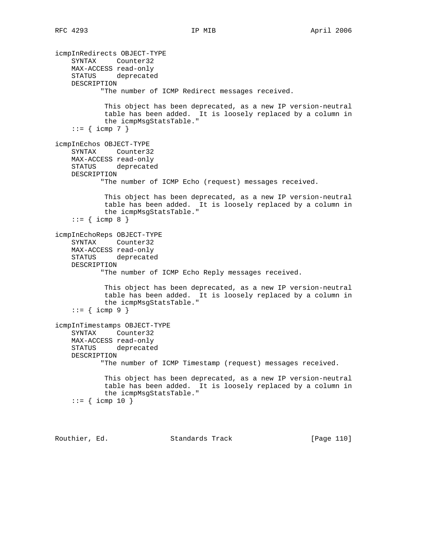```
icmpInRedirects OBJECT-TYPE
     SYNTAX Counter32
    MAX-ACCESS read-only
     STATUS deprecated
    DESCRIPTION
            "The number of ICMP Redirect messages received.
             This object has been deprecated, as a new IP version-neutral
             table has been added. It is loosely replaced by a column in
             the icmpMsgStatsTable."
    ::= { icmp 7 }
icmpInEchos OBJECT-TYPE
     SYNTAX Counter32
    MAX-ACCESS read-only
     STATUS deprecated
    DESCRIPTION
           "The number of ICMP Echo (request) messages received.
             This object has been deprecated, as a new IP version-neutral
             table has been added. It is loosely replaced by a column in
             the icmpMsgStatsTable."
    ::= { icmp 8 }
icmpInEchoReps OBJECT-TYPE
     SYNTAX Counter32
    MAX-ACCESS read-only
    STATUS deprecated
    DESCRIPTION
            "The number of ICMP Echo Reply messages received.
             This object has been deprecated, as a new IP version-neutral
             table has been added. It is loosely replaced by a column in
             the icmpMsgStatsTable."
    ::= { icmp 9 }
icmpInTimestamps OBJECT-TYPE
     SYNTAX Counter32
    MAX-ACCESS read-only
     STATUS deprecated
    DESCRIPTION
            "The number of ICMP Timestamp (request) messages received.
             This object has been deprecated, as a new IP version-neutral
             table has been added. It is loosely replaced by a column in
             the icmpMsgStatsTable."
    ::= { icmp 10 }
```
Routhier, Ed. Standards Track [Page 110]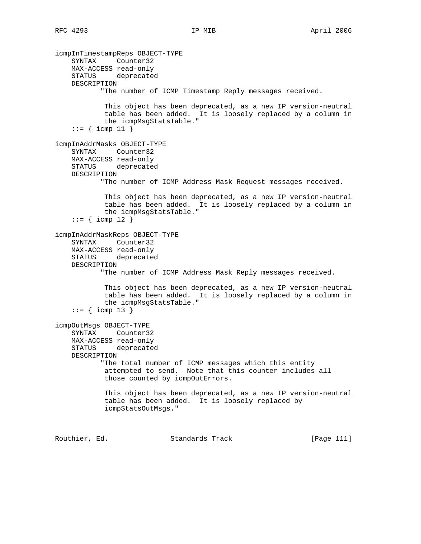icmpInTimestampReps OBJECT-TYPE SYNTAX Counter32 MAX-ACCESS read-only STATUS deprecated DESCRIPTION "The number of ICMP Timestamp Reply messages received. This object has been deprecated, as a new IP version-neutral table has been added. It is loosely replaced by a column in the icmpMsgStatsTable."  $::= {$  icmp 11 } icmpInAddrMasks OBJECT-TYPE SYNTAX Counter32 MAX-ACCESS read-only STATUS deprecated DESCRIPTION "The number of ICMP Address Mask Request messages received. This object has been deprecated, as a new IP version-neutral table has been added. It is loosely replaced by a column in the icmpMsgStatsTable."  $::=$  { icmp 12 } icmpInAddrMaskReps OBJECT-TYPE SYNTAX Counter32 MAX-ACCESS read-only STATUS deprecated DESCRIPTION "The number of ICMP Address Mask Reply messages received. This object has been deprecated, as a new IP version-neutral table has been added. It is loosely replaced by a column in the icmpMsgStatsTable."  $::= {$  icmp 13 } icmpOutMsgs OBJECT-TYPE SYNTAX Counter32 MAX-ACCESS read-only STATUS deprecated DESCRIPTION "The total number of ICMP messages which this entity attempted to send. Note that this counter includes all those counted by icmpOutErrors. This object has been deprecated, as a new IP version-neutral table has been added. It is loosely replaced by icmpStatsOutMsgs." Routhier, Ed. 6. Standards Track [Page 111]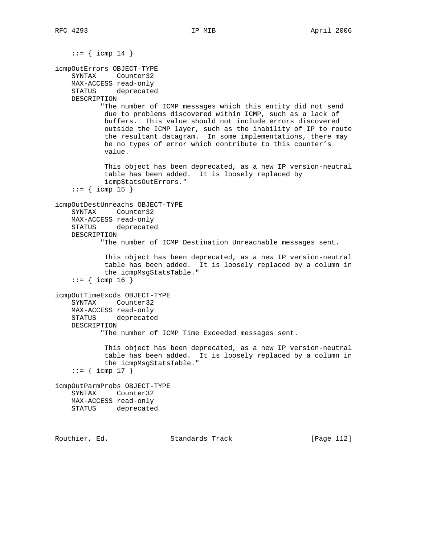```
::= { icmp 14 }
icmpOutErrors OBJECT-TYPE
     SYNTAX Counter32
    MAX-ACCESS read-only
    STATUS deprecated
    DESCRIPTION
            "The number of ICMP messages which this entity did not send
            due to problems discovered within ICMP, such as a lack of
            buffers. This value should not include errors discovered
            outside the ICMP layer, such as the inability of IP to route
             the resultant datagram. In some implementations, there may
            be no types of error which contribute to this counter's
             value.
             This object has been deprecated, as a new IP version-neutral
             table has been added. It is loosely replaced by
             icmpStatsOutErrors."
    ::= { icmp 15 }
icmpOutDestUnreachs OBJECT-TYPE
     SYNTAX Counter32
    MAX-ACCESS read-only
    STATUS deprecated
    DESCRIPTION
            "The number of ICMP Destination Unreachable messages sent.
             This object has been deprecated, as a new IP version-neutral
             table has been added. It is loosely replaced by a column in
             the icmpMsgStatsTable."
    ::= { icmp 16 }
icmpOutTimeExcds OBJECT-TYPE
    SYNTAX Counter32
    MAX-ACCESS read-only
    STATUS deprecated
    DESCRIPTION
            "The number of ICMP Time Exceeded messages sent.
             This object has been deprecated, as a new IP version-neutral
             table has been added. It is loosely replaced by a column in
             the icmpMsgStatsTable."
    ::= { icmp 17 }
icmpOutParmProbs OBJECT-TYPE
    SYNTAX Counter32
    MAX-ACCESS read-only
    STATUS deprecated
```
Routhier, Ed. Standards Track [Page 112]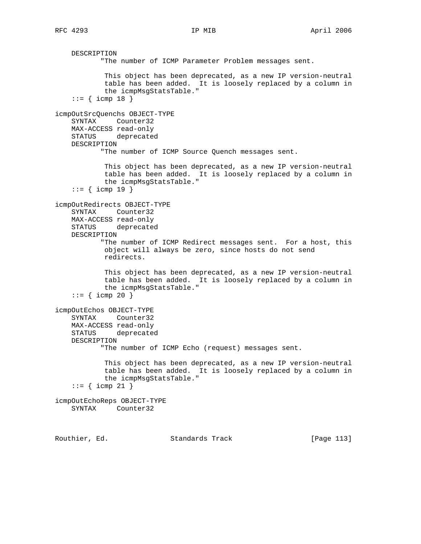DESCRIPTION "The number of ICMP Parameter Problem messages sent. This object has been deprecated, as a new IP version-neutral table has been added. It is loosely replaced by a column in the icmpMsgStatsTable."  $::=$  { icmp 18 } icmpOutSrcQuenchs OBJECT-TYPE SYNTAX Counter32 MAX-ACCESS read-only STATUS deprecated DESCRIPTION "The number of ICMP Source Quench messages sent. This object has been deprecated, as a new IP version-neutral table has been added. It is loosely replaced by a column in the icmpMsgStatsTable."  $::= {$  icmp 19 } icmpOutRedirects OBJECT-TYPE SYNTAX Counter32 MAX-ACCESS read-only STATUS deprecated DESCRIPTION "The number of ICMP Redirect messages sent. For a host, this object will always be zero, since hosts do not send redirects. This object has been deprecated, as a new IP version-neutral table has been added. It is loosely replaced by a column in the icmpMsgStatsTable."  $::=$  { icmp 20 } icmpOutEchos OBJECT-TYPE SYNTAX Counter32 MAX-ACCESS read-only STATUS deprecated DESCRIPTION "The number of ICMP Echo (request) messages sent. This object has been deprecated, as a new IP version-neutral table has been added. It is loosely replaced by a column in the icmpMsgStatsTable."  $::=$  { icmp 21 } icmpOutEchoReps OBJECT-TYPE SYNTAX Counter32

Routhier, Ed. Standards Track [Page 113]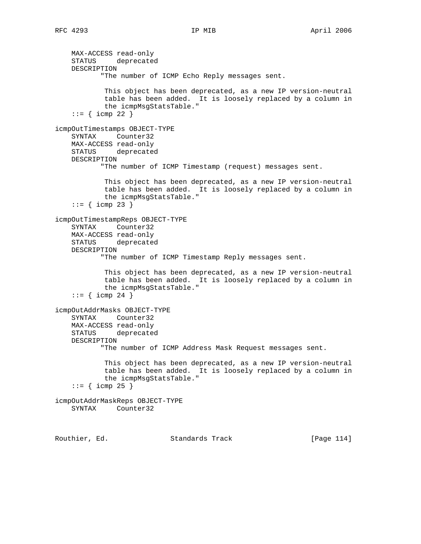MAX-ACCESS read-only STATUS deprecated DESCRIPTION "The number of ICMP Echo Reply messages sent. This object has been deprecated, as a new IP version-neutral table has been added. It is loosely replaced by a column in the icmpMsgStatsTable."  $::= {$  icmp 22 } icmpOutTimestamps OBJECT-TYPE SYNTAX Counter32 MAX-ACCESS read-only STATUS deprecated DESCRIPTION "The number of ICMP Timestamp (request) messages sent. This object has been deprecated, as a new IP version-neutral table has been added. It is loosely replaced by a column in the icmpMsgStatsTable."  $::=$  { icmp 23 } icmpOutTimestampReps OBJECT-TYPE SYNTAX Counter32 MAX-ACCESS read-only STATUS deprecated DESCRIPTION "The number of ICMP Timestamp Reply messages sent. This object has been deprecated, as a new IP version-neutral table has been added. It is loosely replaced by a column in the icmpMsgStatsTable."  $: := \{ \text{icmp } 24 \}$ icmpOutAddrMasks OBJECT-TYPE SYNTAX Counter32 MAX-ACCESS read-only STATUS deprecated DESCRIPTION "The number of ICMP Address Mask Request messages sent. This object has been deprecated, as a new IP version-neutral table has been added. It is loosely replaced by a column in the icmpMsgStatsTable."  $::=$  { icmp 25 } icmpOutAddrMaskReps OBJECT-TYPE SYNTAX Counter32

Routhier, Ed. Standards Track [Page 114]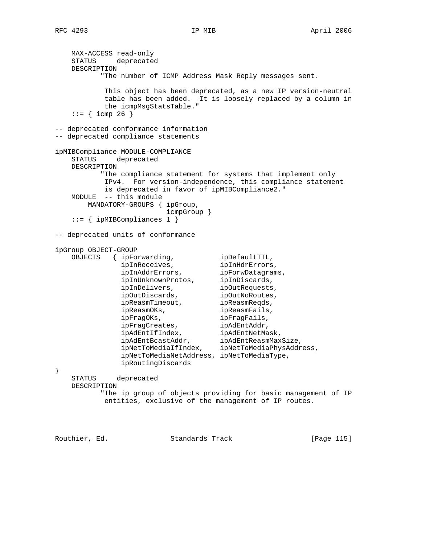MAX-ACCESS read-only STATUS deprecated DESCRIPTION "The number of ICMP Address Mask Reply messages sent. This object has been deprecated, as a new IP version-neutral table has been added. It is loosely replaced by a column in the icmpMsgStatsTable."  $::=$  { icmp 26 } -- deprecated conformance information -- deprecated compliance statements ipMIBCompliance MODULE-COMPLIANCE STATUS deprecated DESCRIPTION "The compliance statement for systems that implement only IPv4. For version-independence, this compliance statement is deprecated in favor of ipMIBCompliance2." MODULE -- this module MANDATORY-GROUPS { ipGroup, icmpGroup } ::= { ipMIBCompliances 1 } -- deprecated units of conformance ipGroup OBJECT-GROUP OBJECTS { ipForwarding, ipDefaultTTL, ipInReceives, ipInHdrErrors, ipInAddrErrors, ipForwDatagrams, ipInUnknownProtos, ipInDiscards, ipInDelivers, ipOutRequests, ipOutDiscards, ipOutNoRoutes, ipReasmTimeout, httpReasmReqds, ipReasmOKs, ipReasmFails, ipFragOKs, ipFragFails, ipFragOKs,<br>ipFragCreates, ipAdEntAddr, ipAdEntIfIndex, ipAdEntNetMask, ipAdEntBcastAddr, ipAdEntReasmMaxSize, ipNetToMediaIfIndex, ipNetToMediaPhysAddress, ipNetToMediaNetAddress, ipNetToMediaType, ipRoutingDiscards } STATUS deprecated DESCRIPTION "The ip group of objects providing for basic management of IP entities, exclusive of the management of IP routes.

Routhier, Ed. 6. Standards Track [Page 115]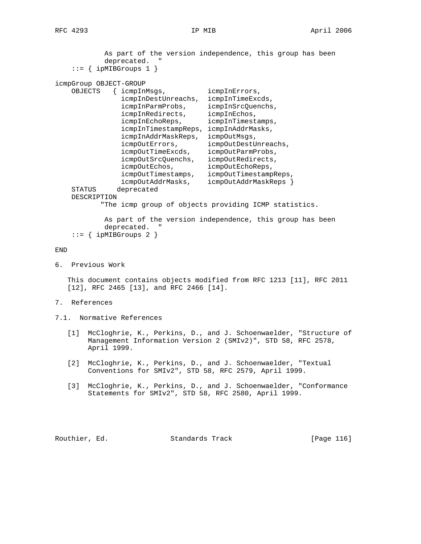As part of the version independence, this group has been deprecated. " ::= { ipMIBGroups 1 } icmpGroup OBJECT-GROUP OBJECTS { icmpInMsgs, icmpInErrors, icmpInDestUnreachs, icmpInTimeExcds, icmpInParmProbs, icmpInSrcQuenchs, icmpInRedirects, icmpInEchos, icmpInEchoReps, icmpInTimestamps, icmpInTimestampReps, icmpInAddrMasks, icmpInAddrMaskReps, icmpOutMsgs, icmpOutErrors, icmpOutDestUnreachs, icmpOutTimeExcds, icmpOutParmProbs, icmpOutSrcQuenchs, icmpOutRedirects, icmpOutEchos, icmpOutEchoReps, icmpOutTimestamps, icmpOutTimestampReps, icmpOutAddrMasks, icmpOutAddrMaskReps } STATUS deprecated DESCRIPTION "The icmp group of objects providing ICMP statistics. As part of the version independence, this group has been deprecated. " ::= { ipMIBGroups 2 } END

6. Previous Work

 This document contains objects modified from RFC 1213 [11], RFC 2011 [12], RFC 2465 [13], and RFC 2466 [14].

- 7. References
- 7.1. Normative References
	- [1] McCloghrie, K., Perkins, D., and J. Schoenwaelder, "Structure of Management Information Version 2 (SMIv2)", STD 58, RFC 2578, April 1999.
	- [2] McCloghrie, K., Perkins, D., and J. Schoenwaelder, "Textual Conventions for SMIv2", STD 58, RFC 2579, April 1999.
	- [3] McCloghrie, K., Perkins, D., and J. Schoenwaelder, "Conformance Statements for SMIv2", STD 58, RFC 2580, April 1999.

Routhier, Ed. 6. Standards Track [Page 116]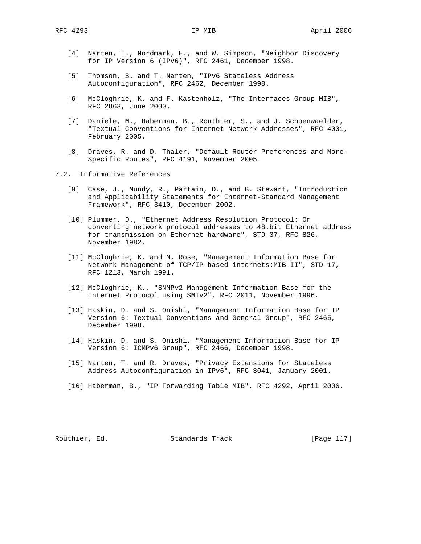- [4] Narten, T., Nordmark, E., and W. Simpson, "Neighbor Discovery for IP Version 6 (IPv6)", RFC 2461, December 1998.
- [5] Thomson, S. and T. Narten, "IPv6 Stateless Address Autoconfiguration", RFC 2462, December 1998.
- [6] McCloghrie, K. and F. Kastenholz, "The Interfaces Group MIB", RFC 2863, June 2000.
- [7] Daniele, M., Haberman, B., Routhier, S., and J. Schoenwaelder, "Textual Conventions for Internet Network Addresses", RFC 4001, February 2005.
- [8] Draves, R. and D. Thaler, "Default Router Preferences and More- Specific Routes", RFC 4191, November 2005.
- 7.2. Informative References
	- [9] Case, J., Mundy, R., Partain, D., and B. Stewart, "Introduction and Applicability Statements for Internet-Standard Management Framework", RFC 3410, December 2002.
	- [10] Plummer, D., "Ethernet Address Resolution Protocol: Or converting network protocol addresses to 48.bit Ethernet address for transmission on Ethernet hardware", STD 37, RFC 826, November 1982.
	- [11] McCloghrie, K. and M. Rose, "Management Information Base for Network Management of TCP/IP-based internets:MIB-II", STD 17, RFC 1213, March 1991.
	- [12] McCloghrie, K., "SNMPv2 Management Information Base for the Internet Protocol using SMIv2", RFC 2011, November 1996.
	- [13] Haskin, D. and S. Onishi, "Management Information Base for IP Version 6: Textual Conventions and General Group", RFC 2465, December 1998.
	- [14] Haskin, D. and S. Onishi, "Management Information Base for IP Version 6: ICMPv6 Group", RFC 2466, December 1998.
	- [15] Narten, T. and R. Draves, "Privacy Extensions for Stateless Address Autoconfiguration in IPv6", RFC 3041, January 2001.
	- [16] Haberman, B., "IP Forwarding Table MIB", RFC 4292, April 2006.

Routhier, Ed. 6. Standards Track [Page 117]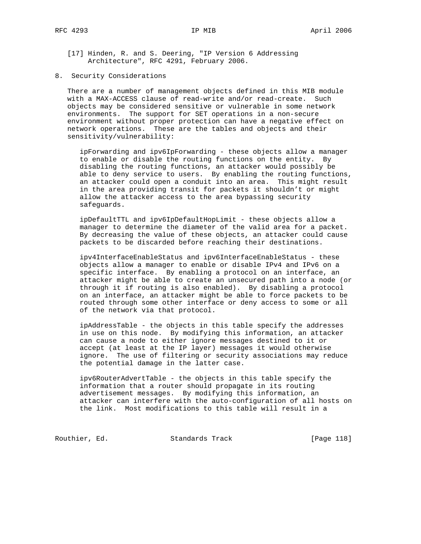[17] Hinden, R. and S. Deering, "IP Version 6 Addressing Architecture", RFC 4291, February 2006.

8. Security Considerations

 There are a number of management objects defined in this MIB module with a MAX-ACCESS clause of read-write and/or read-create. Such objects may be considered sensitive or vulnerable in some network environments. The support for SET operations in a non-secure environment without proper protection can have a negative effect on network operations. These are the tables and objects and their sensitivity/vulnerability:

 ipForwarding and ipv6IpForwarding - these objects allow a manager to enable or disable the routing functions on the entity. By disabling the routing functions, an attacker would possibly be able to deny service to users. By enabling the routing functions, an attacker could open a conduit into an area. This might result in the area providing transit for packets it shouldn't or might allow the attacker access to the area bypassing security safeguards.

 ipDefaultTTL and ipv6IpDefaultHopLimit - these objects allow a manager to determine the diameter of the valid area for a packet. By decreasing the value of these objects, an attacker could cause packets to be discarded before reaching their destinations.

 ipv4InterfaceEnableStatus and ipv6InterfaceEnableStatus - these objects allow a manager to enable or disable IPv4 and IPv6 on a specific interface. By enabling a protocol on an interface, an attacker might be able to create an unsecured path into a node (or through it if routing is also enabled). By disabling a protocol on an interface, an attacker might be able to force packets to be routed through some other interface or deny access to some or all of the network via that protocol.

 ipAddressTable - the objects in this table specify the addresses in use on this node. By modifying this information, an attacker can cause a node to either ignore messages destined to it or accept (at least at the IP layer) messages it would otherwise ignore. The use of filtering or security associations may reduce the potential damage in the latter case.

 ipv6RouterAdvertTable - the objects in this table specify the information that a router should propagate in its routing advertisement messages. By modifying this information, an attacker can interfere with the auto-configuration of all hosts on the link. Most modifications to this table will result in a

Routhier, Ed. Standards Track [Page 118]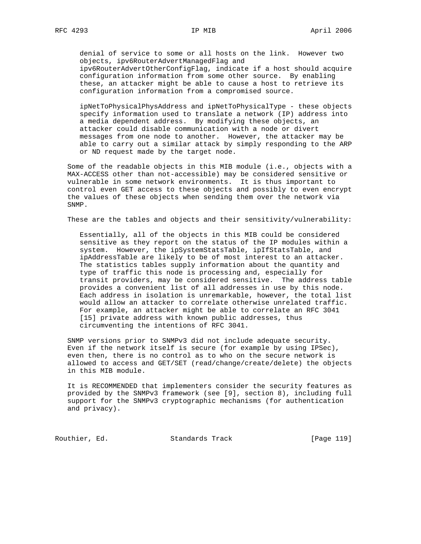denial of service to some or all hosts on the link. However two objects, ipv6RouterAdvertManagedFlag and ipv6RouterAdvertOtherConfigFlag, indicate if a host should acquire configuration information from some other source. By enabling

 these, an attacker might be able to cause a host to retrieve its configuration information from a compromised source.

 ipNetToPhysicalPhysAddress and ipNetToPhysicalType - these objects specify information used to translate a network (IP) address into a media dependent address. By modifying these objects, an attacker could disable communication with a node or divert messages from one node to another. However, the attacker may be able to carry out a similar attack by simply responding to the ARP or ND request made by the target node.

 Some of the readable objects in this MIB module (i.e., objects with a MAX-ACCESS other than not-accessible) may be considered sensitive or vulnerable in some network environments. It is thus important to control even GET access to these objects and possibly to even encrypt the values of these objects when sending them over the network via SNMP.

These are the tables and objects and their sensitivity/vulnerability:

 Essentially, all of the objects in this MIB could be considered sensitive as they report on the status of the IP modules within a system. However, the ipSystemStatsTable, ipIfStatsTable, and ipAddressTable are likely to be of most interest to an attacker. The statistics tables supply information about the quantity and type of traffic this node is processing and, especially for transit providers, may be considered sensitive. The address table provides a convenient list of all addresses in use by this node. Each address in isolation is unremarkable, however, the total list would allow an attacker to correlate otherwise unrelated traffic. For example, an attacker might be able to correlate an RFC 3041 [15] private address with known public addresses, thus circumventing the intentions of RFC 3041.

 SNMP versions prior to SNMPv3 did not include adequate security. Even if the network itself is secure (for example by using IPSec), even then, there is no control as to who on the secure network is allowed to access and GET/SET (read/change/create/delete) the objects in this MIB module.

 It is RECOMMENDED that implementers consider the security features as provided by the SNMPv3 framework (see [9], section 8), including full support for the SNMPv3 cryptographic mechanisms (for authentication and privacy).

Routhier, Ed. Standards Track [Page 119]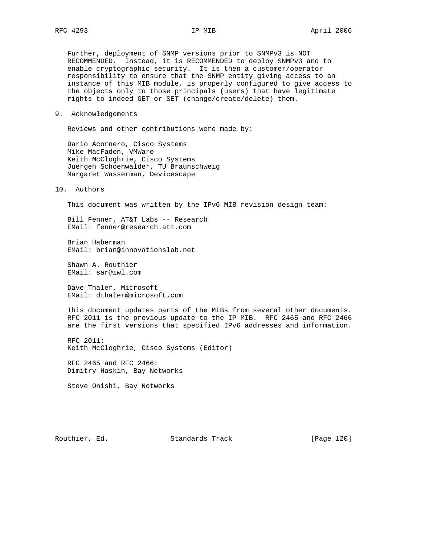Further, deployment of SNMP versions prior to SNMPv3 is NOT RECOMMENDED. Instead, it is RECOMMENDED to deploy SNMPv3 and to enable cryptographic security. It is then a customer/operator responsibility to ensure that the SNMP entity giving access to an instance of this MIB module, is properly configured to give access to the objects only to those principals (users) that have legitimate rights to indeed GET or SET (change/create/delete) them.

9. Acknowledgements

Reviews and other contributions were made by:

 Dario Acornero, Cisco Systems Mike MacFaden, VMWare Keith McCloghrie, Cisco Systems Juergen Schoenwalder, TU Braunschweig Margaret Wasserman, Devicescape

10. Authors

This document was written by the IPv6 MIB revision design team:

 Bill Fenner, AT&T Labs -- Research EMail: fenner@research.att.com

 Brian Haberman EMail: brian@innovationslab.net

 Shawn A. Routhier EMail: sar@iwl.com

 Dave Thaler, Microsoft EMail: dthaler@microsoft.com

 This document updates parts of the MIBs from several other documents. RFC 2011 is the previous update to the IP MIB. RFC 2465 and RFC 2466 are the first versions that specified IPv6 addresses and information.

 RFC 2011: Keith McCloghrie, Cisco Systems (Editor)

 RFC 2465 and RFC 2466: Dimitry Haskin, Bay Networks

Steve Onishi, Bay Networks

Routhier, Ed. Standards Track [Page 120]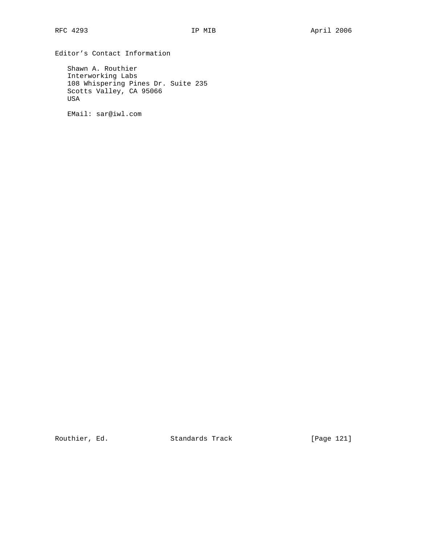Editor's Contact Information

 Shawn A. Routhier Interworking Labs 108 Whispering Pines Dr. Suite 235 Scotts Valley, CA 95066 USA

EMail: sar@iwl.com

Routhier, Ed. Standards Track [Page 121]